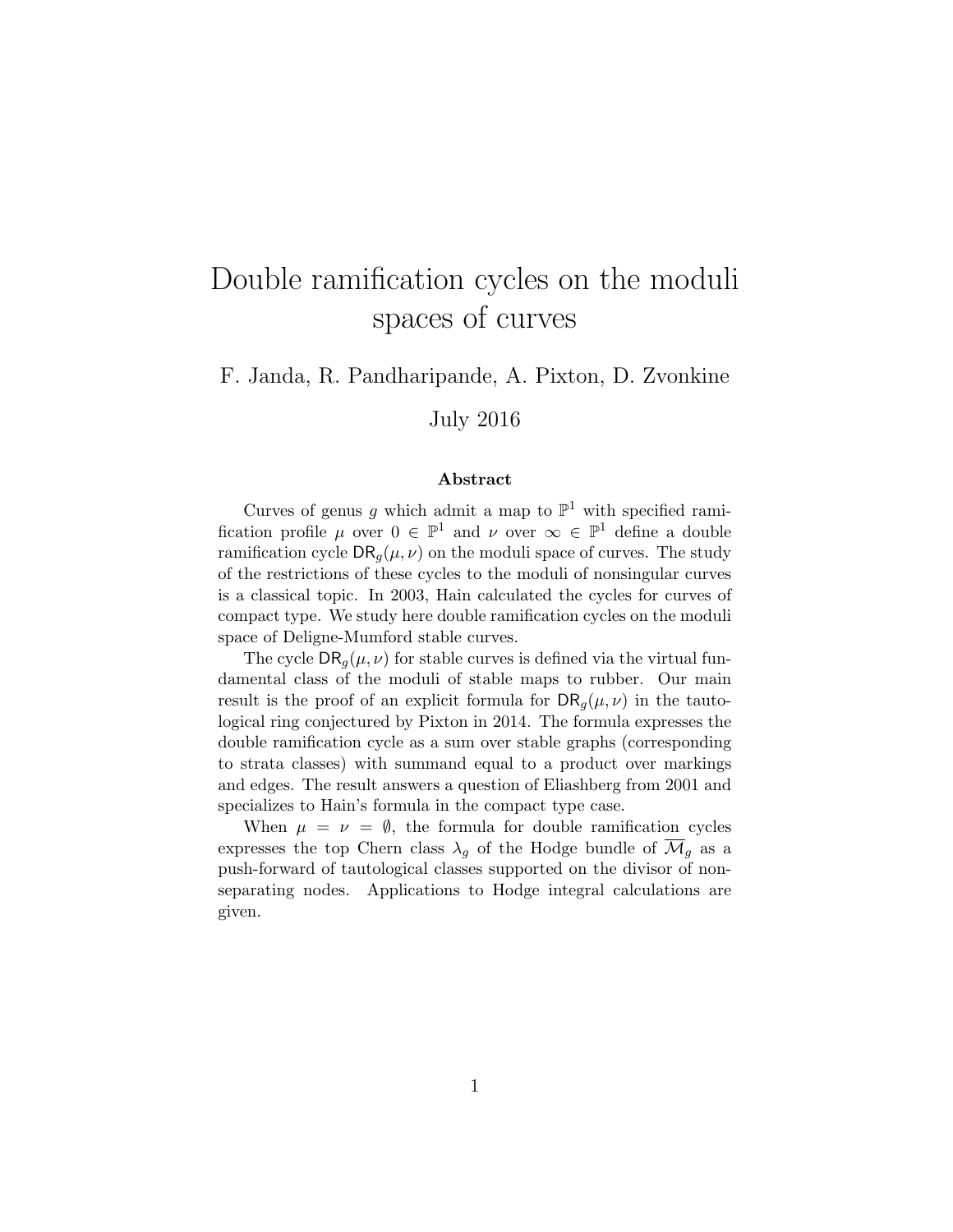# Double ramification cycles on the moduli spaces of curves

F. Janda, R. Pandharipande, A. Pixton, D. Zvonkine

July 2016

#### Abstract

Curves of genus g which admit a map to  $\mathbb{P}^1$  with specified ramification profile  $\mu$  over  $0 \in \mathbb{P}^1$  and  $\nu$  over  $\infty \in \mathbb{P}^1$  define a double ramification cycle  $\text{DR}_q(\mu, \nu)$  on the moduli space of curves. The study of the restrictions of these cycles to the moduli of nonsingular curves is a classical topic. In 2003, Hain calculated the cycles for curves of compact type. We study here double ramification cycles on the moduli space of Deligne-Mumford stable curves.

The cycle  $\text{DR}_q(\mu, \nu)$  for stable curves is defined via the virtual fundamental class of the moduli of stable maps to rubber. Our main result is the proof of an explicit formula for  $\text{DR}_q(\mu, \nu)$  in the tautological ring conjectured by Pixton in 2014. The formula expresses the double ramification cycle as a sum over stable graphs (corresponding to strata classes) with summand equal to a product over markings and edges. The result answers a question of Eliashberg from 2001 and specializes to Hain's formula in the compact type case.

When  $\mu = \nu = \emptyset$ , the formula for double ramification cycles expresses the top Chern class  $\lambda_g$  of the Hodge bundle of  $\overline{\mathcal{M}}_g$  as a push-forward of tautological classes supported on the divisor of nonseparating nodes. Applications to Hodge integral calculations are given.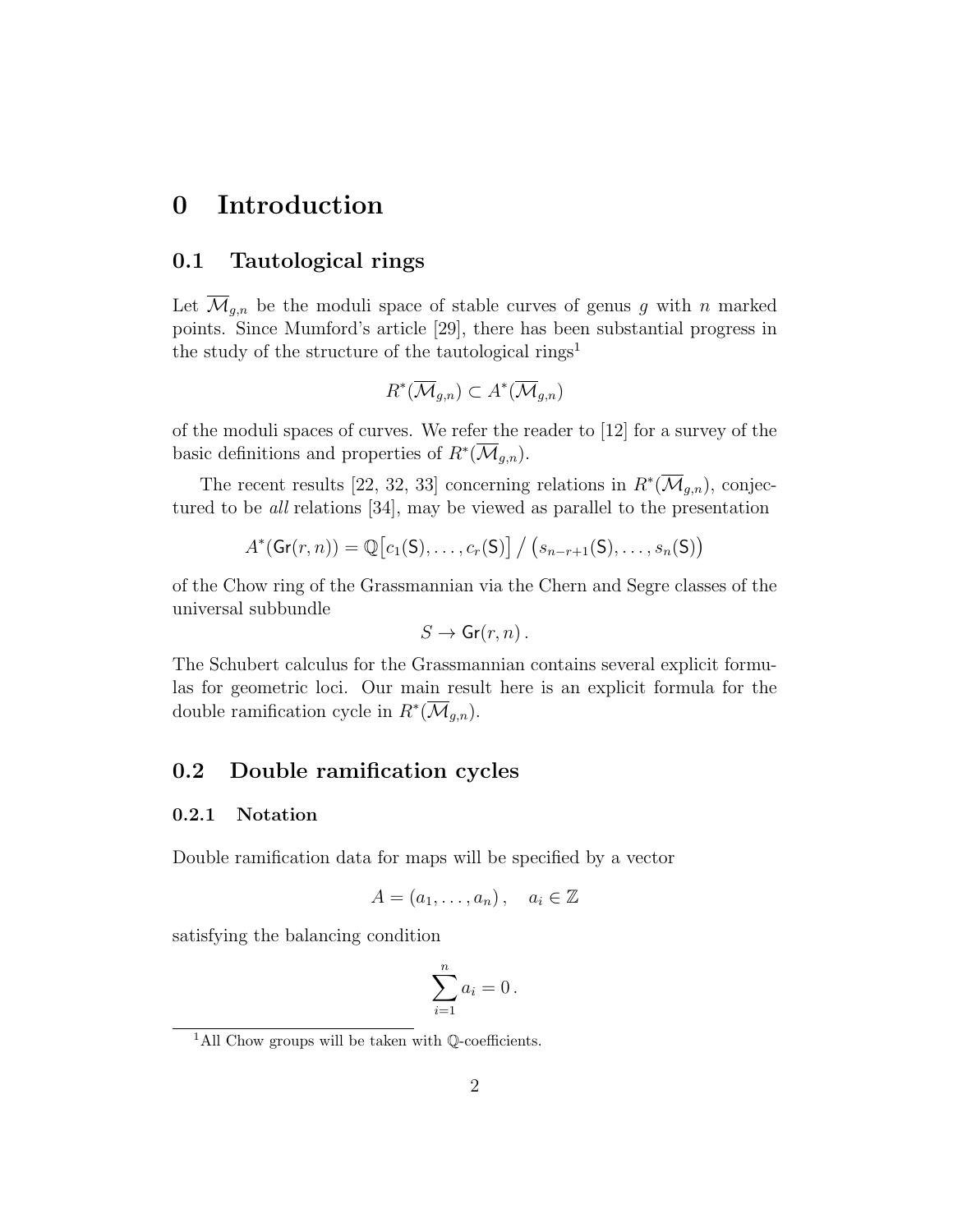## 0 Introduction

## 0.1 Tautological rings

Let  $\overline{\mathcal{M}}_{g,n}$  be the moduli space of stable curves of genus g with n marked points. Since Mumford's article [29], there has been substantial progress in the study of the structure of the tautological rings<sup>1</sup>

$$
R^*(\overline{\mathcal{M}}_{g,n}) \subset A^*(\overline{\mathcal{M}}_{g,n})
$$

of the moduli spaces of curves. We refer the reader to [12] for a survey of the basic definitions and properties of  $R^*(\overline{\mathcal{M}}_{g,n}).$ 

The recent results [22, 32, 33] concerning relations in  $R^*(\overline{\mathcal{M}}_{g,n})$ , conjectured to be all relations [34], may be viewed as parallel to the presentation

$$
A^*(\mathsf{Gr}(r,n)) = \mathbb{Q}\big[c_1(\mathsf{S}),\ldots,c_r(\mathsf{S})\big] \bigm/ \big(s_{n-r+1}(\mathsf{S}),\ldots,s_n(\mathsf{S})\big)
$$

of the Chow ring of the Grassmannian via the Chern and Segre classes of the universal subbundle

$$
S \to \mathsf{Gr}(r,n)\,.
$$

The Schubert calculus for the Grassmannian contains several explicit formulas for geometric loci. Our main result here is an explicit formula for the double ramification cycle in  $R^*(\overline{\mathcal{M}}_{g,n}).$ 

### 0.2 Double ramification cycles

#### 0.2.1 Notation

Double ramification data for maps will be specified by a vector

$$
A = (a_1, \ldots, a_n), \quad a_i \in \mathbb{Z}
$$

satisfying the balancing condition

$$
\sum_{i=1}^n a_i = 0.
$$

<sup>&</sup>lt;sup>1</sup>All Chow groups will be taken with  $\mathbb{Q}$ -coefficients.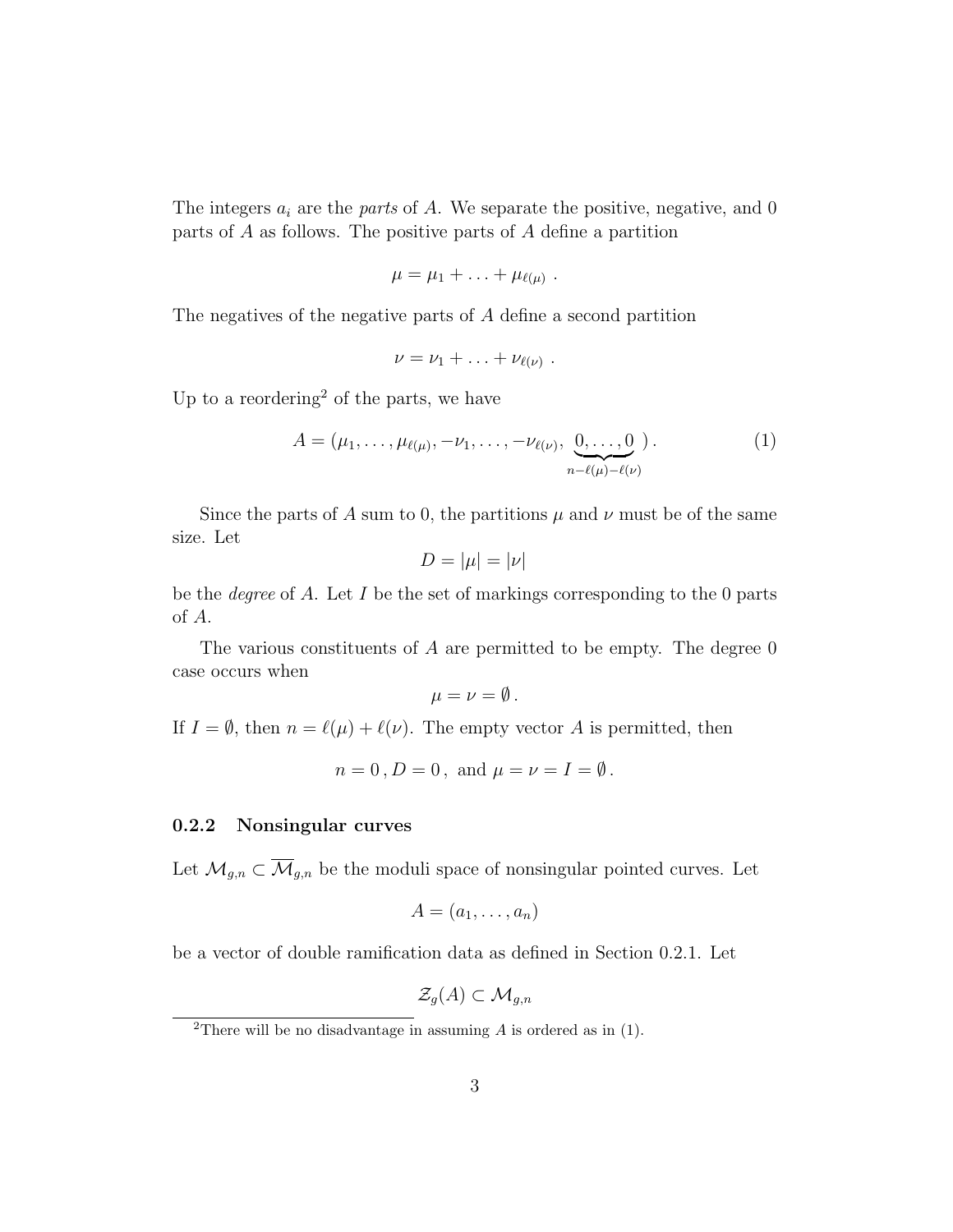The integers  $a_i$  are the *parts* of A. We separate the positive, negative, and 0 parts of A as follows. The positive parts of A define a partition

$$
\mu=\mu_1+\ldots+\mu_{\ell(\mu)}.
$$

The negatives of the negative parts of A define a second partition

$$
\nu=\nu_1+\ldots+\nu_{\ell(\nu)}\ .
$$

Up to a reordering<sup>2</sup> of the parts, we have

$$
A = (\mu_1, \dots, \mu_{\ell(\mu)}, -\nu_1, \dots, -\nu_{\ell(\nu)}, \underbrace{0, \dots, 0}_{n-\ell(\mu)-\ell(\nu)})
$$
 (1)

Since the parts of A sum to 0, the partitions  $\mu$  and  $\nu$  must be of the same size. Let

$$
D = |\mu| = |\nu|
$$

be the *degree* of A. Let I be the set of markings corresponding to the 0 parts of A.

The various constituents of  $A$  are permitted to be empty. The degree  $0$ case occurs when

$$
\mu=\nu=\emptyset.
$$

If  $I = \emptyset$ , then  $n = \ell(\mu) + \ell(\nu)$ . The empty vector A is permitted, then

$$
n=0
$$
,  $D=0$ , and  $\mu=\nu=I=\emptyset$ .

#### 0.2.2 Nonsingular curves

Let  $\mathcal{M}_{g,n} \subset \overline{\mathcal{M}}_{g,n}$  be the moduli space of nonsingular pointed curves. Let

$$
A=(a_1,\ldots,a_n)
$$

be a vector of double ramification data as defined in Section 0.2.1. Let

$$
\mathcal{Z}_g(A)\subset \mathcal{M}_{g,n}
$$

<sup>&</sup>lt;sup>2</sup>There will be no disadvantage in assuming  $A$  is ordered as in (1).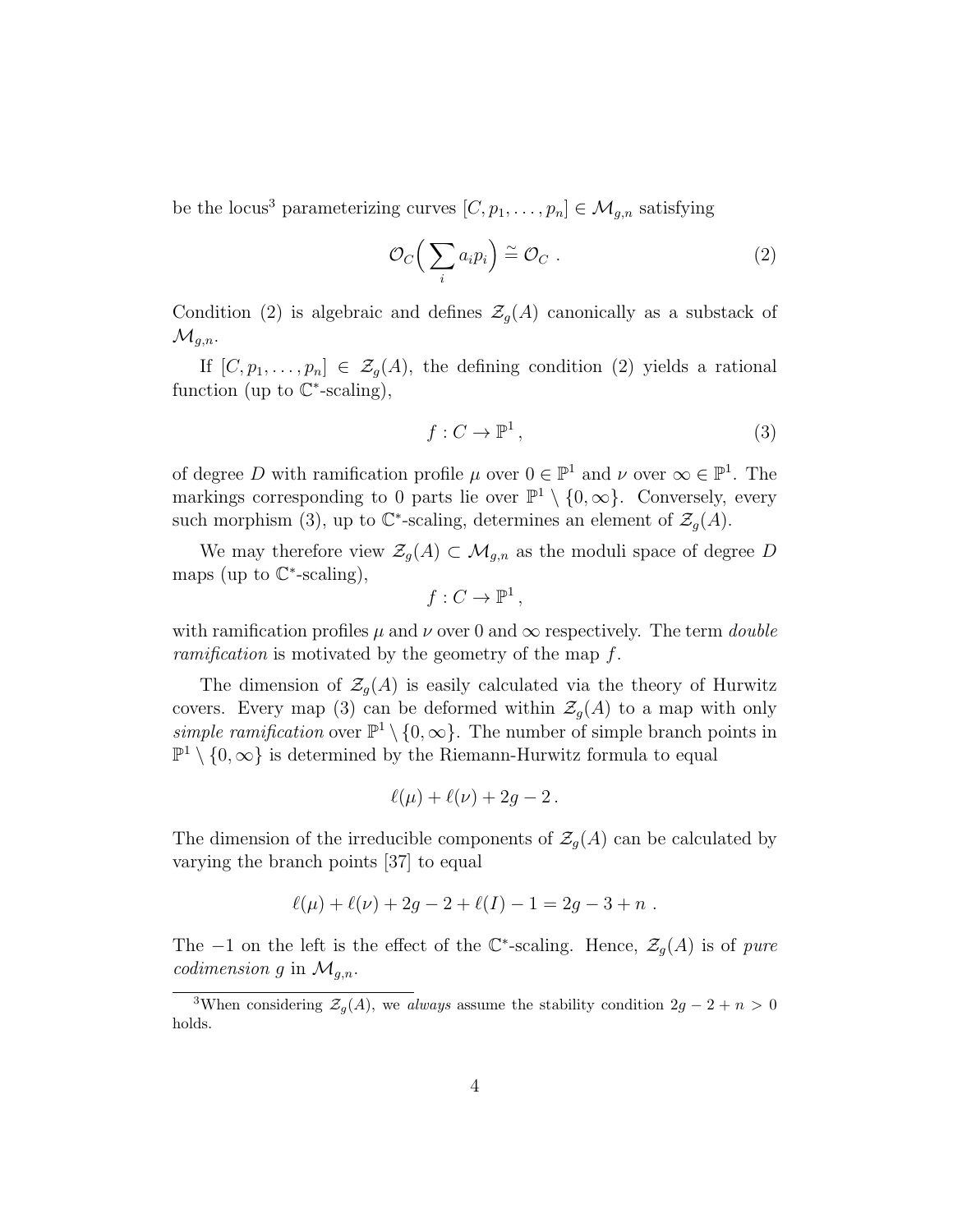be the locus<sup>3</sup> parameterizing curves  $[C, p_1, \ldots, p_n] \in \mathcal{M}_{g,n}$  satisfying

$$
\mathcal{O}_C\Big(\sum_i a_i p_i\Big) \cong \mathcal{O}_C \ . \tag{2}
$$

Condition (2) is algebraic and defines  $\mathcal{Z}_g(A)$  canonically as a substack of  $\mathcal{M}_{g,n}$ .

If  $[C, p_1, \ldots, p_n] \in \mathcal{Z}_g(A)$ , the defining condition (2) yields a rational function (up to  $\mathbb{C}^*$ -scaling),

$$
f: C \to \mathbb{P}^1,\tag{3}
$$

of degree D with ramification profile  $\mu$  over  $0 \in \mathbb{P}^1$  and  $\nu$  over  $\infty \in \mathbb{P}^1$ . The markings corresponding to 0 parts lie over  $\mathbb{P}^1 \setminus \{0,\infty\}$ . Conversely, every such morphism (3), up to  $\mathbb{C}^*$ -scaling, determines an element of  $\mathcal{Z}_g(A)$ .

We may therefore view  $\mathcal{Z}_g(A) \subset \mathcal{M}_{g,n}$  as the moduli space of degree D maps (up to  $\mathbb{C}^*$ -scaling),

$$
f:C\to\mathbb{P}^1,
$$

with ramification profiles  $\mu$  and  $\nu$  over 0 and  $\infty$  respectively. The term *double* ramification is motivated by the geometry of the map f.

The dimension of  $\mathcal{Z}_q(A)$  is easily calculated via the theory of Hurwitz covers. Every map (3) can be deformed within  $\mathcal{Z}_g(A)$  to a map with only simple ramification over  $\mathbb{P}^1 \setminus \{0,\infty\}$ . The number of simple branch points in  $\mathbb{P}^1 \setminus \{0,\infty\}$  is determined by the Riemann-Hurwitz formula to equal

$$
\ell(\mu)+\ell(\nu)+2g-2.
$$

The dimension of the irreducible components of  $\mathcal{Z}_g(A)$  can be calculated by varying the branch points [37] to equal

$$
\ell(\mu) + \ell(\nu) + 2g - 2 + \ell(I) - 1 = 2g - 3 + n.
$$

The -1 on the left is the effect of the  $\mathbb{C}^*$ -scaling. Hence,  $\mathcal{Z}_g(A)$  is of pure *codimension* g in  $\mathcal{M}_{q,n}$ .

<sup>&</sup>lt;sup>3</sup>When considering  $\mathcal{Z}_g(A)$ , we always assume the stability condition  $2g - 2 + n > 0$ holds.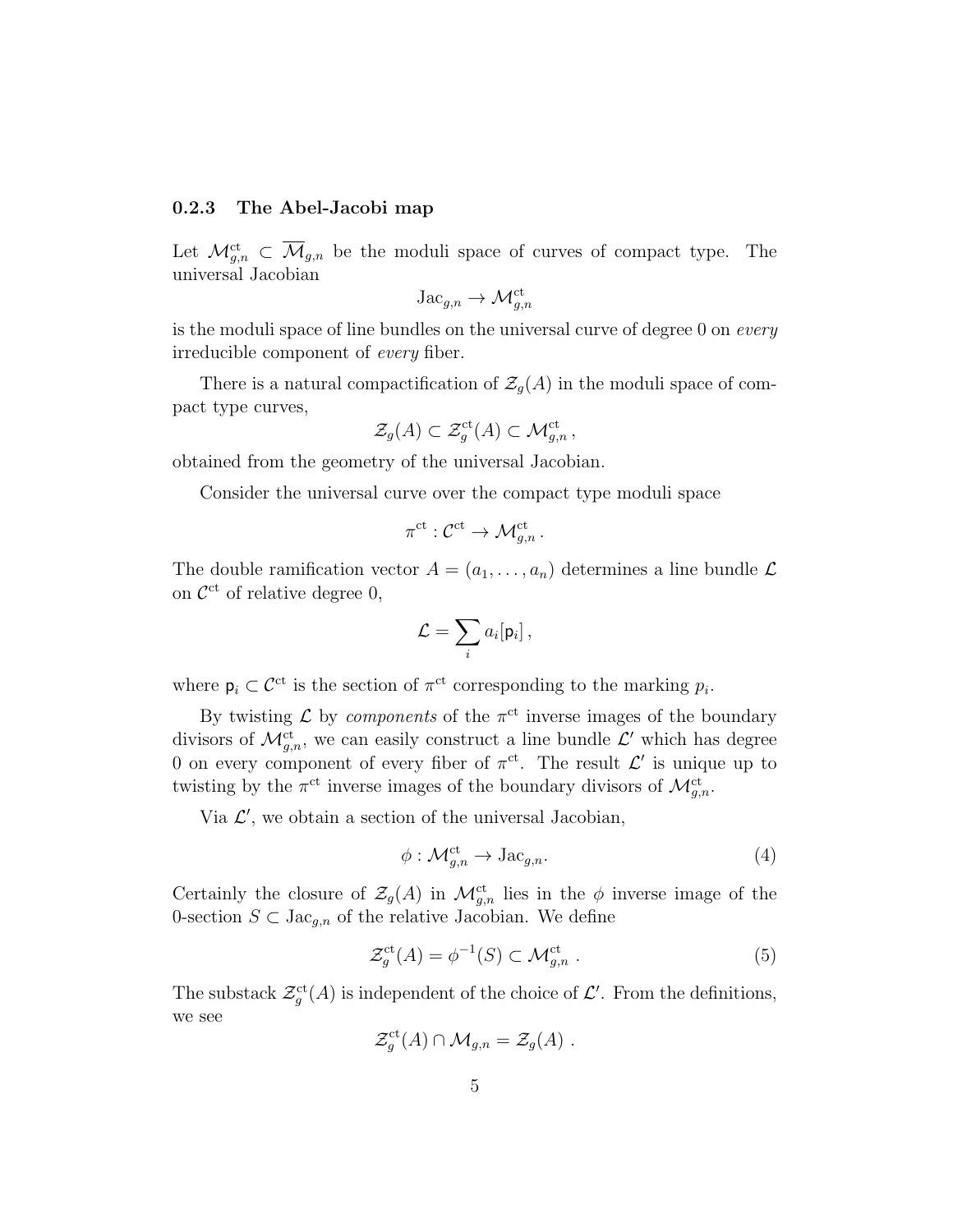#### 0.2.3 The Abel-Jacobi map

Let  $\mathcal{M}_{g,n}^{\mathrm{ct}} \subset \overline{\mathcal{M}}_{g,n}$  be the moduli space of curves of compact type. The universal Jacobian

$$
\mathrm{Jac}_{g,n} \to \mathcal{M}^{\mathrm{ct}}_{g,n}
$$

is the moduli space of line bundles on the universal curve of degree 0 on every irreducible component of every fiber.

There is a natural compactification of  $\mathcal{Z}_g(A)$  in the moduli space of compact type curves,

$$
\mathcal{Z}_g(A) \subset \mathcal{Z}_g^{\mathrm{ct}}(A) \subset \mathcal{M}_{g,n}^{\mathrm{ct}}\,,
$$

obtained from the geometry of the universal Jacobian.

Consider the universal curve over the compact type moduli space

$$
\pi^{\mathrm{ct}}:\mathcal{C}^{\mathrm{ct}}\to \mathcal{M}_{g,n}^{\mathrm{ct}}\,.
$$

The double ramification vector  $A = (a_1, \ldots, a_n)$  determines a line bundle  $\mathcal L$ on  $\mathcal{C}^{\text{ct}}$  of relative degree 0,

$$
\mathcal{L} = \sum_i a_i [\mathsf{p}_i] \,,
$$

where  $p_i \subset C^{\text{ct}}$  is the section of  $\pi^{\text{ct}}$  corresponding to the marking  $p_i$ .

By twisting  $\mathcal L$  by *components* of the  $\pi^{\rm ct}$  inverse images of the boundary divisors of  $\mathcal{M}_{g,n}^{\mathrm{ct}}$ , we can easily construct a line bundle  $\mathcal{L}'$  which has degree 0 on every component of every fiber of  $\pi^{ct}$ . The result  $\mathcal{L}'$  is unique up to twisting by the  $\pi^{\rm ct}$  inverse images of the boundary divisors of  $\mathcal{M}_{g,n}^{\rm ct}$ .

Via  $\mathcal{L}'$ , we obtain a section of the universal Jacobian,

$$
\phi: \mathcal{M}_{g,n}^{\mathrm{ct}} \to \mathrm{Jac}_{g,n}.\tag{4}
$$

Certainly the closure of  $\mathcal{Z}_g(A)$  in  $\mathcal{M}_{g,n}^{\mathrm{ct}}$  lies in the  $\phi$  inverse image of the 0-section  $S \subset \text{Jac}_{g,n}$  of the relative Jacobian. We define

$$
\mathcal{Z}_g^{\mathrm{ct}}(A) = \phi^{-1}(S) \subset \mathcal{M}_{g,n}^{\mathrm{ct}} . \tag{5}
$$

The substack  $\mathcal{Z}^{\text{ct}}_g(A)$  is independent of the choice of  $\mathcal{L}'$ . From the definitions, we see

$$
\mathcal{Z}_g^{\mathrm{ct}}(A) \cap \mathcal{M}_{g,n} = \mathcal{Z}_g(A) .
$$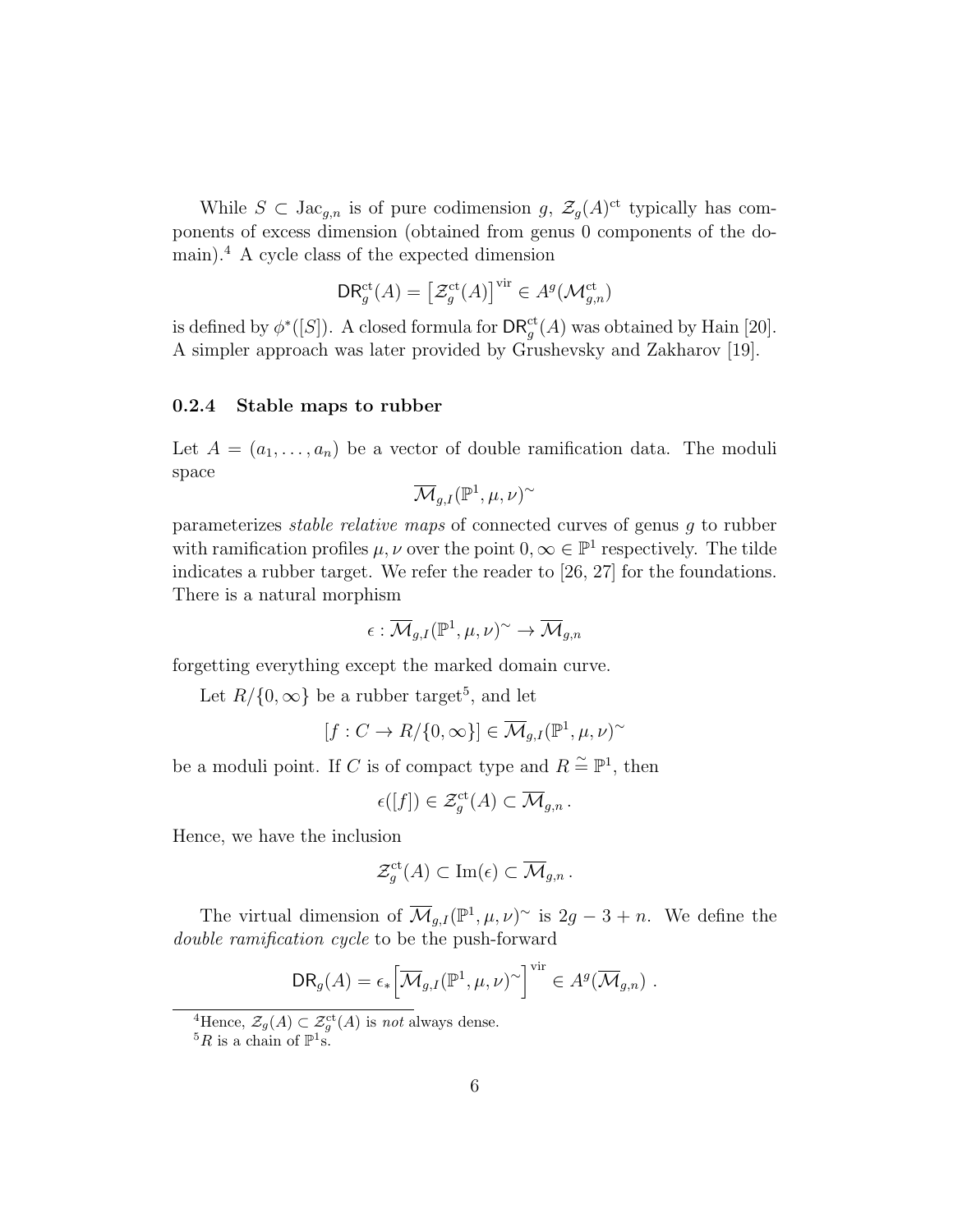While  $S \subset \text{Jac}_{g,n}$  is of pure codimension g,  $\mathcal{Z}_g(A)^{\text{ct}}$  typically has components of excess dimension (obtained from genus 0 components of the domain).<sup>4</sup> A cycle class of the expected dimension

$$
\mathsf{DR}_g^{\mathrm{ct}}(A) = \left[\mathcal{Z}_g^{\mathrm{ct}}(A)\right]^{\mathrm{vir}} \in A^g(\mathcal{M}_{g,n}^{\mathrm{ct}})
$$

is defined by  $\phi^*([S])$ . A closed formula for  $\mathsf{DR}_g^{\mathrm{ct}}(A)$  was obtained by Hain [20]. A simpler approach was later provided by Grushevsky and Zakharov [19].

#### 0.2.4 Stable maps to rubber

Let  $A = (a_1, \ldots, a_n)$  be a vector of double ramification data. The moduli space

$$
\overline{\mathcal{M}}_{g,I}(\mathbb{P}^1,\mu,\nu)^\sim
$$

parameterizes *stable relative maps* of connected curves of genus  $q$  to rubber with ramification profiles  $\mu, \nu$  over the point  $0, \infty \in \mathbb{P}^1$  respectively. The tilde indicates a rubber target. We refer the reader to [26, 27] for the foundations. There is a natural morphism

$$
\epsilon:\overline{\mathcal{M}}_{g,I}(\mathbb{P}^1,\mu,\nu)^{\sim}\rightarrow \overline{\mathcal{M}}_{g,n}
$$

forgetting everything except the marked domain curve.

Let  $R/\{0,\infty\}$  be a rubber target<sup>5</sup>, and let

$$
[f:C\to R/\{0,\infty\}]\in \overline{\mathcal{M}}_{g,I}(\mathbb{P}^1,\mu,\nu)^{\sim}
$$

be a moduli point. If C is of compact type and  $R \stackrel{\sim}{=} \mathbb{P}^1$ , then

$$
\epsilon([f]) \in \mathcal{Z}_g^{\mathrm{ct}}(A) \subset \overline{\mathcal{M}}_{g,n}.
$$

Hence, we have the inclusion

$$
\mathcal{Z}_g^{\mathrm{ct}}(A) \subset \mathrm{Im}(\epsilon) \subset \overline{\mathcal{M}}_{g,n}.
$$

The virtual dimension of  $\overline{\mathcal{M}}_{g,I}(\mathbb{P}^1,\mu,\nu)$ <sup>~</sup> is  $2g-3+n$ . We define the double ramification cycle to be the push-forward

$$
DR_g(A) = \epsilon_* \Big[ \overline{\mathcal{M}}_{g,I}(\mathbb{P}^1, \mu, \nu)^\sim \Big]^{vir} \in A^g(\overline{\mathcal{M}}_{g,n}) .
$$

<sup>&</sup>lt;sup>4</sup>Hence,  $\mathcal{Z}_g(A) \subset \mathcal{Z}_g^{\text{ct}}(A)$  is *not* always dense.

 ${}^5R$  is a chain of  $\mathbb{P}^1$ s.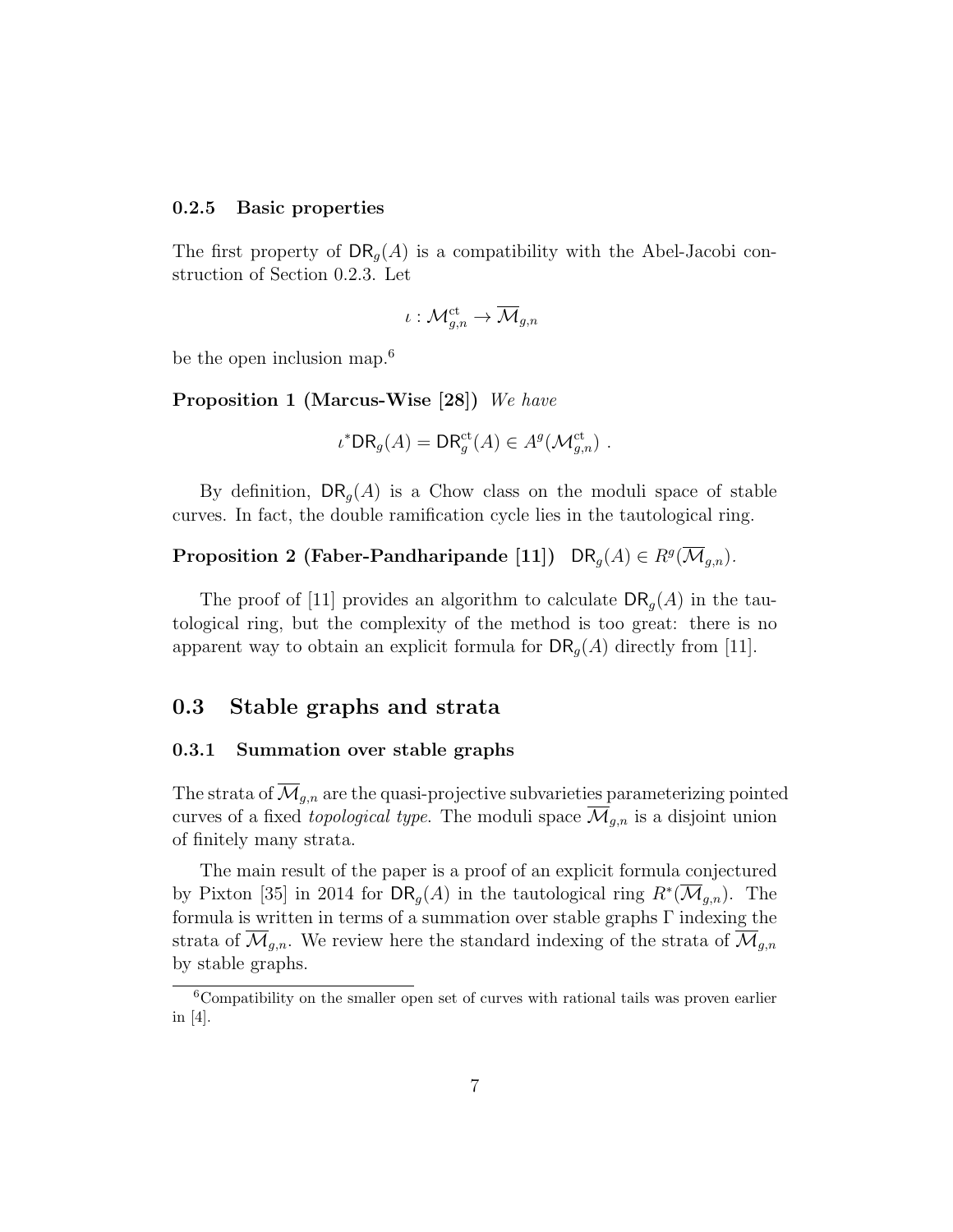#### 0.2.5 Basic properties

The first property of  $DR_q(A)$  is a compatibility with the Abel-Jacobi construction of Section 0.2.3. Let

$$
\iota:{\mathbin{\cal M}}^{\mathrm{ct}}_{g,n}\rightarrow\overline{\mathbin{\cal M}}_{g,n}
$$

be the open inclusion map.<sup>6</sup>

Proposition 1 (Marcus-Wise [28]) We have

$$
\iota^* \mathsf{DR}_g(A) = \mathsf{DR}_g^{\mathrm{ct}}(A) \in A^g(\mathcal{M}_{g,n}^{\mathrm{ct}}) .
$$

By definition,  $\mathsf{DR}_q(A)$  is a Chow class on the moduli space of stable curves. In fact, the double ramification cycle lies in the tautological ring.

## Proposition 2 (Faber-Pandharipande [11]) DR<sub>g</sub>(A)  $\in R^g(\overline{\mathcal M}_{g,n})$ .

The proof of [11] provides an algorithm to calculate  $\text{DR}_q(A)$  in the tautological ring, but the complexity of the method is too great: there is no apparent way to obtain an explicit formula for  $\text{DR}_g(A)$  directly from [11].

### 0.3 Stable graphs and strata

#### 0.3.1 Summation over stable graphs

The strata of  $\overline{\mathcal{M}}_{g,n}$  are the quasi-projective subvarieties parameterizing pointed curves of a fixed topological type. The moduli space  $\overline{\mathcal{M}}_{g,n}$  is a disjoint union of finitely many strata.

The main result of the paper is a proof of an explicit formula conjectured by Pixton [35] in 2014 for  $\mathsf{DR}_g(A)$  in the tautological ring  $R^*(\overline{\mathcal{M}}_{g,n})$ . The formula is written in terms of a summation over stable graphs Γ indexing the strata of  $\mathcal{M}_{q,n}$ . We review here the standard indexing of the strata of  $\mathcal{M}_{q,n}$ by stable graphs.

 ${}^{6}$ Compatibility on the smaller open set of curves with rational tails was proven earlier in [4].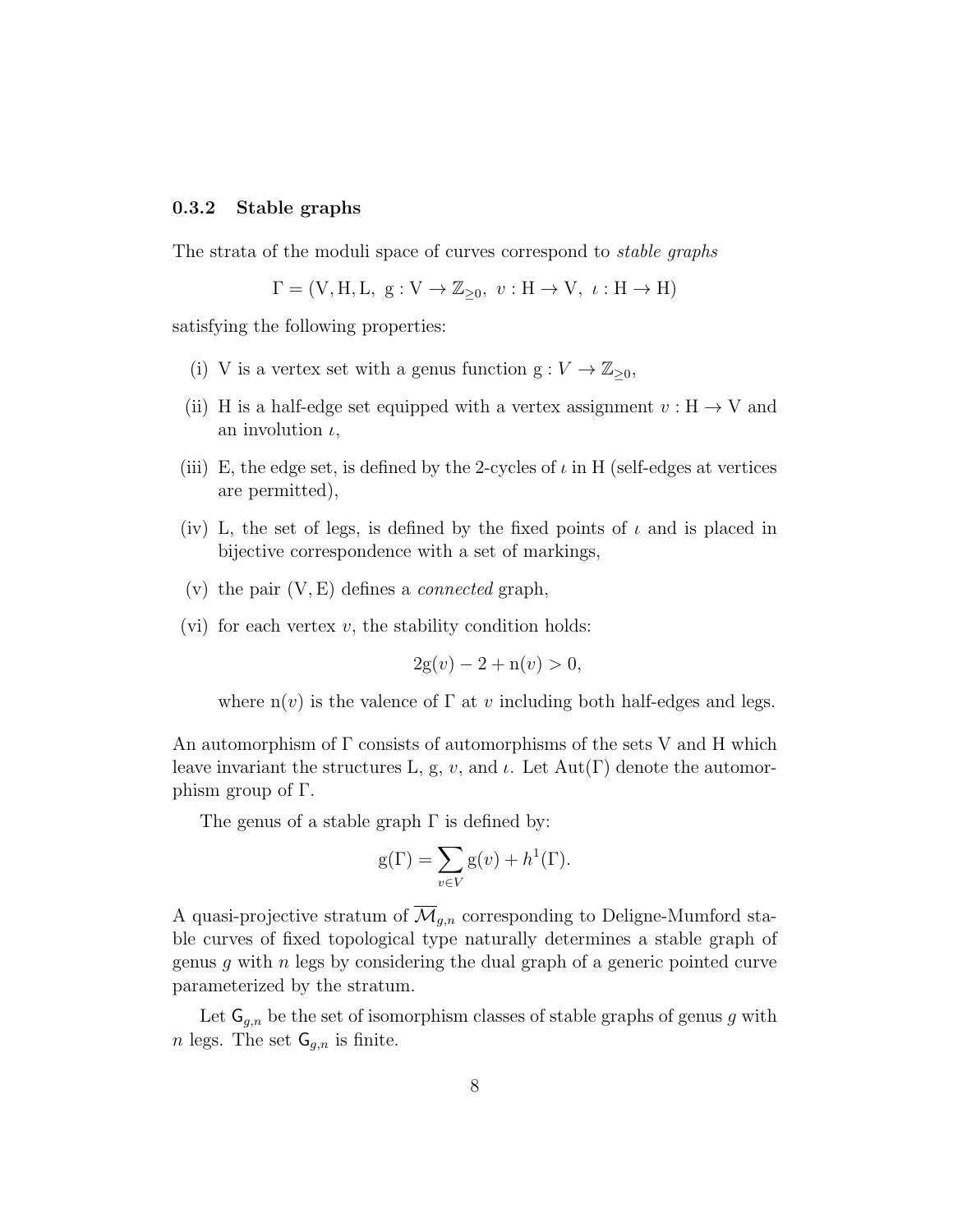#### 0.3.2 Stable graphs

The strata of the moduli space of curves correspond to stable graphs

$$
\Gamma = (V, H, L, g: V \to \mathbb{Z}_{\geq 0}, v: H \to V, \iota: H \to H)
$$

satisfying the following properties:

- (i) V is a vertex set with a genus function  $g: V \to \mathbb{Z}_{\geq 0}$ ,
- (ii) H is a half-edge set equipped with a vertex assignment  $v : H \to V$  and an involution  $\iota$ ,
- (iii) E, the edge set, is defined by the 2-cycles of  $\iota$  in H (self-edges at vertices are permitted),
- (iv) L, the set of legs, is defined by the fixed points of  $\iota$  and is placed in bijective correspondence with a set of markings,
- (v) the pair  $(V, E)$  defines a *connected* graph,
- (vi) for each vertex  $v$ , the stability condition holds:

$$
2g(v) - 2 + n(v) > 0,
$$

where  $n(v)$  is the valence of  $\Gamma$  at v including both half-edges and legs.

An automorphism of  $\Gamma$  consists of automorphisms of the sets V and H which leave invariant the structures L, g, v, and  $\iota$ . Let Aut(Γ) denote the automorphism group of Γ.

The genus of a stable graph  $\Gamma$  is defined by:

$$
g(\Gamma) = \sum_{v \in V} g(v) + h^{1}(\Gamma).
$$

A quasi-projective stratum of  $\overline{\mathcal{M}}_{q,n}$  corresponding to Deligne-Mumford stable curves of fixed topological type naturally determines a stable graph of genus g with  $n$  legs by considering the dual graph of a generic pointed curve parameterized by the stratum.

Let  $\mathsf{G}_{q,n}$  be the set of isomorphism classes of stable graphs of genus g with *n* legs. The set  $\mathsf{G}_{g,n}$  is finite.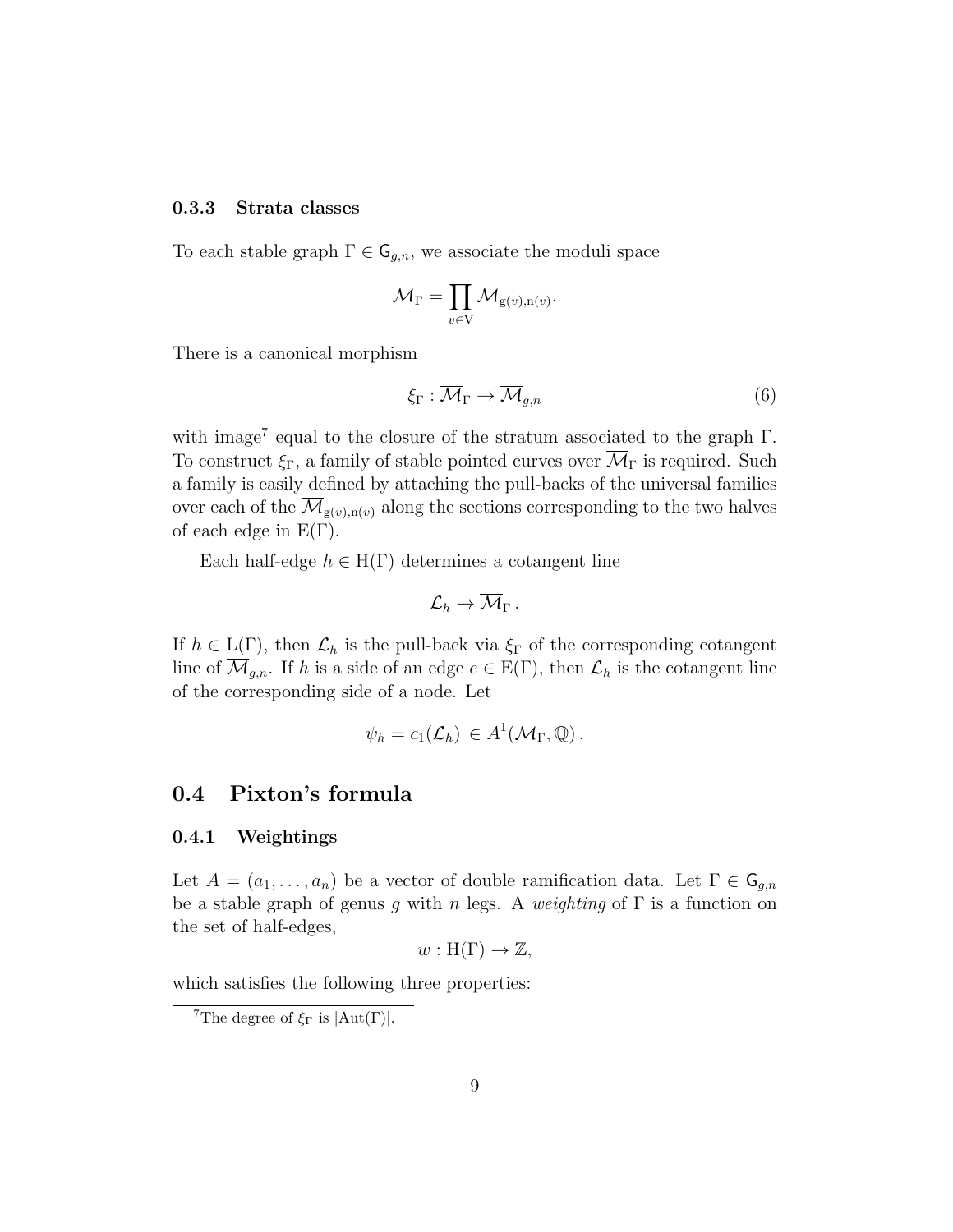#### 0.3.3 Strata classes

To each stable graph  $\Gamma \in \mathsf{G}_{g,n}$ , we associate the moduli space

$$
\overline{\mathcal{M}}_\Gamma=\prod_{v\in \mathrm{V}}\overline{\mathcal{M}}_{\mathrm{g}(v),\mathrm{n}(v)}.
$$

There is a canonical morphism

$$
\xi_{\Gamma} : \overline{\mathcal{M}}_{\Gamma} \to \overline{\mathcal{M}}_{g,n} \tag{6}
$$

with image<sup>7</sup> equal to the closure of the stratum associated to the graph  $\Gamma$ . To construct  $\xi_{\Gamma}$ , a family of stable pointed curves over  $\overline{\mathcal{M}}_{\Gamma}$  is required. Such a family is easily defined by attaching the pull-backs of the universal families over each of the  $\overline{\mathcal{M}}_{g(v),n(v)}$  along the sections corresponding to the two halves of each edge in  $E(\Gamma)$ .

Each half-edge  $h \in H(\Gamma)$  determines a cotangent line

$$
{\cal L}_h \rightarrow \overline{\cal M}_\Gamma \, .
$$

If  $h \in L(\Gamma)$ , then  $\mathcal{L}_h$  is the pull-back via  $\xi_{\Gamma}$  of the corresponding cotangent line of  $\overline{\mathcal{M}}_{g,n}$ . If h is a side of an edge  $e \in E(\Gamma)$ , then  $\mathcal{L}_h$  is the cotangent line of the corresponding side of a node. Let

$$
\psi_h = c_1(\mathcal{L}_h) \in A^1(\overline{\mathcal{M}}_{\Gamma}, \mathbb{Q}).
$$

## 0.4 Pixton's formula

#### 0.4.1 Weightings

Let  $A = (a_1, \ldots, a_n)$  be a vector of double ramification data. Let  $\Gamma \in \mathsf{G}_{g,n}$ be a stable graph of genus g with n legs. A weighting of  $\Gamma$  is a function on the set of half-edges,

$$
w: H(\Gamma) \to \mathbb{Z},
$$

which satisfies the following three properties:

<sup>&</sup>lt;sup>7</sup>The degree of  $\xi_{\Gamma}$  is  $|Aut(\Gamma)|$ .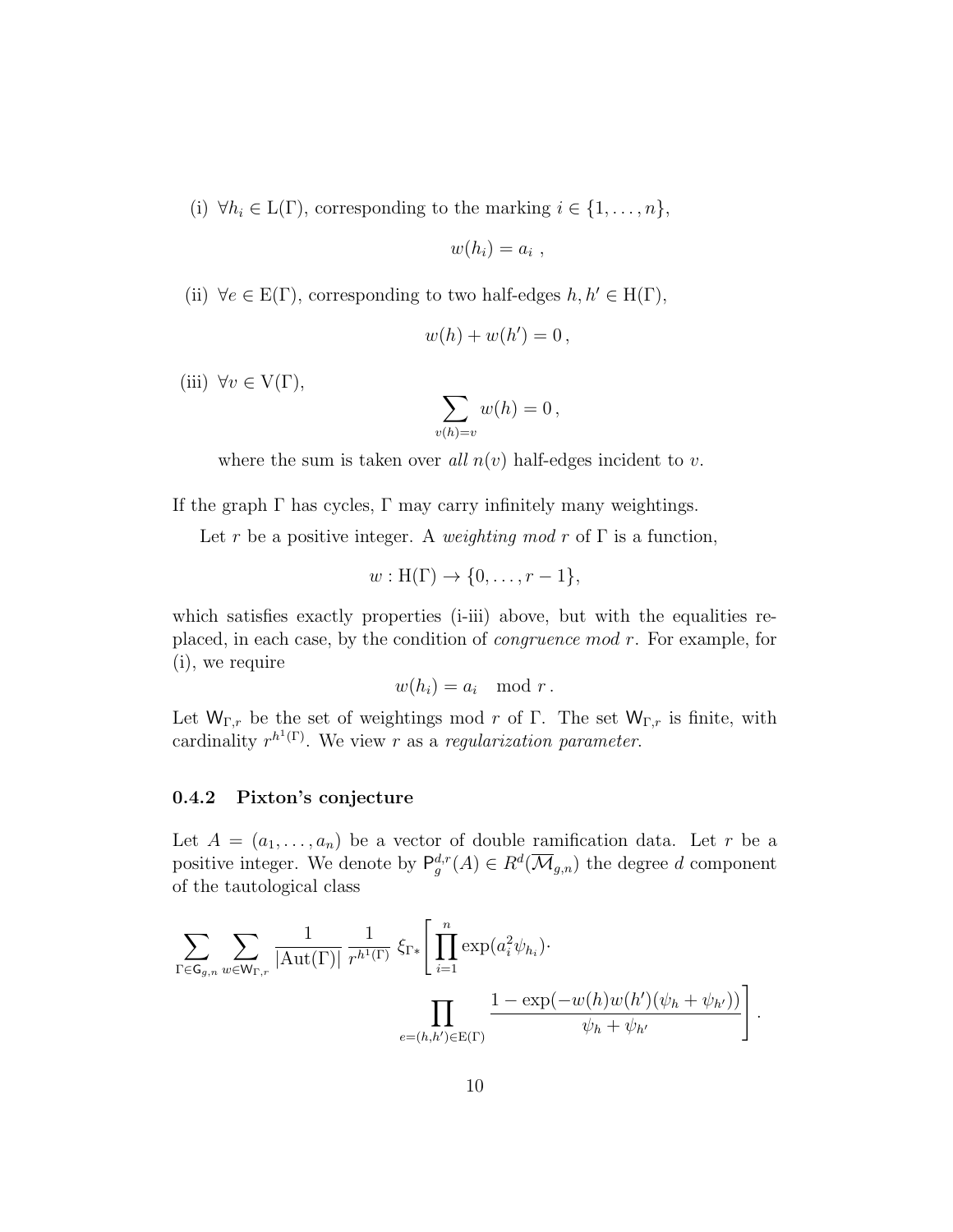(i)  $\forall h_i \in L(\Gamma)$ , corresponding to the marking  $i \in \{1, ..., n\}$ ,

$$
w(h_i)=a_i ,
$$

(ii)  $\forall e \in E(\Gamma)$ , corresponding to two half-edges  $h, h' \in H(\Gamma)$ ,

$$
w(h) + w(h') = 0,
$$

(iii)  $\forall v \in V(\Gamma)$ ,

$$
\sum_{v(h)=v} w(h) = 0,
$$

where the sum is taken over all  $n(v)$  half-edges incident to v.

If the graph  $\Gamma$  has cycles,  $\Gamma$  may carry infinitely many weightings.

Let r be a positive integer. A weighting mod r of  $\Gamma$  is a function,

$$
w: H(\Gamma) \to \{0, \ldots, r-1\},\
$$

which satisfies exactly properties (i-iii) above, but with the equalities replaced, in each case, by the condition of congruence mod r. For example, for (i), we require

$$
w(h_i) = a_i \mod r.
$$

Let  $W_{\Gamma,r}$  be the set of weightings mod r of Γ. The set  $W_{\Gamma,r}$  is finite, with cardinality  $r^{h^1(\Gamma)}$ . We view r as a regularization parameter.

### 0.4.2 Pixton's conjecture

Let  $A = (a_1, \ldots, a_n)$  be a vector of double ramification data. Let r be a positive integer. We denote by  $P_g^{d,r}(A) \in R^d(\overline{\mathcal{M}}_{g,n})$  the degree d component of the tautological class

$$
\sum_{\Gamma \in \mathsf{G}_{g,n}} \sum_{w \in \mathsf{W}_{\Gamma,r}} \frac{1}{|\mathrm{Aut}(\Gamma)|} \frac{1}{r^{h^1(\Gamma)}} \, \xi_{\Gamma*} \Bigg[ \prod_{i=1}^n \exp(a_i^2 \psi_{h_i}) \cdot \prod_{e=(h,h') \in \mathrm{E}(\Gamma)} \frac{1 - \exp(-w(h)w(h')(\psi_h + \psi_{h'}))}{\psi_h + \psi_{h'}} \Bigg].
$$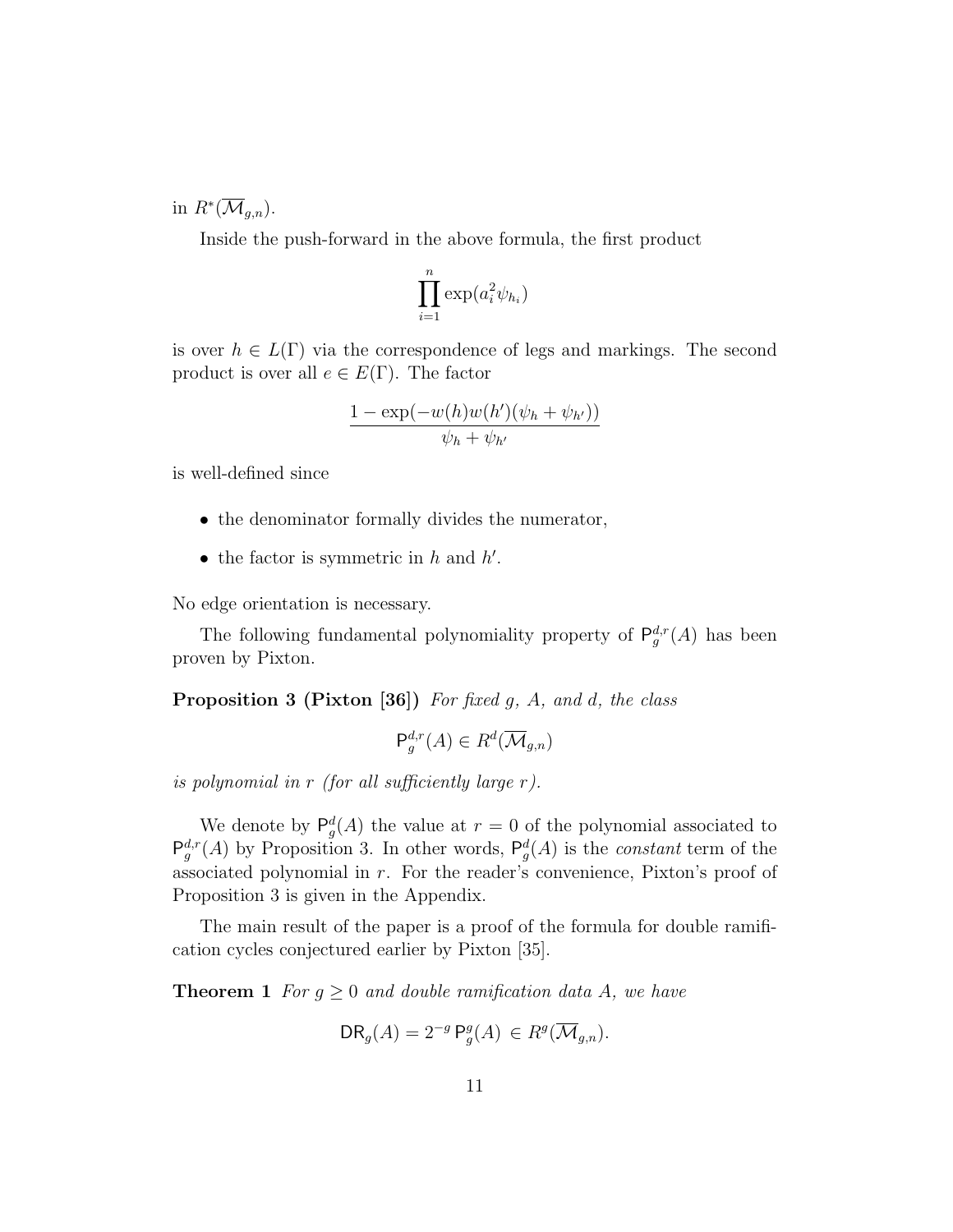in  $R^*(\overline{\mathcal{M}}_{g,n}).$ 

Inside the push-forward in the above formula, the first product

$$
\prod_{i=1}^n \exp(a_i^2 \psi_{h_i})
$$

is over  $h \in L(\Gamma)$  via the correspondence of legs and markings. The second product is over all  $e \in E(\Gamma)$ . The factor

$$
\frac{1 - \exp(-w(h)w(h')(\psi_h + \psi_{h'}))}{\psi_h + \psi_{h'}}
$$

is well-defined since

- the denominator formally divides the numerator,
- the factor is symmetric in  $h$  and  $h'$ .

No edge orientation is necessary.

The following fundamental polynomiality property of  $P_g^{d,r}(A)$  has been proven by Pixton.

**Proposition 3 (Pixton [36])** For fixed g, A, and d, the class

$$
\mathsf{P}_g^{d,r}(A) \in R^d(\overline{\mathcal{M}}_{g,n})
$$

is polynomial in r (for all sufficiently large r).

We denote by  $P_g^d(A)$  the value at  $r = 0$  of the polynomial associated to  $\mathsf{P}_{g}^{d,r}(A)$  by Proposition 3. In other words,  $\mathsf{P}_{g}^{d}(A)$  is the *constant* term of the associated polynomial in r. For the reader's convenience, Pixton's proof of Proposition 3 is given in the Appendix.

The main result of the paper is a proof of the formula for double ramification cycles conjectured earlier by Pixton [35].

**Theorem 1** For  $g \geq 0$  and double ramification data A, we have

$$
DR_g(A) = 2^{-g} P_g^g(A) \in R^g(\overline{\mathcal{M}}_{g,n}).
$$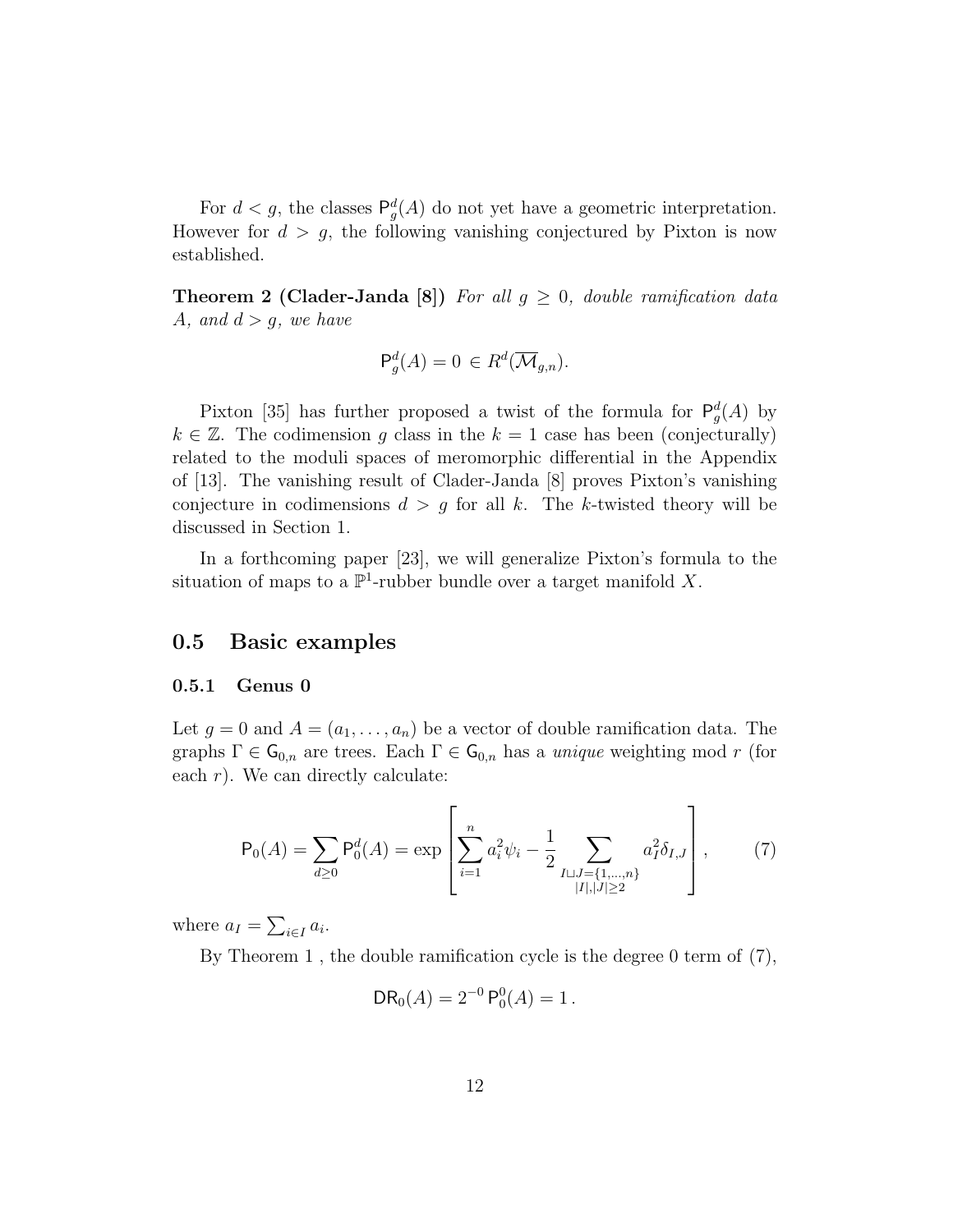For  $d < g$ , the classes  $\mathsf{P}_g^d(A)$  do not yet have a geometric interpretation. However for  $d > g$ , the following vanishing conjectured by Pixton is now established.

**Theorem 2 (Clader-Janda [8])** For all  $g \geq 0$ , double ramification data A, and  $d > g$ , we have

$$
\mathsf{P}^d_g(A) = 0 \in R^d(\overline{\mathcal{M}}_{g,n}).
$$

Pixton [35] has further proposed a twist of the formula for  $P_g^d(A)$  by  $k \in \mathbb{Z}$ . The codimension g class in the  $k = 1$  case has been (conjecturally) related to the moduli spaces of meromorphic differential in the Appendix of [13]. The vanishing result of Clader-Janda [8] proves Pixton's vanishing conjecture in codimensions  $d > g$  for all k. The k-twisted theory will be discussed in Section 1.

In a forthcoming paper [23], we will generalize Pixton's formula to the situation of maps to a  $\mathbb{P}^1$ -rubber bundle over a target manifold X.

## 0.5 Basic examples

#### 0.5.1 Genus 0

Let  $g = 0$  and  $A = (a_1, \ldots, a_n)$  be a vector of double ramification data. The graphs  $\Gamma \in \mathsf{G}_{0,n}$  are trees. Each  $\Gamma \in \mathsf{G}_{0,n}$  has a *unique* weighting mod r (for each  $r$ ). We can directly calculate:

$$
\mathsf{P}_0(A) = \sum_{d \ge 0} \mathsf{P}_0^d(A) = \exp\left[\sum_{i=1}^n a_i^2 \psi_i - \frac{1}{2} \sum_{\substack{I \sqcup J = \{1, \dots, n\} \\ |I|, |J| \ge 2}} a_I^2 \delta_{I,J}\right],\tag{7}
$$

where  $a_I = \sum_{i \in I} a_i$ .

By Theorem 1 , the double ramification cycle is the degree 0 term of (7),

$$
DR_0(A) = 2^{-0} P_0^0(A) = 1.
$$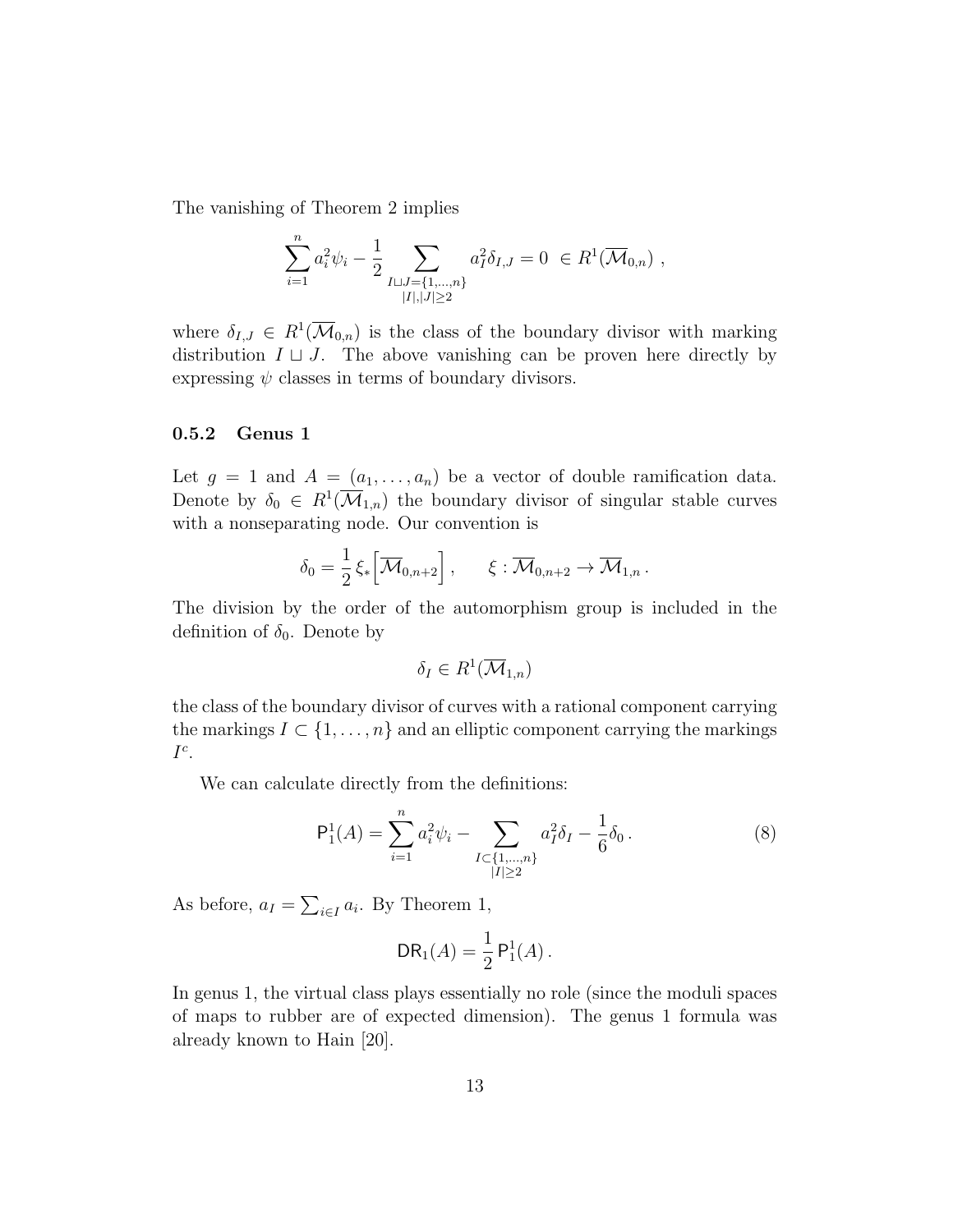The vanishing of Theorem 2 implies

$$
\sum_{i=1}^{n} a_i^2 \psi_i - \frac{1}{2} \sum_{\substack{I \sqcup J = \{1, \dots, n\} \\ |I|, |J| \ge 2}} a_I^2 \delta_{I,J} = 0 \in R^1(\overline{\mathcal{M}}_{0,n}),
$$

where  $\delta_{I,J} \in R^1(\overline{\mathcal{M}}_{0,n})$  is the class of the boundary divisor with marking distribution  $I \sqcup J$ . The above vanishing can be proven here directly by expressing  $\psi$  classes in terms of boundary divisors.

#### 0.5.2 Genus 1

Let  $g = 1$  and  $A = (a_1, \ldots, a_n)$  be a vector of double ramification data. Denote by  $\delta_0 \in R^1(\overline{\mathcal{M}}_{1,n})$  the boundary divisor of singular stable curves with a nonseparating node. Our convention is

$$
\delta_0 = \frac{1}{2} \xi_* \Big[ \overline{\mathcal{M}}_{0,n+2} \Big] , \qquad \xi : \overline{\mathcal{M}}_{0,n+2} \to \overline{\mathcal{M}}_{1,n} .
$$

The division by the order of the automorphism group is included in the definition of  $\delta_0$ . Denote by

$$
\delta_I \in R^1(\overline{\mathcal{M}}_{1,n})
$$

the class of the boundary divisor of curves with a rational component carrying the markings  $I \subset \{1, \ldots, n\}$  and an elliptic component carrying the markings  $I^c$ .

We can calculate directly from the definitions:

$$
\mathsf{P}_1^1(A) = \sum_{i=1}^n a_i^2 \psi_i - \sum_{\substack{I \subset \{1, \dots, n\} \\ |I| \ge 2}} a_I^2 \delta_I - \frac{1}{6} \delta_0 \,. \tag{8}
$$

As before,  $a_I = \sum_{i \in I} a_i$ . By Theorem 1,

$$
DR_1(A) = \frac{1}{2} P_1^1(A).
$$

In genus 1, the virtual class plays essentially no role (since the moduli spaces of maps to rubber are of expected dimension). The genus 1 formula was already known to Hain [20].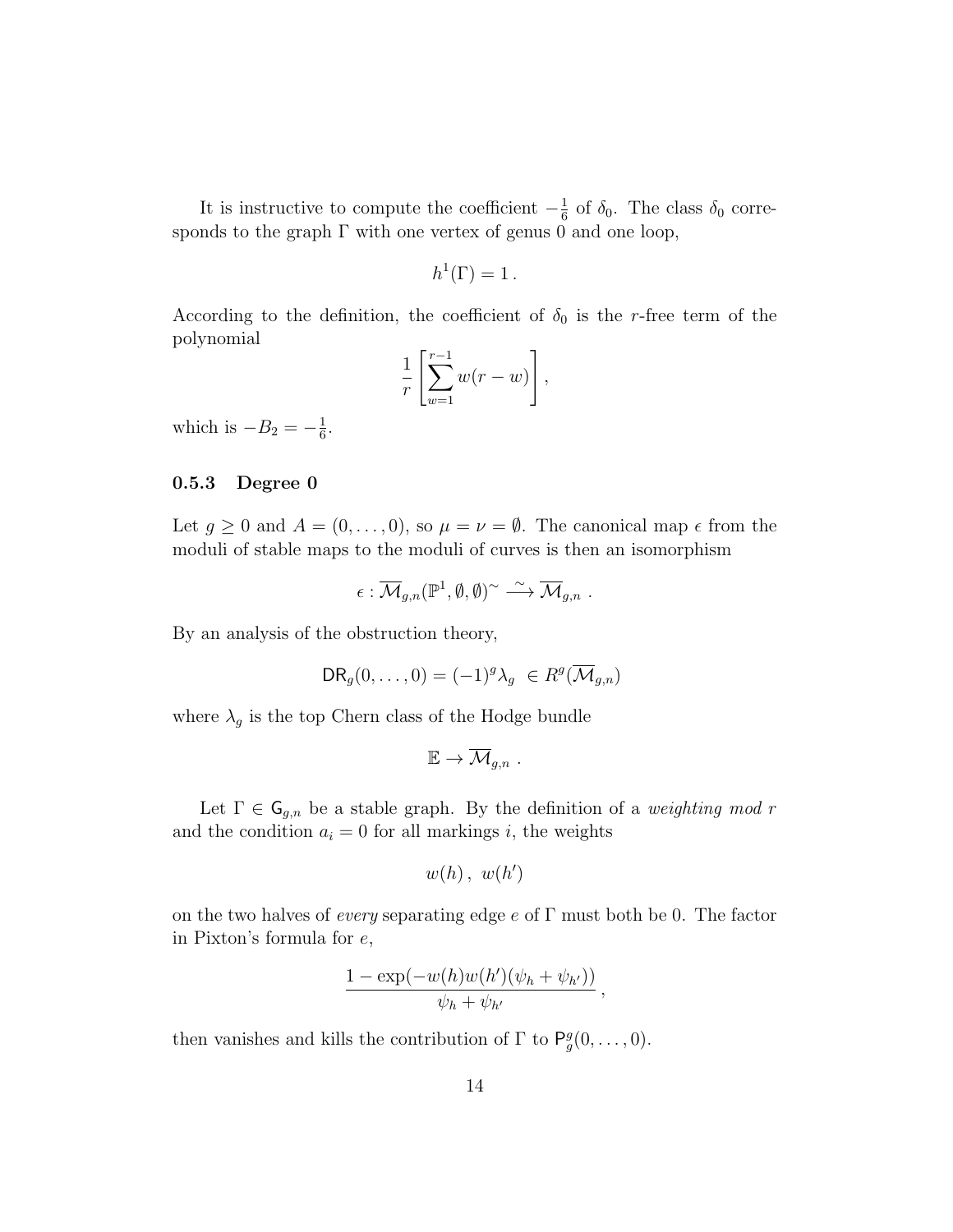It is instructive to compute the coefficient  $-\frac{1}{6}$  $\frac{1}{6}$  of  $\delta_0$ . The class  $\delta_0$  corresponds to the graph  $\Gamma$  with one vertex of genus 0 and one loop,

$$
h^1(\Gamma) = 1.
$$

According to the definition, the coefficient of  $\delta_0$  is the r-free term of the polynomial

$$
\frac{1}{r}\left[\sum_{w=1}^{r-1}w(r-w)\right],
$$

which is  $-B_2 = -\frac{1}{6}$  $\frac{1}{6}$ .

#### 0.5.3 Degree 0

Let  $g \ge 0$  and  $A = (0, \ldots, 0)$ , so  $\mu = \nu = \emptyset$ . The canonical map  $\epsilon$  from the moduli of stable maps to the moduli of curves is then an isomorphism

$$
\epsilon:\overline{\mathcal{M}}_{g,n}(\mathbb{P}^1,\emptyset,\emptyset)^{\sim}\stackrel{\sim}{\longrightarrow}\overline{\mathcal{M}}_{g,n}.
$$

By an analysis of the obstruction theory,

$$
DR_g(0,\ldots,0) = (-1)^g \lambda_g \in R^g(\overline{\mathcal{M}}_{g,n})
$$

where  $\lambda_g$  is the top Chern class of the Hodge bundle

$$
\mathbb{E} \to \overline{\mathcal{M}}_{g,n} .
$$

Let  $\Gamma \in \mathsf{G}_{g,n}$  be a stable graph. By the definition of a *weighting mod r* and the condition  $a_i = 0$  for all markings i, the weights

$$
w(h), w(h')
$$

on the two halves of *every* separating edge  $e$  of  $\Gamma$  must both be 0. The factor in Pixton's formula for e,

$$
\frac{1-\exp(-w(h)w(h')(\psi_h+\psi_{h'}))}{\psi_h+\psi_{h'}}\,,
$$

then vanishes and kills the contribution of  $\Gamma$  to  $P_g^g(0,\ldots,0)$ .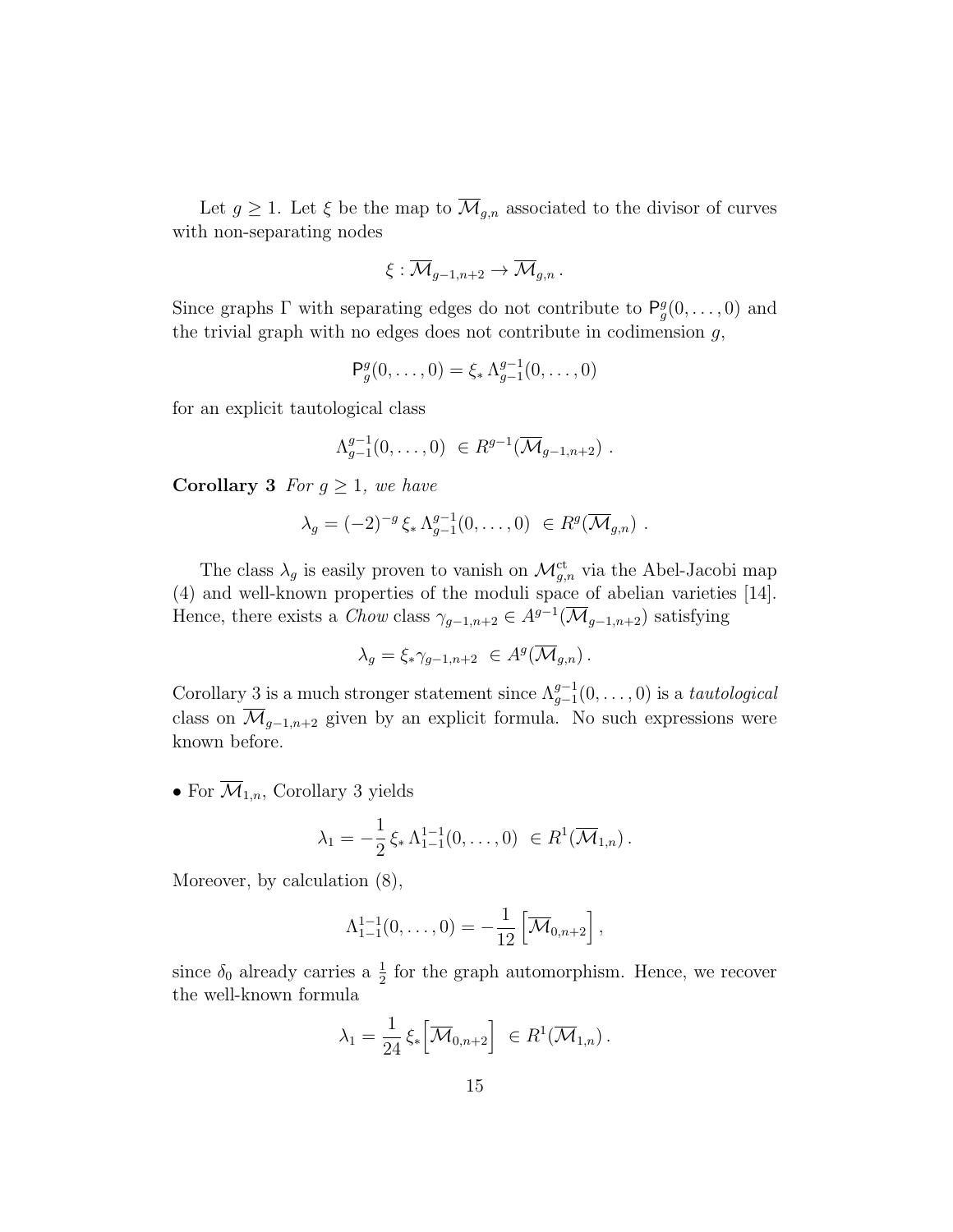Let  $g \geq 1$ . Let  $\xi$  be the map to  $\overline{\mathcal{M}}_{g,n}$  associated to the divisor of curves with non-separating nodes

$$
\xi:\overline{\mathcal{M}}_{g-1,n+2}\to\overline{\mathcal{M}}_{g,n}.
$$

Since graphs  $\Gamma$  with separating edges do not contribute to  $P_g^g(0,\ldots,0)$  and the trivial graph with no edges does not contribute in codimension  $g$ ,

$$
\mathsf{P}^g_g(0,\ldots,0) = \xi_* \Lambda_{g-1}^{g-1}(0,\ldots,0)
$$

for an explicit tautological class

$$
\Lambda_{g-1}^{g-1}(0,\ldots,0) \in R^{g-1}(\overline{\mathcal{M}}_{g-1,n+2}) \ .
$$

**Corollary 3** For  $g \geq 1$ , we have

$$
\lambda_g = (-2)^{-g} \xi_* \Lambda_{g-1}^{g-1}(0,\ldots,0) \in R^g(\overline{\mathcal{M}}_{g,n}) .
$$

The class  $\lambda_g$  is easily proven to vanish on  $\mathcal{M}_{g,n}^{\text{ct}}$  via the Abel-Jacobi map (4) and well-known properties of the moduli space of abelian varieties [14]. Hence, there exists a *Chow* class  $\gamma_{g-1,n+2} \in A^{g-1}(\overline{\mathcal{M}}_{g-1,n+2})$  satisfying

$$
\lambda_g = \xi_* \gamma_{g-1, n+2} \ \in A^g(\overline{\mathcal{M}}_{g,n}) \, .
$$

Corollary 3 is a much stronger statement since  $\Lambda_{g-1}^{g-1}(0,\ldots,0)$  is a tautological class on  $\overline{\mathcal{M}}_{g-1,n+2}$  given by an explicit formula. No such expressions were known before.

• For  $\overline{\mathcal{M}}_{1,n}$ , Corollary 3 yields

$$
\lambda_1 = -\frac{1}{2} \xi_* \Lambda_{1-1}^{1-1}(0,\ldots,0) \in R^1(\overline{\mathcal{M}}_{1,n}).
$$

Moreover, by calculation (8),

$$
\Lambda_{1-1}^{1-1}(0,\ldots,0) = -\frac{1}{12} \left[ \overline{\mathcal{M}}_{0,n+2} \right],
$$

since  $\delta_0$  already carries a  $\frac{1}{2}$  for the graph automorphism. Hence, we recover the well-known formula

$$
\lambda_1 = \frac{1}{24} \xi_* \Big[ \overline{\mathcal{M}}_{0,n+2} \Big] \in R^1(\overline{\mathcal{M}}_{1,n}).
$$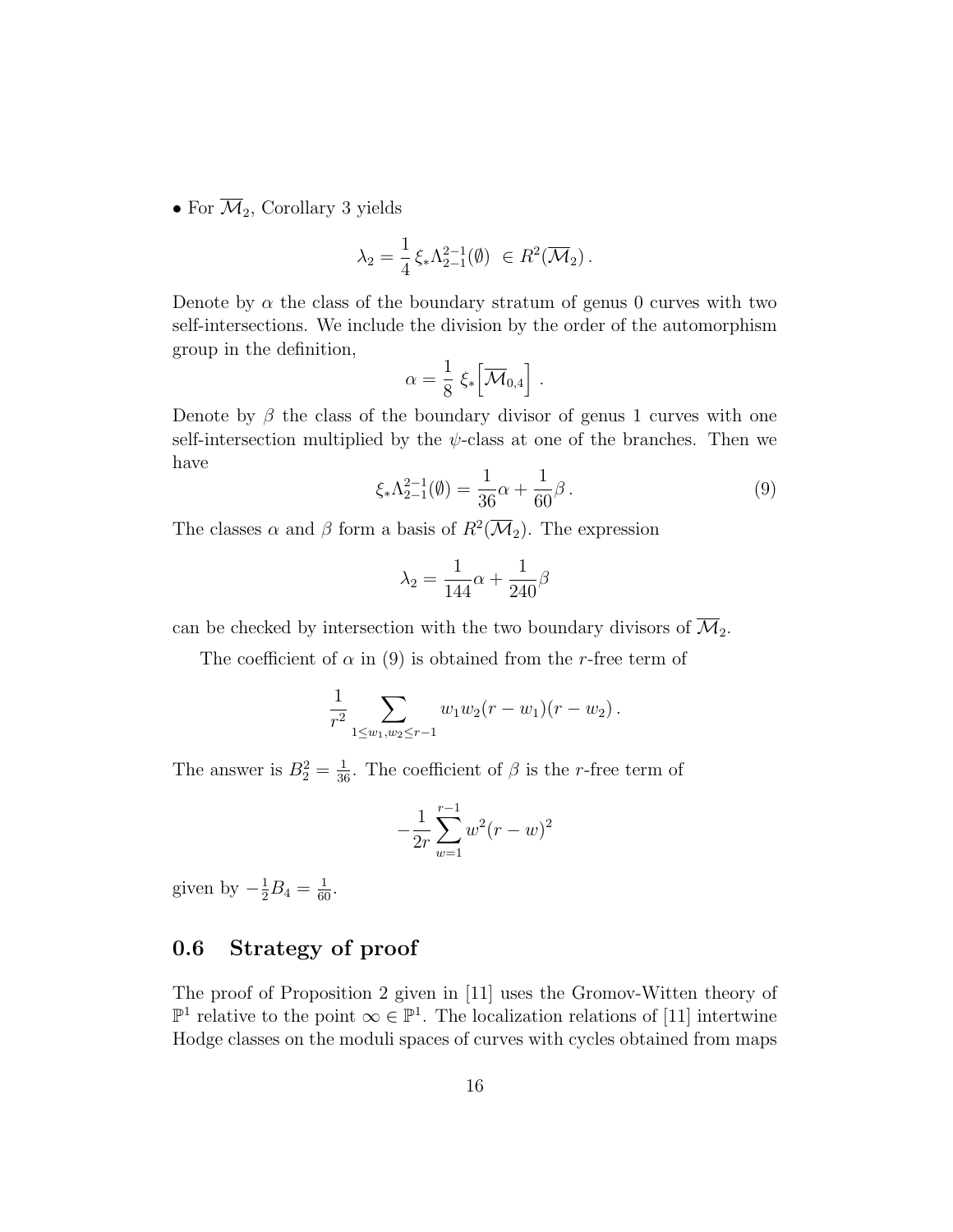• For  $\overline{\mathcal{M}}_2$ , Corollary 3 yields

$$
\lambda_2 = \frac{1}{4} \xi_* \Lambda_{2-1}^{2-1}(\emptyset) \in R^2(\overline{\mathcal{M}}_2).
$$

Denote by  $\alpha$  the class of the boundary stratum of genus 0 curves with two self-intersections. We include the division by the order of the automorphism group in the definition,

$$
\alpha = \frac{1}{8} \; \xi_* \Big[ \overline{\mathcal{M}}_{0,4} \Big] \; .
$$

Denote by  $\beta$  the class of the boundary divisor of genus 1 curves with one self-intersection multiplied by the  $\psi$ -class at one of the branches. Then we have

$$
\xi_* \Lambda_{2-1}^{2-1}(\emptyset) = \frac{1}{36} \alpha + \frac{1}{60} \beta \,. \tag{9}
$$

The classes  $\alpha$  and  $\beta$  form a basis of  $R^2(\overline{\mathcal{M}}_2)$ . The expression

$$
\lambda_2 = \frac{1}{144}\alpha + \frac{1}{240}\beta
$$

can be checked by intersection with the two boundary divisors of  $\overline{\mathcal{M}}_2$ .

The coefficient of  $\alpha$  in (9) is obtained from the r-free term of

$$
\frac{1}{r^2}\sum_{1\leq w_1,w_2\leq r-1}w_1w_2(r-w_1)(r-w_2).
$$

The answer is  $B_2^2 = \frac{1}{36}$ . The coefficient of  $\beta$  is the *r*-free term of

$$
-\frac{1}{2r}\sum_{w=1}^{r-1}w^2(r-w)^2
$$

given by  $-\frac{1}{2}B_4 = \frac{1}{60}$ .

## 0.6 Strategy of proof

The proof of Proposition 2 given in [11] uses the Gromov-Witten theory of  $\mathbb{P}^1$  relative to the point ∞ ∈  $\mathbb{P}^1$ . The localization relations of [11] intertwine Hodge classes on the moduli spaces of curves with cycles obtained from maps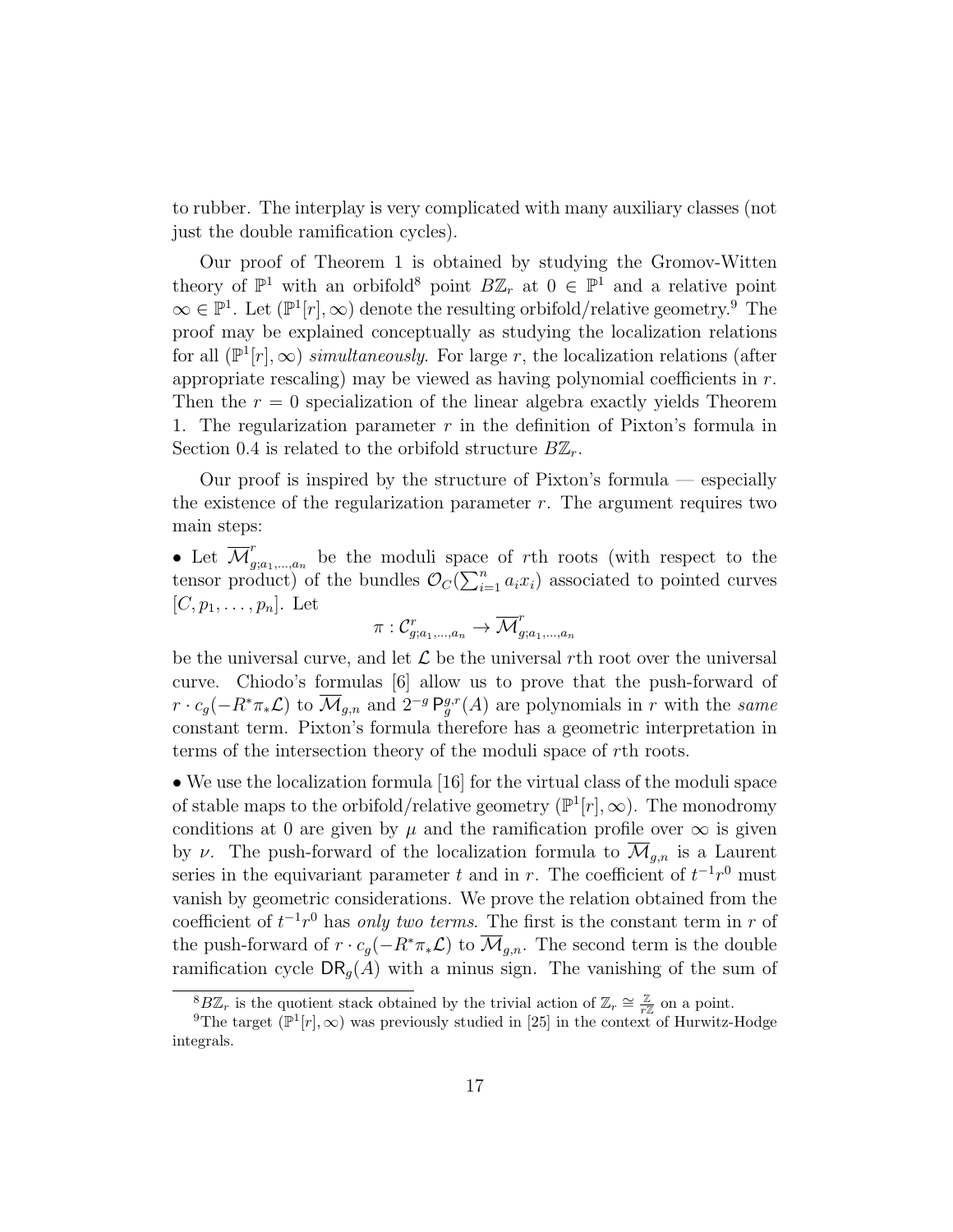to rubber. The interplay is very complicated with many auxiliary classes (not just the double ramification cycles).

Our proof of Theorem 1 is obtained by studying the Gromov-Witten theory of  $\mathbb{P}^1$  with an orbifold<sup>8</sup> point  $B\mathbb{Z}_r$  at  $0 \in \mathbb{P}^1$  and a relative point  $\infty \in \mathbb{P}^1$ . Let  $(\mathbb{P}^1[r], \infty)$  denote the resulting orbifold/relative geometry.<sup>9</sup> The proof may be explained conceptually as studying the localization relations for all  $(\mathbb{P}^1[r],\infty)$  simultaneously. For large r, the localization relations (after appropriate rescaling) may be viewed as having polynomial coefficients in  $r$ . Then the  $r = 0$  specialization of the linear algebra exactly yields Theorem 1. The regularization parameter  $r$  in the definition of Pixton's formula in Section 0.4 is related to the orbifold structure  $B\mathbb{Z}_r$ .

Our proof is inspired by the structure of Pixton's formula — especially the existence of the regularization parameter  $r$ . The argument requires two main steps:

• Let  $\overline{\mathcal{M}}_a^r$  $g_{i,a_1,\dots,a_n}$  be the moduli space of rth roots (with respect to the tensor product) of the bundles  $\mathcal{O}_C(\sum_{i=1}^n a_i x_i)$  associated to pointed curves  $[C, p_1, \ldots, p_n]$ . Let

$$
\pi: \mathcal{C}_{g;a_1,...,a_n}^r \to \overline{\mathcal{M}}_{g;a_1,...,a_n}^r
$$

be the universal curve, and let  $\mathcal L$  be the universal rth root over the universal curve. Chiodo's formulas [6] allow us to prove that the push-forward of  $r \cdot c_g(-R^*\pi_*\mathcal{L})$  to  $\overline{\mathcal{M}}_{g,n}$  and  $2^{-g}P_g^{g,r}(A)$  are polynomials in r with the same constant term. Pixton's formula therefore has a geometric interpretation in terms of the intersection theory of the moduli space of rth roots.

• We use the localization formula [16] for the virtual class of the moduli space of stable maps to the orbifold/relative geometry  $(\mathbb{P}^1[r], \infty)$ . The monodromy conditions at 0 are given by  $\mu$  and the ramification profile over  $\infty$  is given by v. The push-forward of the localization formula to  $\overline{\mathcal{M}}_{q,n}$  is a Laurent series in the equivariant parameter t and in r. The coefficient of  $t^{-1}r^0$  must vanish by geometric considerations. We prove the relation obtained from the coefficient of  $t^{-1}r^0$  has *only two terms*. The first is the constant term in r of the push-forward of  $r \cdot c_q(-R^*\pi_*\mathcal{L})$  to  $\overline{\mathcal{M}}_{q,n}$ . The second term is the double ramification cycle  $DR<sub>g</sub>(A)$  with a minus sign. The vanishing of the sum of

<sup>&</sup>lt;sup>8</sup>B $\mathbb{Z}_r$  is the quotient stack obtained by the trivial action of  $\mathbb{Z}_r \cong \frac{\mathbb{Z}}{r\mathbb{Z}}$  on a point.

<sup>&</sup>lt;sup>9</sup>The target ( $\mathbb{P}^1[r],\infty$ ) was previously studied in [25] in the context of Hurwitz-Hodge integrals.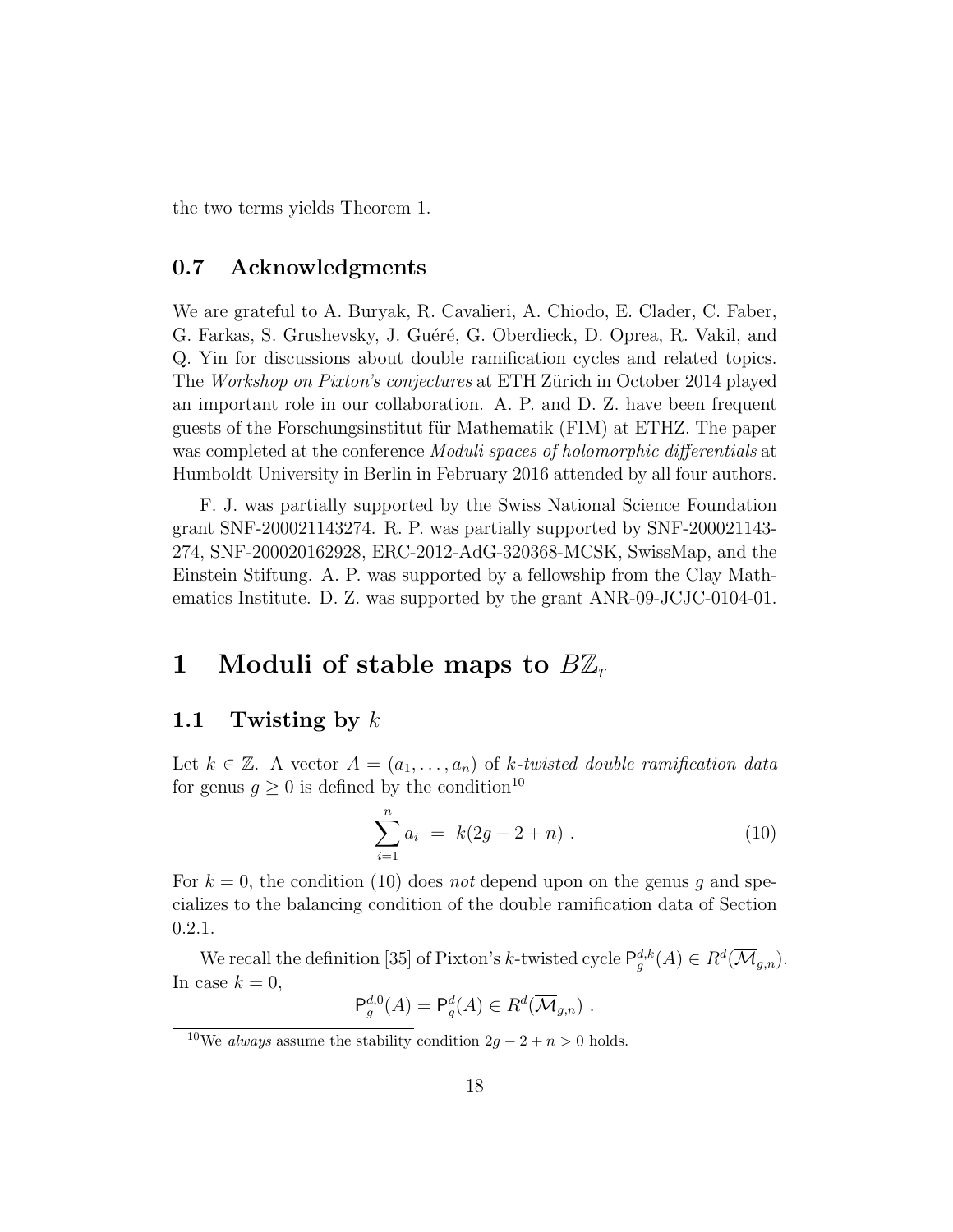the two terms yields Theorem 1.

## 0.7 Acknowledgments

We are grateful to A. Buryak, R. Cavalieri, A. Chiodo, E. Clader, C. Faber, G. Farkas, S. Grushevsky, J. Guéré, G. Oberdieck, D. Oprea, R. Vakil, and Q. Yin for discussions about double ramification cycles and related topics. The Workshop on Pixton's conjectures at ETH Zürich in October 2014 played an important role in our collaboration. A. P. and D. Z. have been frequent guests of the Forschungsinstitut für Mathematik (FIM) at ETHZ. The paper was completed at the conference *Moduli spaces of holomorphic differentials* at Humboldt University in Berlin in February 2016 attended by all four authors.

F. J. was partially supported by the Swiss National Science Foundation grant SNF-200021143274. R. P. was partially supported by SNF-200021143- 274, SNF-200020162928, ERC-2012-AdG-320368-MCSK, SwissMap, and the Einstein Stiftung. A. P. was supported by a fellowship from the Clay Mathematics Institute. D. Z. was supported by the grant ANR-09-JCJC-0104-01.

## 1 Moduli of stable maps to  $B\mathbb{Z}_r$

## 1.1 Twisting by  $k$

Let  $k \in \mathbb{Z}$ . A vector  $A = (a_1, \ldots, a_n)$  of k-twisted double ramification data for genus  $q \geq 0$  is defined by the condition<sup>10</sup>

$$
\sum_{i=1}^{n} a_i = k(2g - 2 + n) . \tag{10}
$$

For  $k = 0$ , the condition (10) does not depend upon on the genus q and specializes to the balancing condition of the double ramification data of Section 0.2.1.

We recall the definition [35] of Pixton's k-twisted cycle  $P_g^{d,k}(A) \in R^d(\overline{\mathcal{M}}_{g,n}).$ In case  $k = 0$ ,

$$
\mathsf{P}_g^{d,0}(A) = \mathsf{P}_g^d(A) \in R^d(\overline{\mathcal{M}}_{g,n}) \ .
$$

<sup>&</sup>lt;sup>10</sup>We always assume the stability condition  $2g - 2 + n > 0$  holds.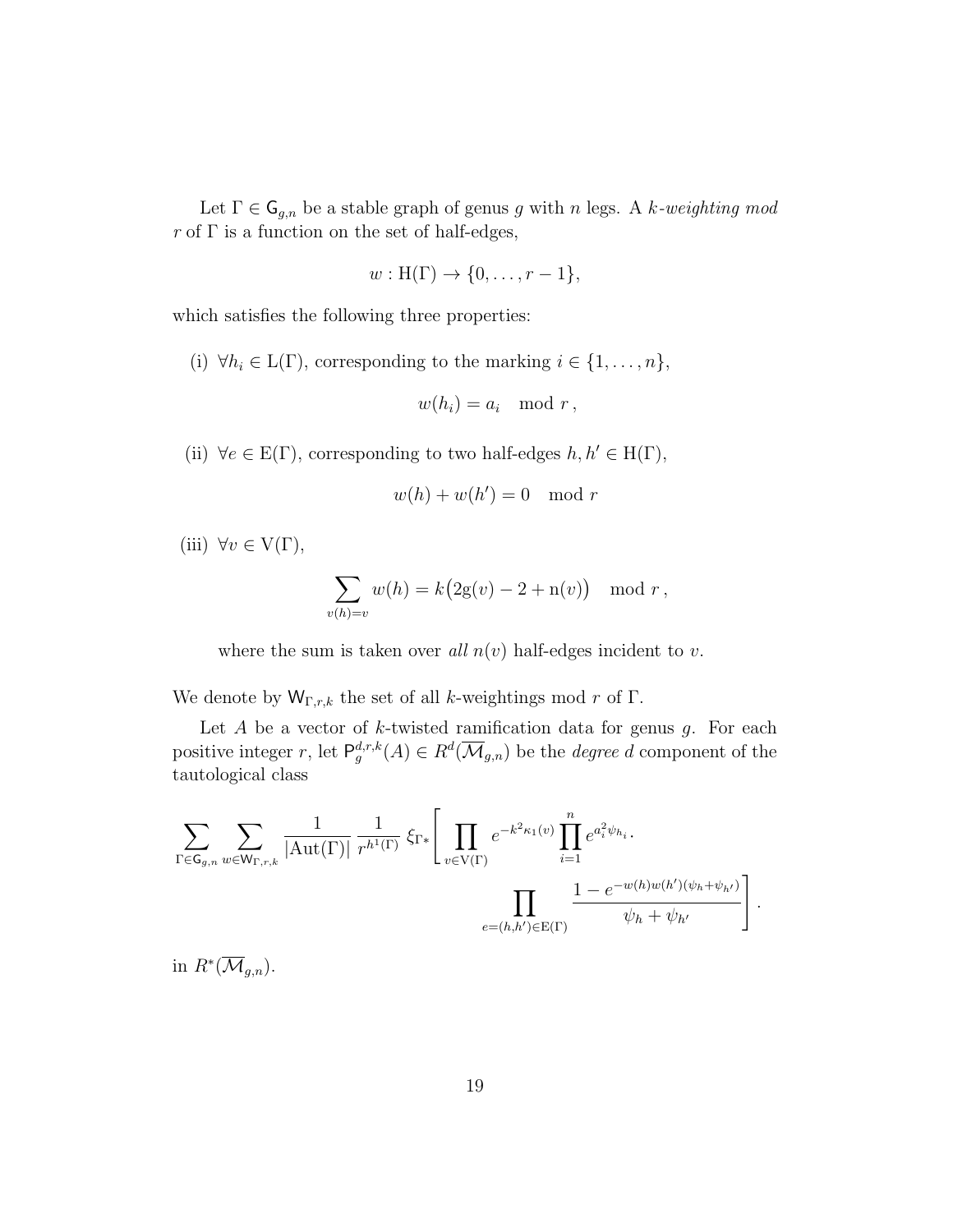Let  $\Gamma \in \mathsf{G}_{g,n}$  be a stable graph of genus g with n legs. A k-weighting mod r of  $\Gamma$  is a function on the set of half-edges,

$$
w: H(\Gamma) \to \{0, \ldots, r-1\},\
$$

which satisfies the following three properties:

(i)  $\forall h_i \in L(\Gamma)$ , corresponding to the marking  $i \in \{1, ..., n\}$ ,

$$
w(h_i) = a_i \mod r,
$$

(ii)  $\forall e \in E(\Gamma)$ , corresponding to two half-edges  $h, h' \in H(\Gamma)$ ,

$$
w(h) + w(h') = 0 \mod r
$$

(iii)  $\forall v \in V(\Gamma)$ ,

$$
\sum_{v(h)=v} w(h) = k(2g(v) - 2 + n(v)) \mod r,
$$

where the sum is taken over all  $n(v)$  half-edges incident to v.

We denote by  $W_{\Gamma,r,k}$  the set of all k-weightings mod r of  $\Gamma$ .

Let A be a vector of  $k$ -twisted ramification data for genus  $q$ . For each positive integer r, let  $P_g^{d,r,k}(A) \in R^d(\overline{\mathcal{M}}_{g,n})$  be the *degree d* component of the tautological class

$$
\sum_{\Gamma \in \mathsf{G}_{g,n}} \sum_{w \in \mathsf{W}_{\Gamma,r,k}} \frac{1}{|\mathrm{Aut}(\Gamma)|} \frac{1}{r^{h^1(\Gamma)}} \, \xi_{\Gamma*} \Bigg[ \prod_{v \in \mathrm{V}(\Gamma)} e^{-k^2 \kappa_1(v)} \prod_{i=1}^n e^{a_i^2 \psi_{h_i}} \cdot \frac{\prod_{e \in \mathrm{W}(h)w(h')(\psi_h + \psi_{h'})}}{\psi_h + \psi_{h'}} \Bigg] \, .
$$

in  $R^*(\overline{\mathcal{M}}_{g,n}).$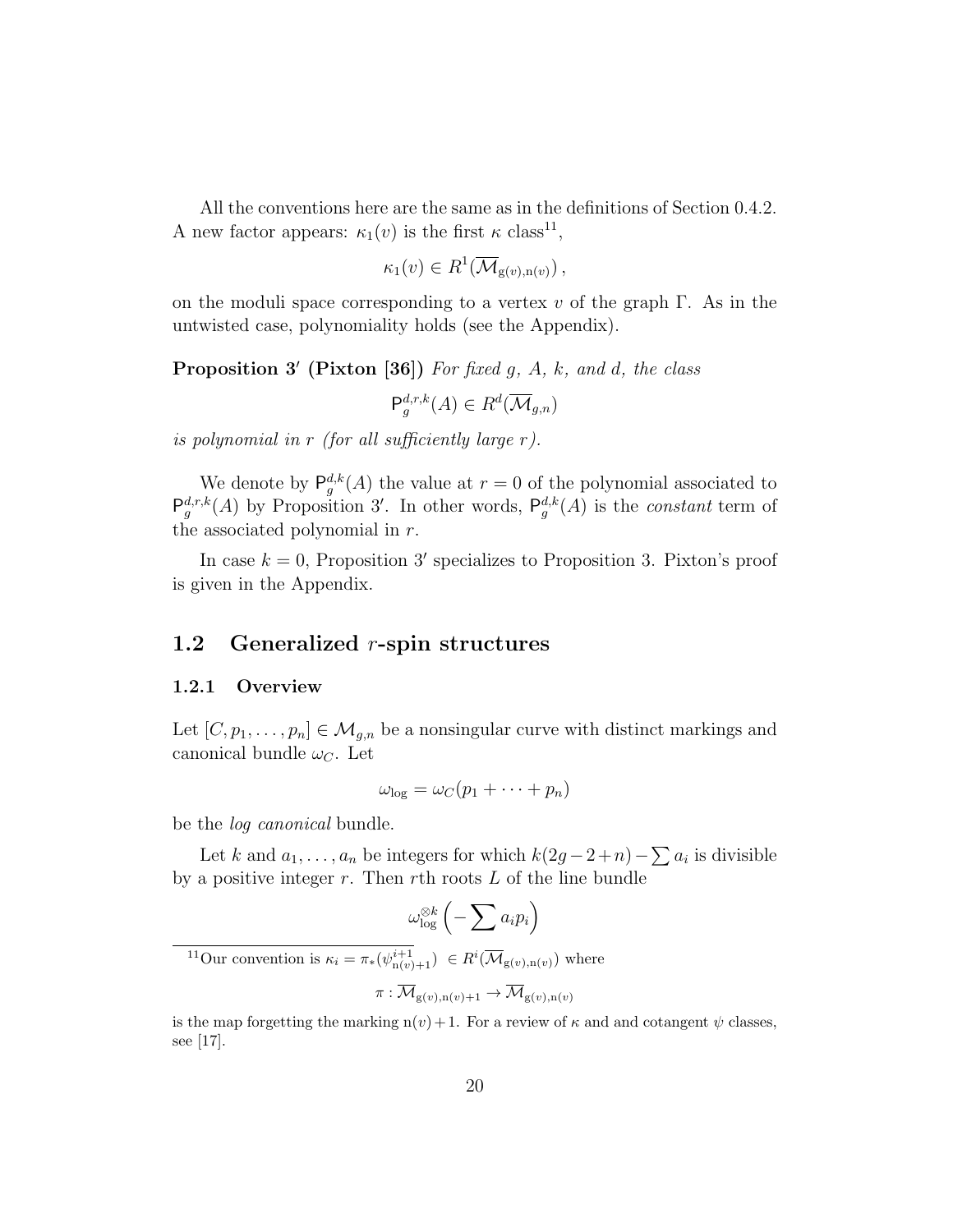All the conventions here are the same as in the definitions of Section 0.4.2. A new factor appears:  $\kappa_1(v)$  is the first  $\kappa$  class<sup>11</sup>,

$$
\kappa_1(v) \in R^1(\overline{\mathcal{M}}_{g(v),n(v)})\,,
$$

on the moduli space corresponding to a vertex v of the graph  $\Gamma$ . As in the untwisted case, polynomiality holds (see the Appendix).

**Proposition 3'** (Pixton [36]) For fixed g, A, k, and d, the class

 $\mathsf{P}^{d,r,k}_g(A) \in R^d(\overline{\mathcal{M}}_{g,n})$ 

is polynomial in  $r$  (for all sufficiently large  $r$ ).

We denote by  $P_g^{d,k}(A)$  the value at  $r = 0$  of the polynomial associated to  $\mathsf{P}_{g}^{d,r,k}(A)$  by Proposition 3'. In other words,  $\mathsf{P}_{g}^{d,k}(A)$  is the *constant* term of the associated polynomial in  $r$ .

In case  $k = 0$ , Proposition 3' specializes to Proposition 3. Pixton's proof is given in the Appendix.

## 1.2 Generalized  $r$ -spin structures

#### 1.2.1 Overview

Let  $[C, p_1, \ldots, p_n] \in \mathcal{M}_{g,n}$  be a nonsingular curve with distinct markings and canonical bundle  $\omega_C$ . Let

$$
\omega_{\log} = \omega_C(p_1 + \cdots + p_n)
$$

be the log canonical bundle.

Let k and  $a_1, \ldots, a_n$  be integers for which  $k(2g - 2 + n) - \sum a_i$  is divisible by a positive integer  $r$ . Then  $r$ th roots  $L$  of the line bundle

$$
\omega_{\log}^{\otimes k} \left( -\sum a_i p_i \right)
$$
  
<sup>11</sup>Our convention is  $\kappa_i = \pi_*(\psi_{\mathbf{n}(v)+1}^{i+1}) \in R^i(\overline{\mathcal{M}}_{\mathbf{g}(v),\mathbf{n}(v)})$  where  

$$
\pi : \overline{\mathcal{M}}_{\mathbf{g}(v),\mathbf{n}(v)+1} \to \overline{\mathcal{M}}_{\mathbf{g}(v),\mathbf{n}(v)}
$$

is the map forgetting the marking  $n(v)+1$ . For a review of  $\kappa$  and and cotangent  $\psi$  classes, see [17].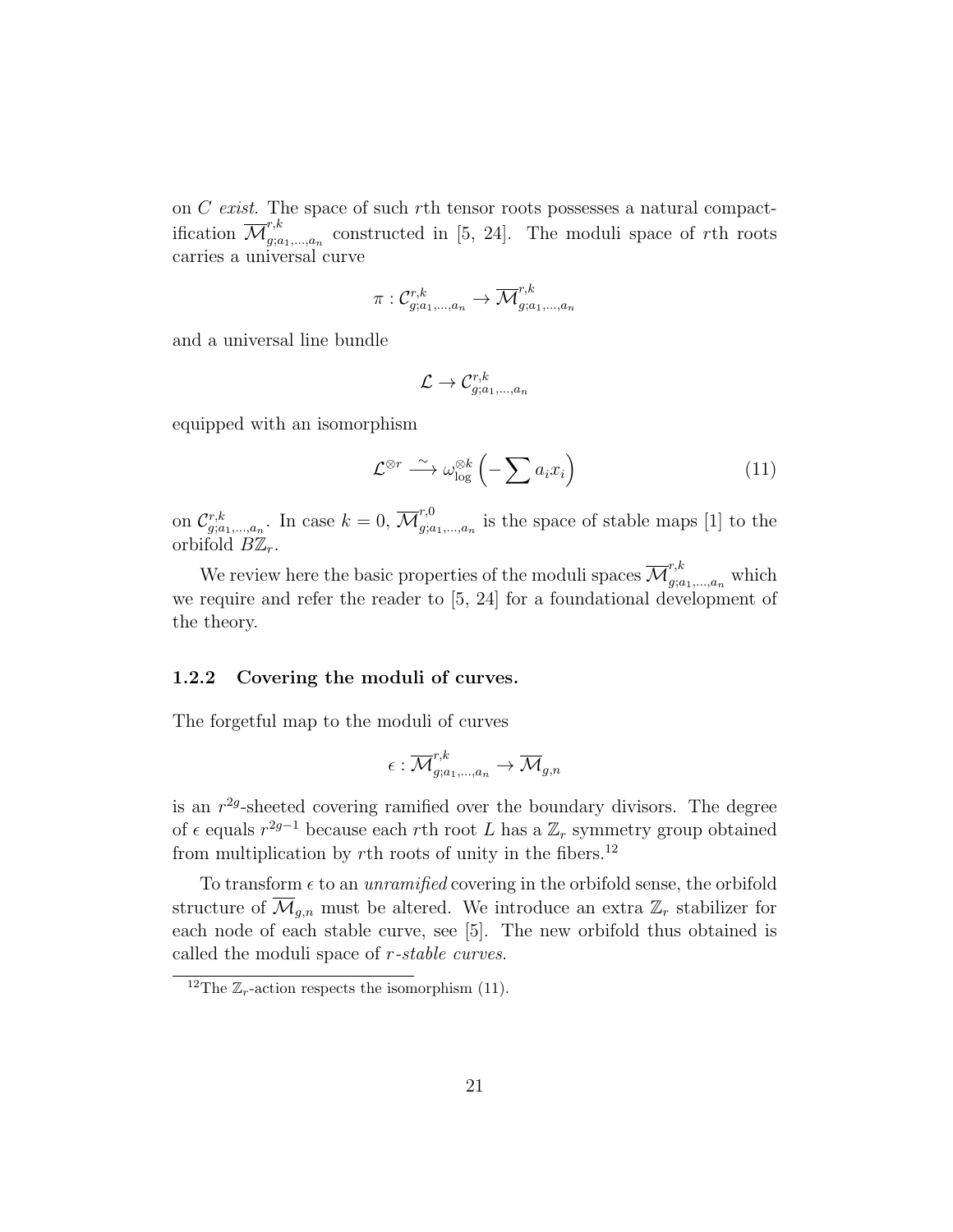on C exist. The space of such rth tensor roots possesses a natural compactification  $\overline{\mathcal{M}}^{r,k}_{a:a}$  $g_{i,a_1,\dots,a_n}^{n,\kappa}$  constructed in [5, 24]. The moduli space of rth roots carries a universal curve

$$
\pi: \mathcal{C}_{g;a_1,\ldots,a_n}^{r,k} \to \overline{\mathcal{M}}_{g;a_1,\ldots,a_n}^{r,k}
$$

and a universal line bundle

$$
\mathcal{L} \to \mathcal{C}^{r,k}_{g;a_1,...,a_n}
$$

equipped with an isomorphism

$$
\mathcal{L}^{\otimes r} \stackrel{\sim}{\longrightarrow} \omega_{\log}^{\otimes k} \left( -\sum a_i x_i \right) \tag{11}
$$

on  $\mathcal{C}_{g;a_1,...,a_n}^{r,k}$ . In case  $k=0, \overline{\mathcal{M}}_{g;a}^{r,0}$  $g_{i,a_1,\dots,a_n}$  is the space of stable maps [1] to the orbifold  $B\mathbb{Z}_r$ .

We review here the basic properties of the moduli spaces  $\overline{\mathcal{M}}^{r,k}_{g;a_1,\dots,a_n}$  which we require and refer the reader to [5, 24] for a foundational development of the theory.

#### 1.2.2 Covering the moduli of curves.

The forgetful map to the moduli of curves

$$
\epsilon: \overline{\mathcal{M}}^{r,k}_{g;a_1,\dots,a_n} \to \overline{\mathcal{M}}_{g,n}
$$

is an  $r^{2g}$ -sheeted covering ramified over the boundary divisors. The degree of  $\epsilon$  equals  $r^{2g-1}$  because each rth root L has a  $\mathbb{Z}_r$  symmetry group obtained from multiplication by  $r$ th roots of unity in the fibers.<sup>12</sup>

To transform  $\epsilon$  to an *unramified* covering in the orbifold sense, the orbifold structure of  $\overline{\mathcal{M}}_{q,n}$  must be altered. We introduce an extra  $\mathbb{Z}_r$  stabilizer for each node of each stable curve, see [5]. The new orbifold thus obtained is called the moduli space of r-stable curves.

<sup>&</sup>lt;sup>12</sup>The  $\mathbb{Z}_r$ -action respects the isomorphism (11).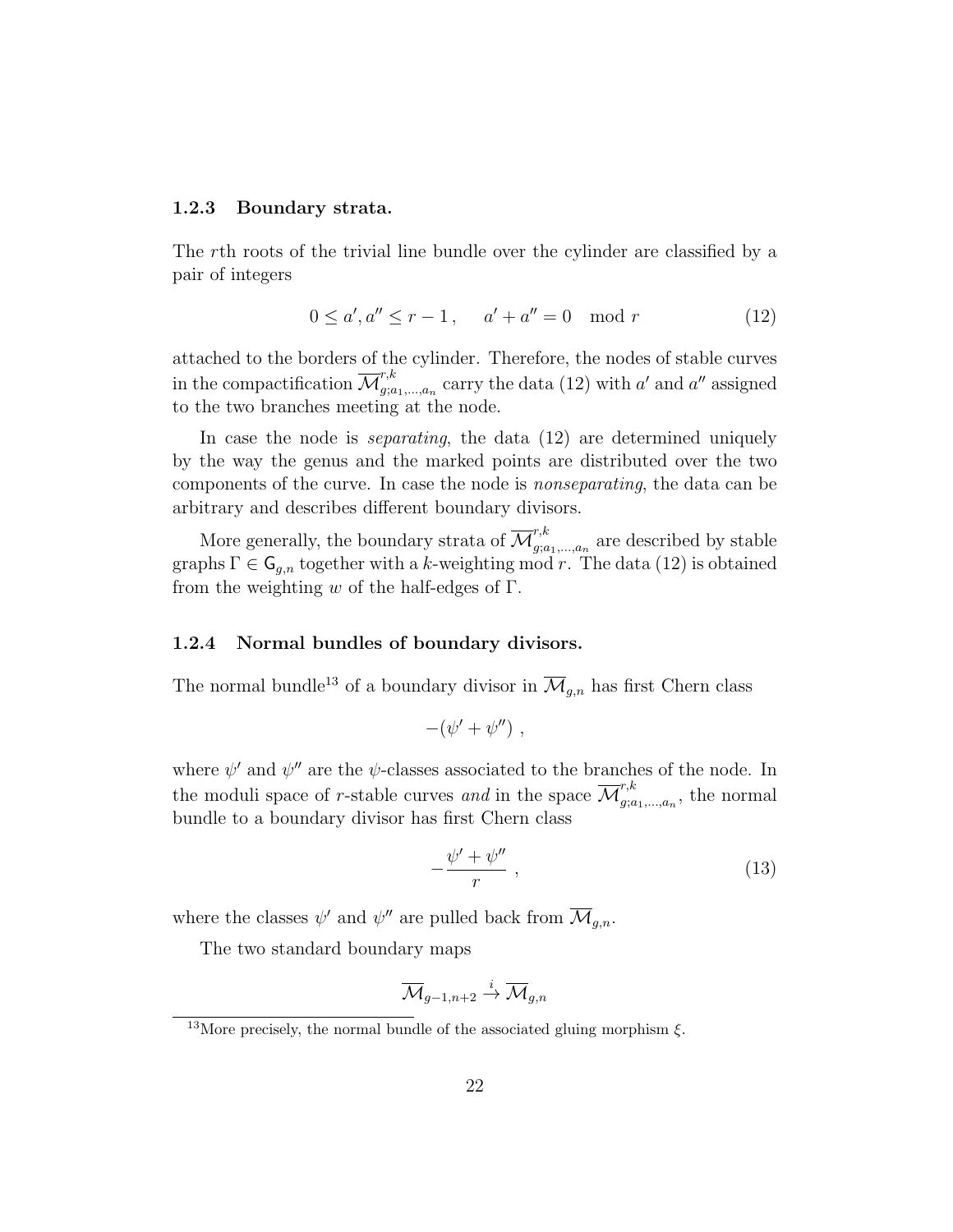#### 1.2.3 Boundary strata.

The rth roots of the trivial line bundle over the cylinder are classified by a pair of integers

$$
0 \le a', a'' \le r - 1, \quad a' + a'' = 0 \mod r \tag{12}
$$

attached to the borders of the cylinder. Therefore, the nodes of stable curves in the compactification  $\overline{\mathcal{M}}^{r,k}_{a:a}$  $x_{j;a_1,\ldots,a_n}^{r,\kappa}$  carry the data (12) with a' and a'' assigned to the two branches meeting at the node.

In case the node is *separating*, the data (12) are determined uniquely by the way the genus and the marked points are distributed over the two components of the curve. In case the node is nonseparating, the data can be arbitrary and describes different boundary divisors.

More generally, the boundary strata of  $\overline{\mathcal{M}}^{r,k}_{q,q}$  $\sum_{g; a_1,...,a_n}^{n}$  are described by stable graphs  $\Gamma \in \mathsf{G}_{g,n}$  together with a k-weighting mod r. The data (12) is obtained from the weighting w of the half-edges of  $\Gamma$ .

#### 1.2.4 Normal bundles of boundary divisors.

The normal bundle<sup>13</sup> of a boundary divisor in  $\overline{\mathcal{M}}_{g,n}$  has first Chern class

$$
-(\psi'+\psi'') ,
$$

where  $\psi'$  and  $\psi''$  are the  $\psi$ -classes associated to the branches of the node. In the moduli space of r-stable curves and in the space  $\overline{\mathcal{M}}^{r,k}_{q,q}$  $\sum_{g;a_1,\ldots,a_n}^{r,\kappa}$ , the normal bundle to a boundary divisor has first Chern class

$$
-\frac{\psi'+\psi''}{r}\,,\tag{13}
$$

where the classes  $\psi'$  and  $\psi''$  are pulled back from  $\overline{\mathcal{M}}_{g,n}$ .

The two standard boundary maps

$$
\overline{\mathcal{M}}_{g-1,n+2}\overset{i}{\to} \overline{\mathcal{M}}_{g,n}
$$

<sup>&</sup>lt;sup>13</sup>More precisely, the normal bundle of the associated gluing morphism  $\xi$ .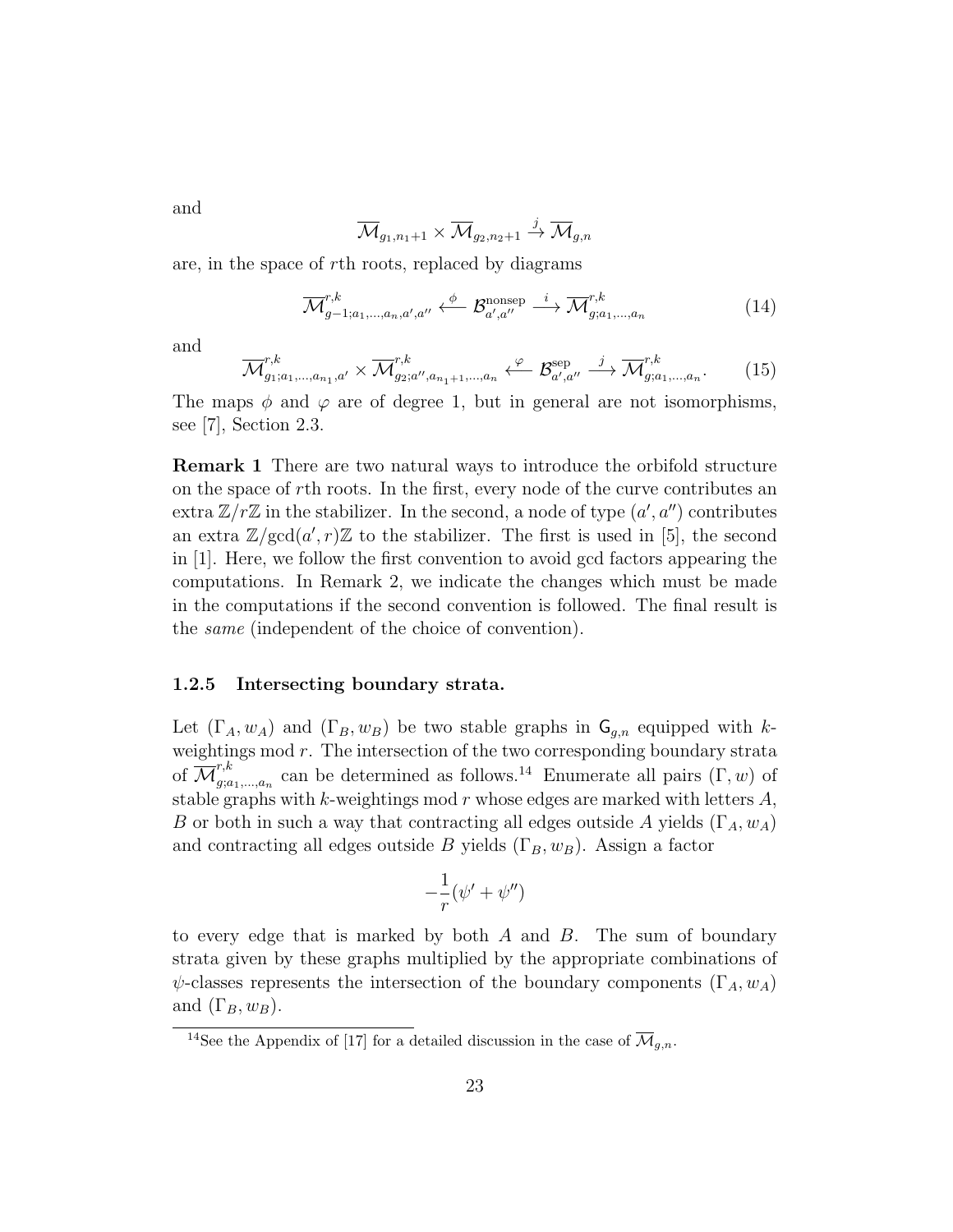and

$$
\overline{\mathcal{M}}_{g_1, n_1+1} \times \overline{\mathcal{M}}_{g_2, n_2+1} \stackrel{j}{\to} \overline{\mathcal{M}}_{g,n}
$$

are, in the space of rth roots, replaced by diagrams

$$
\overline{\mathcal{M}}_{g-1;a_1,\dots,a_n,a',a''}^{\,r,k} \xleftarrow{\phi} \mathcal{B}_{a',a''}^{\text{nonsep}} \xrightarrow{i} \overline{\mathcal{M}}_{g;a_1,\dots,a_n}^{\,r,k} \tag{14}
$$

and

$$
\overline{\mathcal{M}}_{g_1; a_1, \dots, a_{n_1}, a'}^{r,k} \times \overline{\mathcal{M}}_{g_2; a'', a_{n_1+1}, \dots, a_n}^{\, r,k} \xleftarrow{\varphi} \mathcal{B}_{a', a''}^{\text{sep}} \xrightarrow{j} \overline{\mathcal{M}}_{g; a_1, \dots, a_n}^{r,k}.\tag{15}
$$

The maps  $\phi$  and  $\varphi$  are of degree 1, but in general are not isomorphisms, see [7], Section 2.3.

Remark 1 There are two natural ways to introduce the orbifold structure on the space of rth roots. In the first, every node of the curve contributes an extra  $\mathbb{Z}/r\mathbb{Z}$  in the stabilizer. In the second, a node of type  $(a', a'')$  contributes an extra  $\mathbb{Z}/\text{gcd}(a', r)\mathbb{Z}$  to the stabilizer. The first is used in [5], the second in [1]. Here, we follow the first convention to avoid gcd factors appearing the computations. In Remark 2, we indicate the changes which must be made in the computations if the second convention is followed. The final result is the same (independent of the choice of convention).

### 1.2.5 Intersecting boundary strata.

Let  $(\Gamma_A, w_A)$  and  $(\Gamma_B, w_B)$  be two stable graphs in  $\mathsf{G}_{q,n}$  equipped with kweightings mod  $r$ . The intersection of the two corresponding boundary strata of  $\overline{\mathcal{M}}^{r,k}_{a:a}$  $g_{i,a_1,\ldots,a_n}^{r,\kappa}$  can be determined as follows.<sup>14</sup> Enumerate all pairs  $(\Gamma, w)$  of stable graphs with  $k$ -weightings mod  $r$  whose edges are marked with letters  $A$ , B or both in such a way that contracting all edges outside A yields  $(\Gamma_A, w_A)$ and contracting all edges outside B yields  $(\Gamma_B, w_B)$ . Assign a factor

$$
-\frac{1}{r}(\psi'+\psi'')
$$

to every edge that is marked by both  $A$  and  $B$ . The sum of boundary strata given by these graphs multiplied by the appropriate combinations of  $\psi$ -classes represents the intersection of the boundary components ( $\Gamma_A, w_A$ ) and  $(\Gamma_B, w_B)$ .

<sup>&</sup>lt;sup>14</sup>See the Appendix of [17] for a detailed discussion in the case of  $\overline{\mathcal{M}}_{q,n}$ .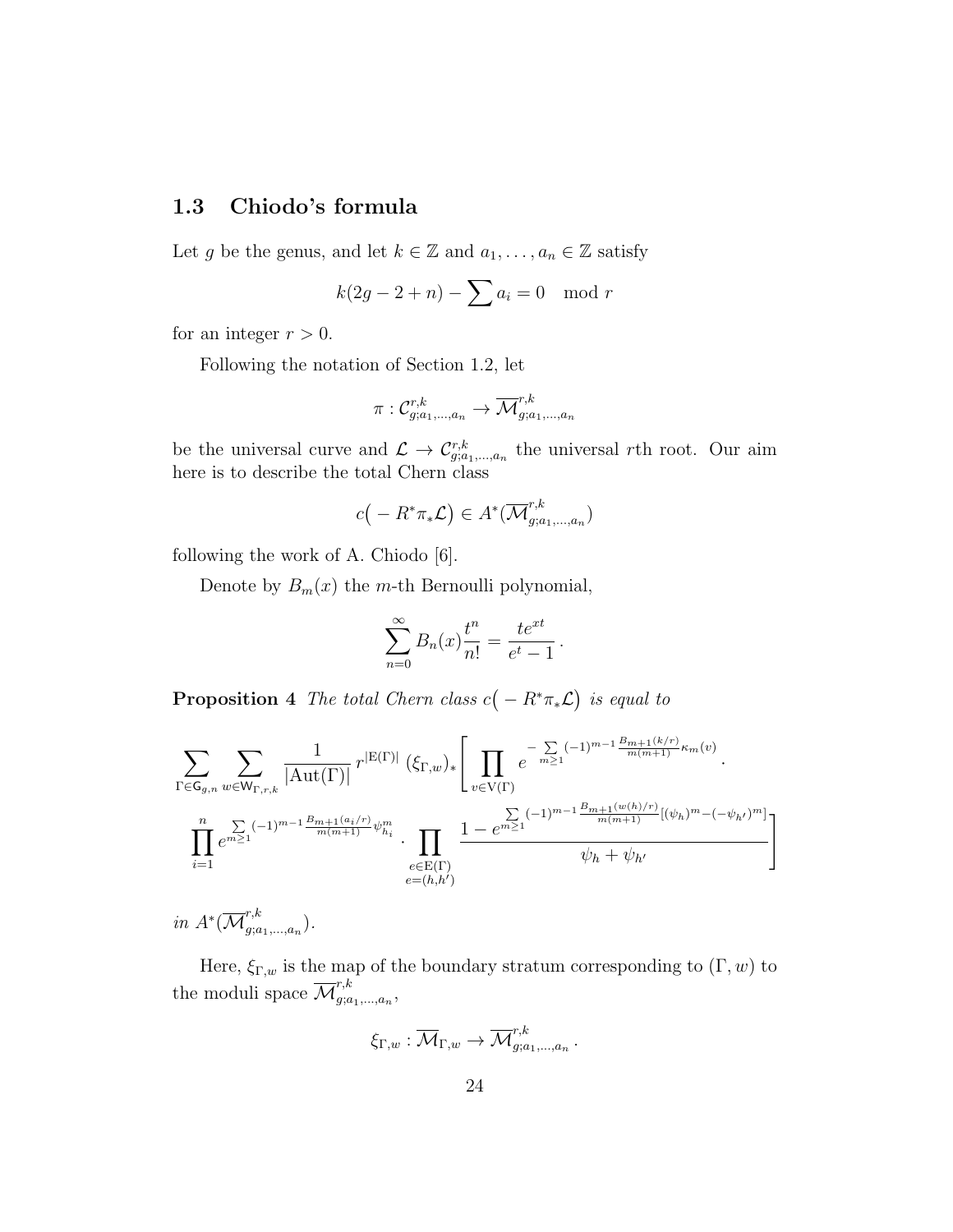## 1.3 Chiodo's formula

Let g be the genus, and let  $k \in \mathbb{Z}$  and  $a_1, \ldots, a_n \in \mathbb{Z}$  satisfy

$$
k(2g - 2 + n) - \sum a_i = 0 \mod r
$$

for an integer  $r > 0$ .

Following the notation of Section 1.2, let

$$
\pi: \mathcal{C}^{r,k}_{g;a_1,\dots,a_n} \to \overline{\mathcal{M}}^{r,k}_{g;a_1,\dots,a_n}
$$

be the universal curve and  $\mathcal{L} \to \mathcal{C}_{g;a_1,...,a_n}^{r,k}$  the universal rth root. Our aim here is to describe the total Chern class

$$
c(-R^*\pi_*\mathcal{L})\in A^*(\overline{\mathcal{M}}^{r,k}_{g;a_1,\ldots,a_n})
$$

following the work of A. Chiodo [6].

Denote by  $B_m(x)$  the m-th Bernoulli polynomial,

$$
\sum_{n=0}^{\infty} B_n(x) \frac{t^n}{n!} = \frac{te^{xt}}{e^t - 1}.
$$

**Proposition** 4 The total Chern class  $c(-R^*\pi_*\mathcal{L})$  is equal to

$$
\sum_{\Gamma \in \mathsf{G}_{g,n}} \sum_{w \in \mathsf{W}_{\Gamma,r,k}} \frac{1}{|\mathrm{Aut}(\Gamma)|} r^{|\mathrm{E}(\Gamma)|} (\xi_{\Gamma,w})_{*} \left[ \prod_{v \in \mathrm{V}(\Gamma)} e^{-\sum_{m \geq 1} (-1)^{m-1} \frac{B_{m+1}(k/r)}{m(m+1)} \kappa_m(v)} \cdot \right]
$$

$$
\prod_{i=1}^{n} e^{\sum_{m \geq 1} (-1)^{m-1} \frac{B_{m+1}(a_i/r)}{m(m+1)} \psi_{h_i}^m} \cdot \prod_{e \in \mathrm{E}(\Gamma)} \frac{1 - e^{\sum_{m \geq 1} (-1)^{m-1} \frac{B_{m+1}(w(h)/r)}{m(m+1)} [(\psi_h)^m - (-\psi_{h'})^m]}}{\psi_h + \psi_{h'}}
$$

in  $A^*(\overline{\mathcal{M}}^{r,k}_{a:a})$  $_{g;a_1,...,a_n}^{\prime,\kappa}).$ 

Here,  $\xi_{\Gamma,w}$  is the map of the boundary stratum corresponding to  $(\Gamma, w)$  to the moduli space  $\overline{\mathcal{M}}^{r,k}_{a:a}$  $a_1, a_2, \ldots, a_n,$ 

$$
\xi_{\Gamma,w} : \overline{\mathcal{M}}_{\Gamma,w} \to \overline{\mathcal{M}}^{r,k}_{g;a_1,\dots,a_n}
$$

.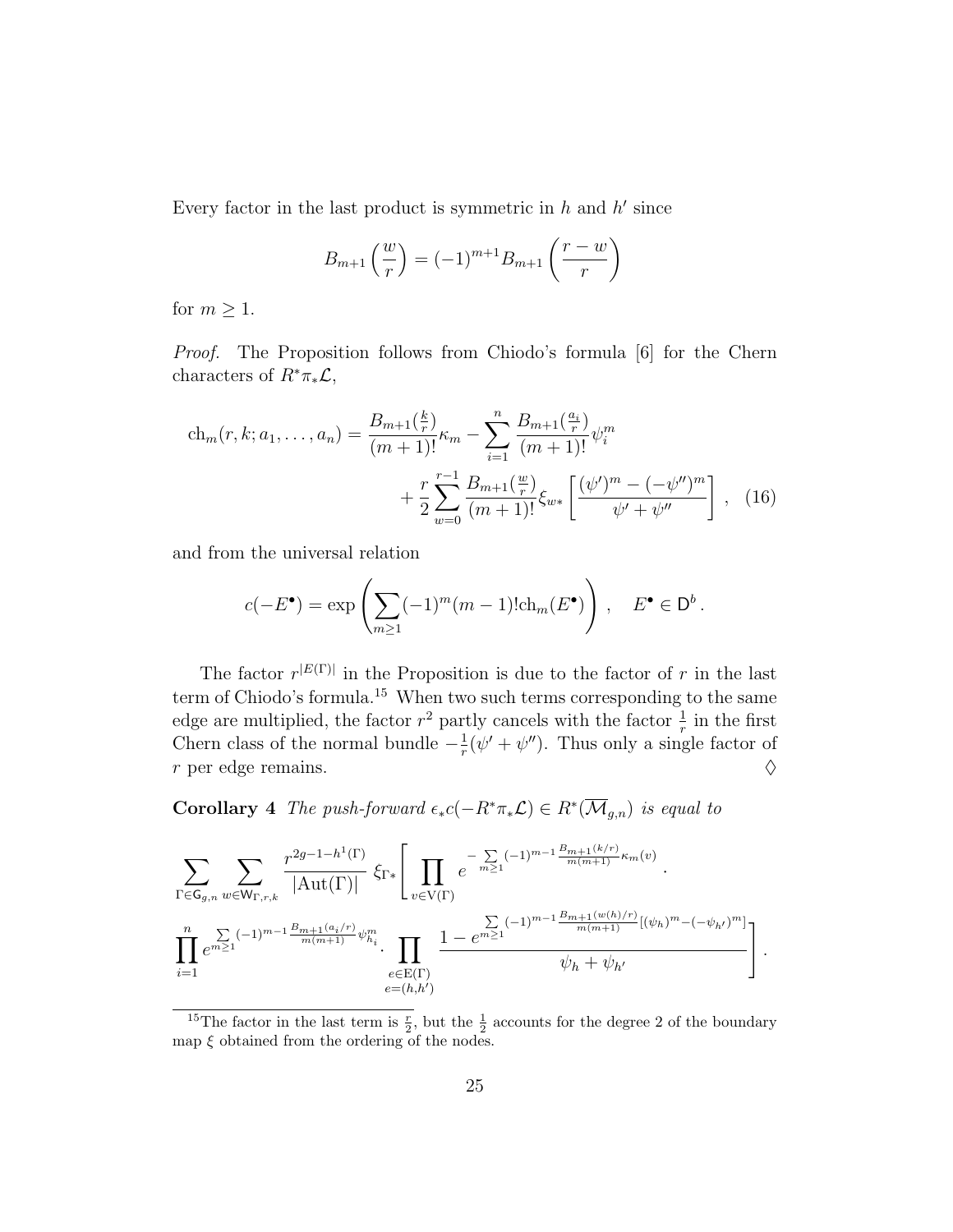Every factor in the last product is symmetric in  $h$  and  $h'$  since

$$
B_{m+1}\left(\frac{w}{r}\right) = (-1)^{m+1}B_{m+1}\left(\frac{r-w}{r}\right)
$$

for  $m \geq 1$ .

Proof. The Proposition follows from Chiodo's formula [6] for the Chern characters of  $R^* \pi_* \mathcal{L}$ ,

$$
\operatorname{ch}_{m}(r, k; a_{1}, \dots, a_{n}) = \frac{B_{m+1}(\frac{k}{r})}{(m+1)!} \kappa_{m} - \sum_{i=1}^{n} \frac{B_{m+1}(\frac{a_{i}}{r})}{(m+1)!} \psi_{i}^{m} + \frac{r}{2} \sum_{w=0}^{r-1} \frac{B_{m+1}(\frac{w}{r})}{(m+1)!} \xi_{w*} \left[ \frac{(\psi')^{m} - (-\psi'')^{m}}{\psi' + \psi''} \right], \quad (16)
$$

and from the universal relation

$$
c(-E^{\bullet}) = \exp\left(\sum_{m\geq 1} (-1)^m (m-1)! \mathrm{ch}_m(E^{\bullet})\right), \quad E^{\bullet} \in \mathsf{D}^b.
$$

The factor  $r^{|E(\Gamma)|}$  in the Proposition is due to the factor of r in the last term of Chiodo's formula.<sup>15</sup> When two such terms corresponding to the same edge are multiplied, the factor  $r^2$  partly cancels with the factor  $\frac{1}{r}$  in the first Chern class of the normal bundle  $-\frac{1}{r}$  $\frac{1}{r}(\psi' + \psi'')$ . Thus only a single factor of r per edge remains.  $\Diamond$ 

**Corollary** 4 The push-forward  $\epsilon_* c(-R^*\pi_*\mathcal{L}) \in R^*(\overline{\mathcal{M}}_{g,n})$  is equal to

$$
\sum_{\Gamma \in \mathsf{G}_{g,n}} \sum_{w \in \mathsf{W}_{\Gamma,r,k}} \frac{r^{2g-1-h^{1}(\Gamma)}}{|\mathrm{Aut}(\Gamma)|} \, \xi_{\Gamma*} \Bigg[ \prod_{v \in \mathrm{V}(\Gamma)} e^{-\sum_{m \geq 1} (-1)^{m-1} \frac{B_{m+1}(k/r)}{m(m+1)} \kappa_m(v)} \cdot \frac{1}{\prod_{v \in \mathrm{V}(\Gamma)} e^{-\sum_{m \geq 1} (-1)^{m-1} \frac{B_{m+1}(w(h)/r)}{m(m+1)} \kappa_m(v)}} \cdot \prod_{e \in \mathrm{E}(\Gamma)} \frac{1 - e^{\sum_{m \geq 1} (-1)^{m-1} \frac{B_{m+1}(w(h)/r)}{m(m+1)} [(\psi_h)^m - (-\psi_{h'})^m]}}{\psi_h + \psi_{h'}}
$$

<sup>&</sup>lt;sup>15</sup>The factor in the last term is  $\frac{r}{2}$ , but the  $\frac{1}{2}$  accounts for the degree 2 of the boundary map  $\xi$  obtained from the ordering of the nodes.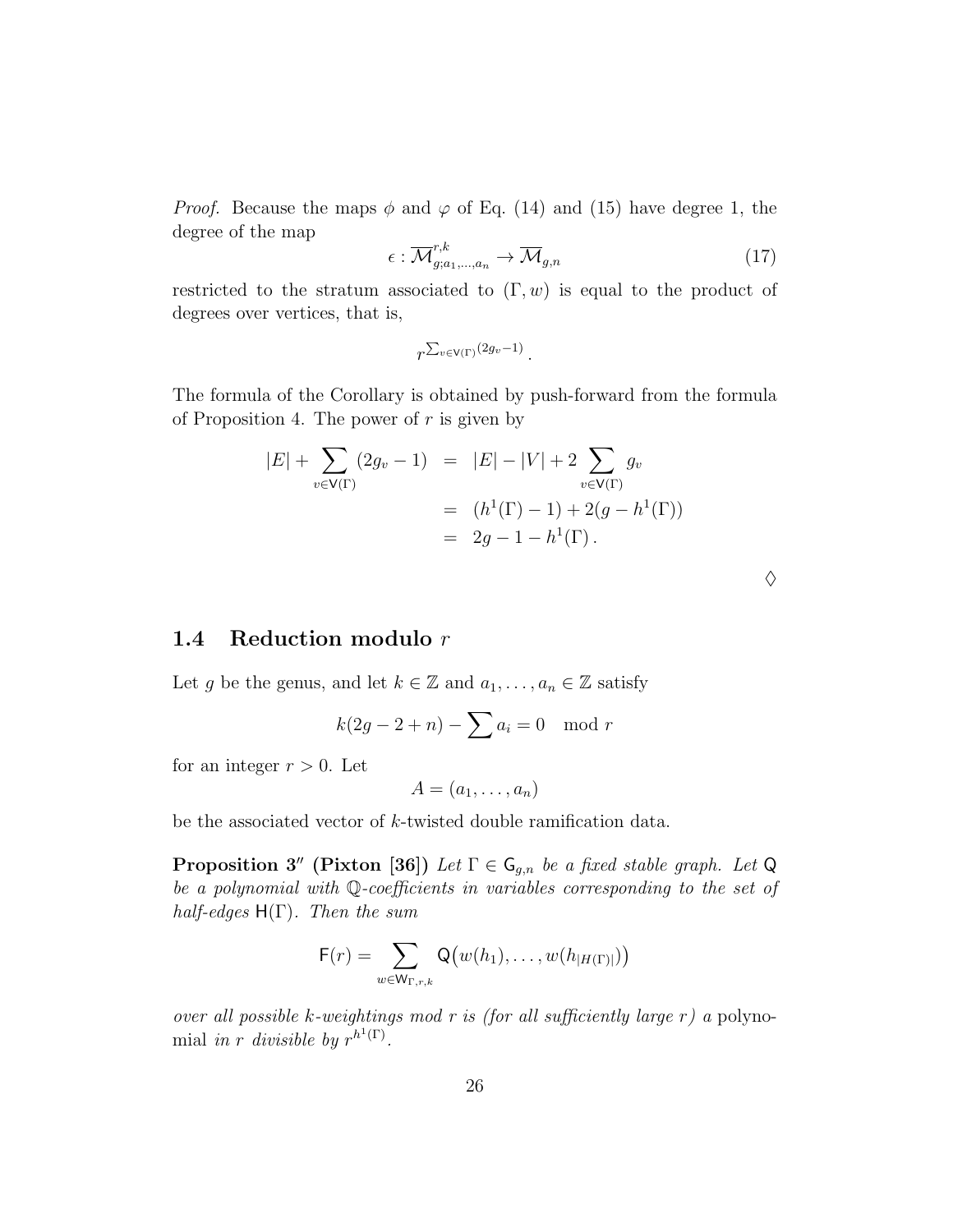*Proof.* Because the maps  $\phi$  and  $\varphi$  of Eq. (14) and (15) have degree 1, the degree of the map

$$
\epsilon : \overline{\mathcal{M}}_{g;a_1,\dots,a_n}^{r,k} \to \overline{\mathcal{M}}_{g,n} \tag{17}
$$

♦

restricted to the stratum associated to  $(\Gamma, w)$  is equal to the product of degrees over vertices, that is,

$$
r^{\sum_{v\in V(\Gamma)}(2g_v-1)}.
$$

The formula of the Corollary is obtained by push-forward from the formula of Proposition 4. The power of  $r$  is given by

$$
|E| + \sum_{v \in V(\Gamma)} (2g_v - 1) = |E| - |V| + 2 \sum_{v \in V(\Gamma)} g_v
$$
  
=  $(h^1(\Gamma) - 1) + 2(g - h^1(\Gamma))$   
=  $2g - 1 - h^1(\Gamma).$ 

## 1.4 Reduction modulo r

Let g be the genus, and let  $k \in \mathbb{Z}$  and  $a_1, \ldots, a_n \in \mathbb{Z}$  satisfy

$$
k(2g - 2 + n) - \sum a_i = 0 \mod r
$$

for an integer  $r > 0$ . Let

$$
A=(a_1,\ldots,a_n)
$$

be the associated vector of k-twisted double ramification data.

**Proposition 3''** (Pixton [36]) Let  $\Gamma \in \mathsf{G}_{q,n}$  be a fixed stable graph. Let Q be a polynomial with Q-coefficients in variables corresponding to the set of half-edges  $H(\Gamma)$ . Then the sum

$$
F(r) = \sum_{w \in W_{\Gamma,r,k}} Q(w(h_1), \ldots, w(h_{|H(\Gamma)|}))
$$

over all possible k-weightings mod r is (for all sufficiently large r) a polynomial in r divisible by  $r^{h^1(\Gamma)}$ .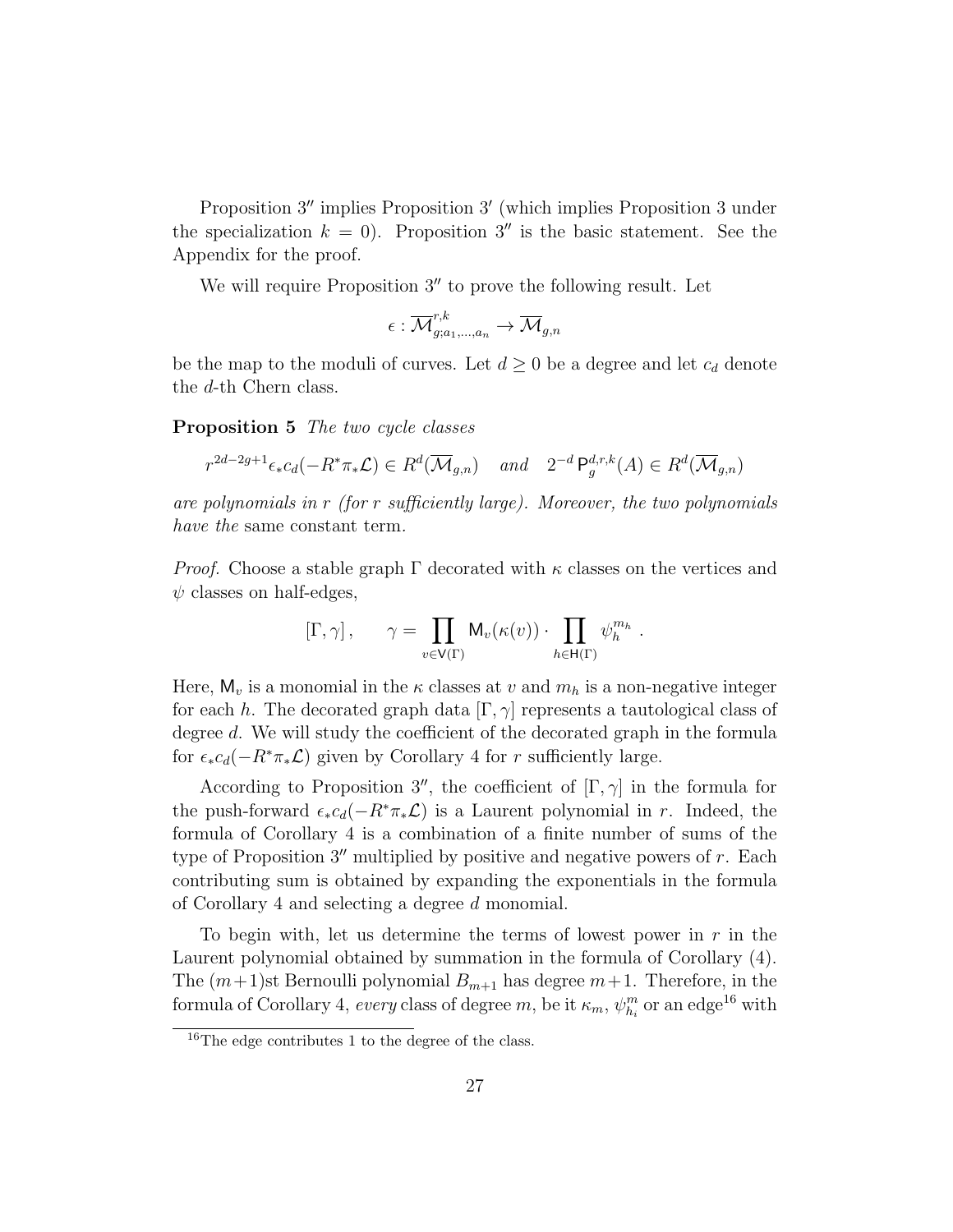Proposition 3" implies Proposition 3' (which implies Proposition 3 under the specialization  $k = 0$ . Proposition 3'' is the basic statement. See the Appendix for the proof.

We will require Proposition  $3''$  to prove the following result. Let

$$
\epsilon: \overline{\mathcal{M}}^{r,k}_{g;a_1,\dots,a_n} \to \overline{\mathcal{M}}_{g,n}
$$

be the map to the moduli of curves. Let  $d \geq 0$  be a degree and let  $c_d$  denote the d-th Chern class.

Proposition 5 The two cycle classes

$$
r^{2d-2g+1}\epsilon_*c_d(-R^*\pi_*\mathcal{L}) \in R^d(\overline{\mathcal{M}}_{g,n}) \quad and \quad 2^{-d} \mathsf{P}_g^{d,r,k}(A) \in R^d(\overline{\mathcal{M}}_{g,n})
$$

are polynomials in  $r$  (for  $r$  sufficiently large). Moreover, the two polynomials have the same constant term.

*Proof.* Choose a stable graph  $\Gamma$  decorated with  $\kappa$  classes on the vertices and  $\psi$  classes on half-edges,

$$
[\Gamma, \gamma], \qquad \gamma = \prod_{v \in V(\Gamma)} \mathsf{M}_v(\kappa(v)) \cdot \prod_{h \in \mathsf{H}(\Gamma)} \psi_h^{m_h}.
$$

Here,  $M_v$  is a monomial in the  $\kappa$  classes at v and  $m_h$  is a non-negative integer for each h. The decorated graph data  $[\Gamma, \gamma]$  represents a tautological class of degree d. We will study the coefficient of the decorated graph in the formula for  $\epsilon_* c_d(-R^*\pi_*\mathcal{L})$  given by Corollary 4 for r sufficiently large.

According to Proposition 3'', the coefficient of  $[\Gamma, \gamma]$  in the formula for the push-forward  $\epsilon_* c_d(-R^*\pi_*\mathcal{L})$  is a Laurent polynomial in r. Indeed, the formula of Corollary 4 is a combination of a finite number of sums of the type of Proposition  $3<sup>''</sup>$  multiplied by positive and negative powers of r. Each contributing sum is obtained by expanding the exponentials in the formula of Corollary 4 and selecting a degree d monomial.

To begin with, let us determine the terms of lowest power in  $r$  in the Laurent polynomial obtained by summation in the formula of Corollary (4). The  $(m+1)$ st Bernoulli polynomial  $B_{m+1}$  has degree  $m+1$ . Therefore, in the formula of Corollary 4, *every* class of degree  $m$ , be it  $\kappa_m$ ,  $\psi_{h_i}^m$  or an edge<sup>16</sup> with

 $16$ The edge contributes 1 to the degree of the class.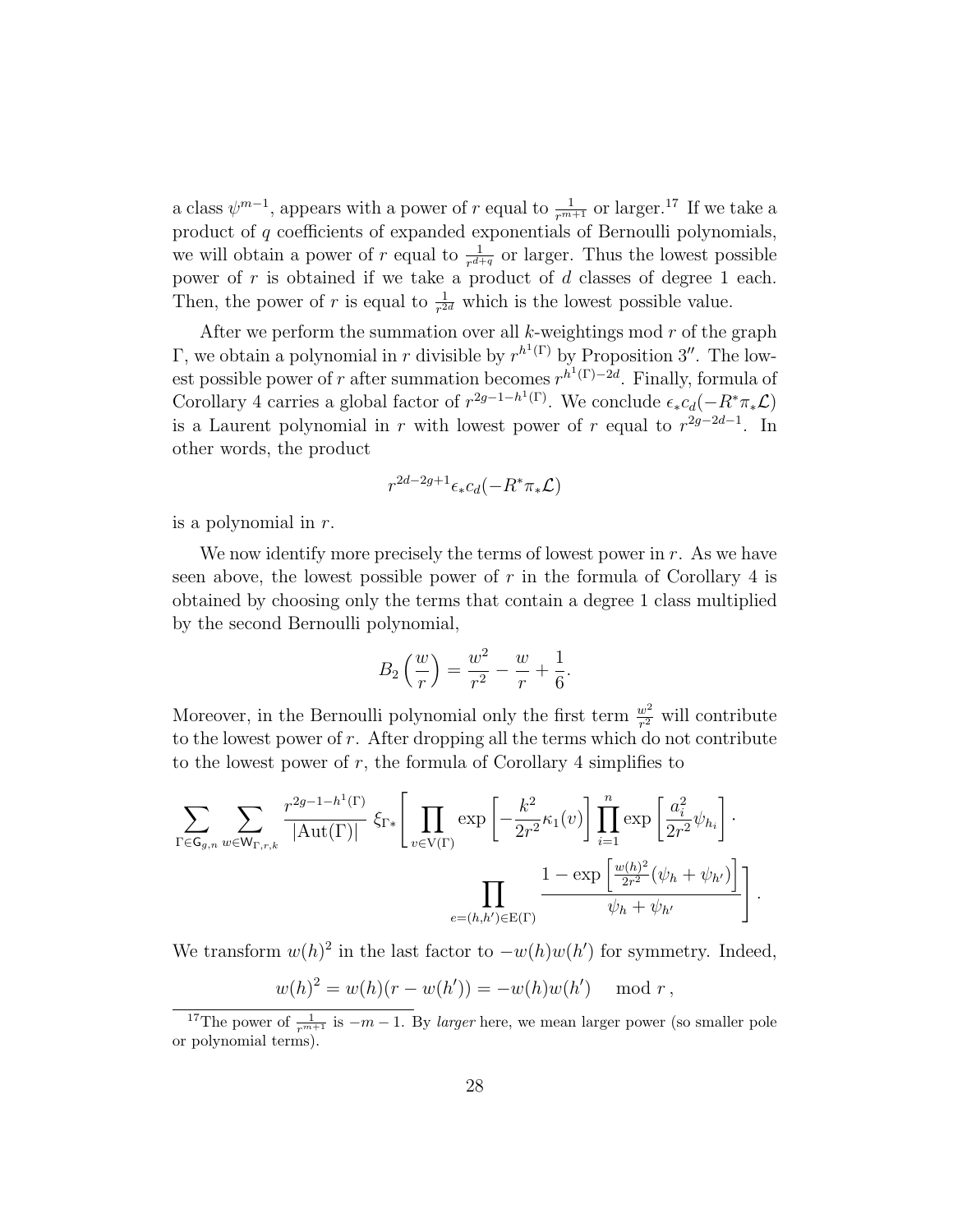a class  $\psi^{m-1}$ , appears with a power of r equal to  $\frac{1}{r^{m+1}}$  or larger.<sup>17</sup> If we take a product of q coefficients of expanded exponentials of Bernoulli polynomials, we will obtain a power of r equal to  $\frac{1}{r^{d+q}}$  or larger. Thus the lowest possible power of  $r$  is obtained if we take a product of  $d$  classes of degree 1 each. Then, the power of r is equal to  $\frac{1}{r^{2d}}$  which is the lowest possible value.

After we perform the summation over all  $k$ -weightings mod  $r$  of the graph Γ, we obtain a polynomial in r divisible by  $r^{h^{1}(\Gamma)}$  by Proposition 3''. The lowest possible power of r after summation becomes  $r^{h^1(\Gamma)-2d}$ . Finally, formula of Corollary 4 carries a global factor of  $r^{2g-1-h(1)}$ . We conclude  $\epsilon_* c_d(-R^*\pi_*\mathcal{L})$ is a Laurent polynomial in r with lowest power of r equal to  $r^{2g-2d-1}$ . In other words, the product

$$
r^{2d-2g+1}\epsilon_*c_d(-R^*\pi_*\mathcal{L})
$$

is a polynomial in r.

We now identify more precisely the terms of lowest power in  $r$ . As we have seen above, the lowest possible power of  $r$  in the formula of Corollary 4 is obtained by choosing only the terms that contain a degree 1 class multiplied by the second Bernoulli polynomial,

$$
B_2\left(\frac{w}{r}\right) = \frac{w^2}{r^2} - \frac{w}{r} + \frac{1}{6}.
$$

Moreover, in the Bernoulli polynomial only the first term  $\frac{w^2}{r^2}$  will contribute to the lowest power of  $r$ . After dropping all the terms which do not contribute to the lowest power of  $r$ , the formula of Corollary 4 simplifies to

$$
\sum_{\Gamma \in \mathsf{G}_{g,n}} \sum_{w \in \mathsf{W}_{\Gamma,r,k}} \frac{r^{2g-1-h^{1}(\Gamma)}}{|\mathrm{Aut}(\Gamma)|} \, \xi_{\Gamma*} \Bigg[ \prod_{v \in \mathrm{V}(\Gamma)} \exp \left[ -\frac{k^2}{2r^2} \kappa_1(v) \right] \prod_{i=1}^n \exp \left[ \frac{a_i^2}{2r^2} \psi_{h_i} \right] \cdot \prod_{e=(h,h') \in \mathrm{E}(\Gamma)} \frac{1 - \exp \left[ \frac{w(h)^2}{2r^2} (\psi_h + \psi_{h'}) \right]}{\psi_h + \psi_{h'}} \Bigg] \, .
$$

We transform  $w(h)^2$  in the last factor to  $-w(h)w(h')$  for symmetry. Indeed,

$$
w(h)^2 = w(h)(r - w(h')) = -w(h)w(h')
$$
 mod r,

<sup>&</sup>lt;sup>17</sup>The power of  $\frac{1}{r^{m+1}}$  is  $-m-1$ . By *larger* here, we mean larger power (so smaller pole or polynomial terms).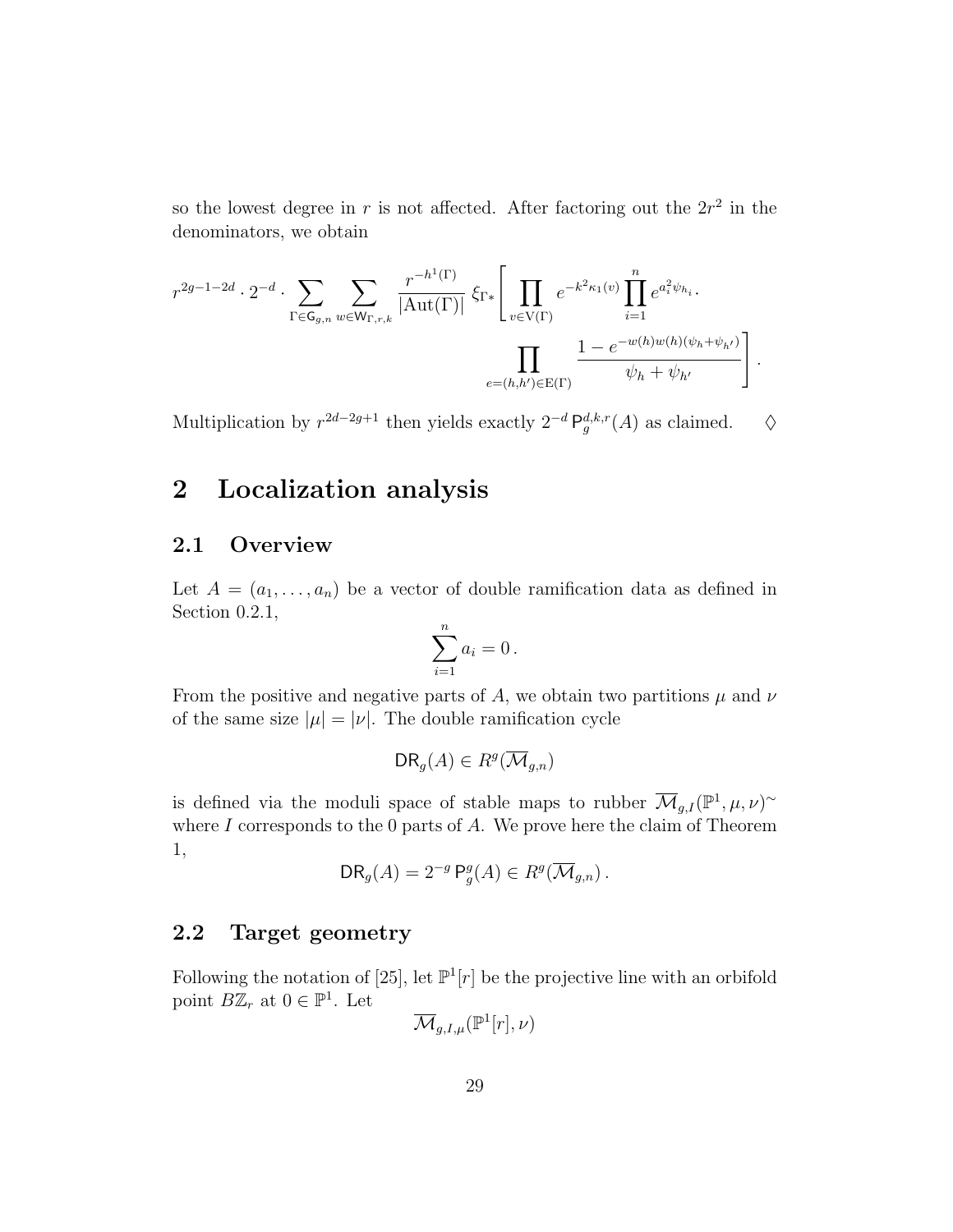so the lowest degree in r is not affected. After factoring out the  $2r^2$  in the denominators, we obtain

$$
r^{2g-1-2d} \cdot 2^{-d} \cdot \sum_{\Gamma \in \mathsf{G}_{g,n}} \sum_{w \in \mathsf{W}_{\Gamma,r,k}} \frac{r^{-h^1(\Gamma)}}{|\mathrm{Aut}(\Gamma)|} \, \xi_{\Gamma *} \Bigg[ \prod_{v \in \mathrm{V}(\Gamma)} e^{-k^2 \kappa_1(v)} \prod_{i=1}^n e^{a_i^2 \psi_{h_i}} \cdot \prod_{e=(h,h') \in \mathrm{E}(\Gamma)} \frac{1 - e^{-w(h)w(h)(\psi_h + \psi_{h'})}}{\psi_h + \psi_{h'}} \Bigg] \, .
$$

Multiplication by  $r^{2d-2g+1}$  then yields exactly  $2^{-d} \mathsf{P}_g^{d,k,r}(A)$  as claimed.  $\diamond$ 

## 2 Localization analysis

## 2.1 Overview

Let  $A = (a_1, \ldots, a_n)$  be a vector of double ramification data as defined in Section 0.2.1,

$$
\sum_{i=1}^n a_i = 0.
$$

From the positive and negative parts of A, we obtain two partitions  $\mu$  and  $\nu$ of the same size  $|\mu| = |\nu|$ . The double ramification cycle

$$
DR_g(A) \in R^g(\overline{\mathcal{M}}_{g,n})
$$

is defined via the moduli space of stable maps to rubber  $\overline{\mathcal{M}}_{g,I}(\mathbb{P}^1,\mu,\nu)^\sim$ where  $I$  corresponds to the 0 parts of  $A$ . We prove here the claim of Theorem 1,

$$
DR_g(A) = 2^{-g} P_g^g(A) \in R^g(\overline{\mathcal{M}}_{g,n}).
$$

## 2.2 Target geometry

Following the notation of [25], let  $\mathbb{P}^1[r]$  be the projective line with an orbifold point  $B\mathbb{Z}_r$  at  $0 \in \mathbb{P}^1$ . Let

$$
\overline{\mathcal{M}}_{g,I,\mu}(\mathbb{P}^1[r],\nu)
$$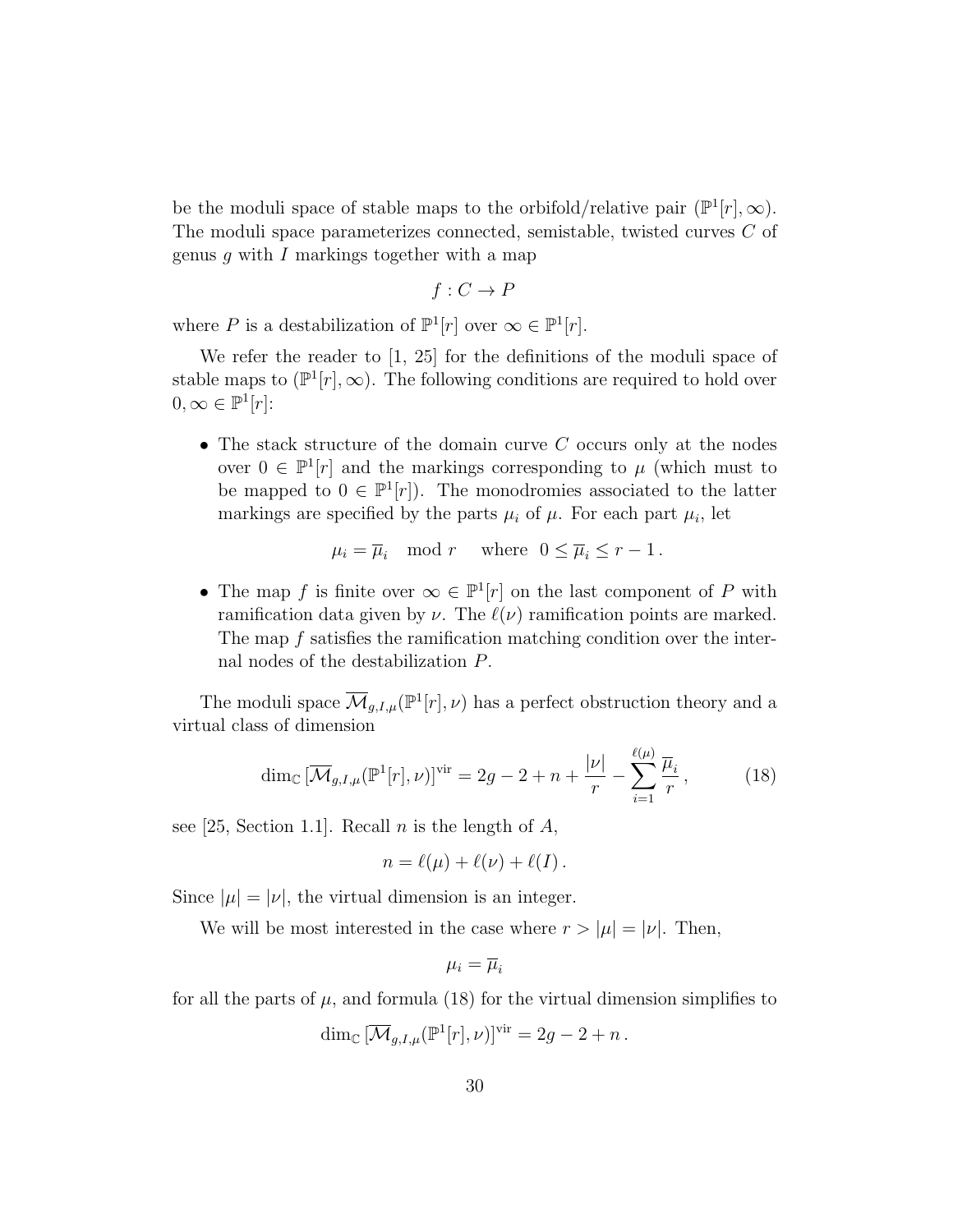be the moduli space of stable maps to the orbifold/relative pair  $(\mathbb{P}^1[r], \infty)$ . The moduli space parameterizes connected, semistable, twisted curves C of genus  $g$  with I markings together with a map

$$
f: C \to P
$$

where P is a destabilization of  $\mathbb{P}^1[r]$  over  $\infty \in \mathbb{P}^1[r]$ .

We refer the reader to [1, 25] for the definitions of the moduli space of stable maps to  $(\mathbb{P}^1[r], \infty)$ . The following conditions are required to hold over  $0, \infty \in \mathbb{P}^1[r]$ :

• The stack structure of the domain curve  $C$  occurs only at the nodes over  $0 \in \mathbb{P}^1[r]$  and the markings corresponding to  $\mu$  (which must to be mapped to  $0 \in \mathbb{P}^1[r]$ . The monodromies associated to the latter markings are specified by the parts  $\mu_i$  of  $\mu$ . For each part  $\mu_i$ , let

$$
\mu_i = \overline{\mu}_i \mod r
$$
 where  $0 \le \overline{\mu}_i \le r - 1$ .

• The map f is finite over  $\infty \in \mathbb{P}^1[r]$  on the last component of P with ramification data given by  $\nu$ . The  $\ell(\nu)$  ramification points are marked. The map f satisfies the ramification matching condition over the internal nodes of the destabilization P.

The moduli space  $\overline{\mathcal{M}}_{g,I,\mu}(\mathbb{P}^1[r],\nu)$  has a perfect obstruction theory and a virtual class of dimension

$$
\dim_{\mathbb{C}}\left[\overline{\mathcal{M}}_{g,I,\mu}(\mathbb{P}^1[r],\nu)\right]^{\text{vir}} = 2g - 2 + n + \frac{|\nu|}{r} - \sum_{i=1}^{\ell(\mu)}\frac{\overline{\mu}_i}{r},\tag{18}
$$

see [25, Section 1.1]. Recall *n* is the length of  $A$ ,

$$
n = \ell(\mu) + \ell(\nu) + \ell(I).
$$

Since  $|\mu| = |\nu|$ , the virtual dimension is an integer.

We will be most interested in the case where  $r > |\mu| = |\nu|$ . Then,

$$
\mu_i = \overline{\mu}_i
$$

for all the parts of  $\mu$ , and formula (18) for the virtual dimension simplifies to

$$
\dim_{\mathbb{C}} \left[ \overline{\mathcal{M}}_{g,I,\mu}(\mathbb{P}^1[r],\nu) \right]^{\text{vir}} = 2g - 2 + n.
$$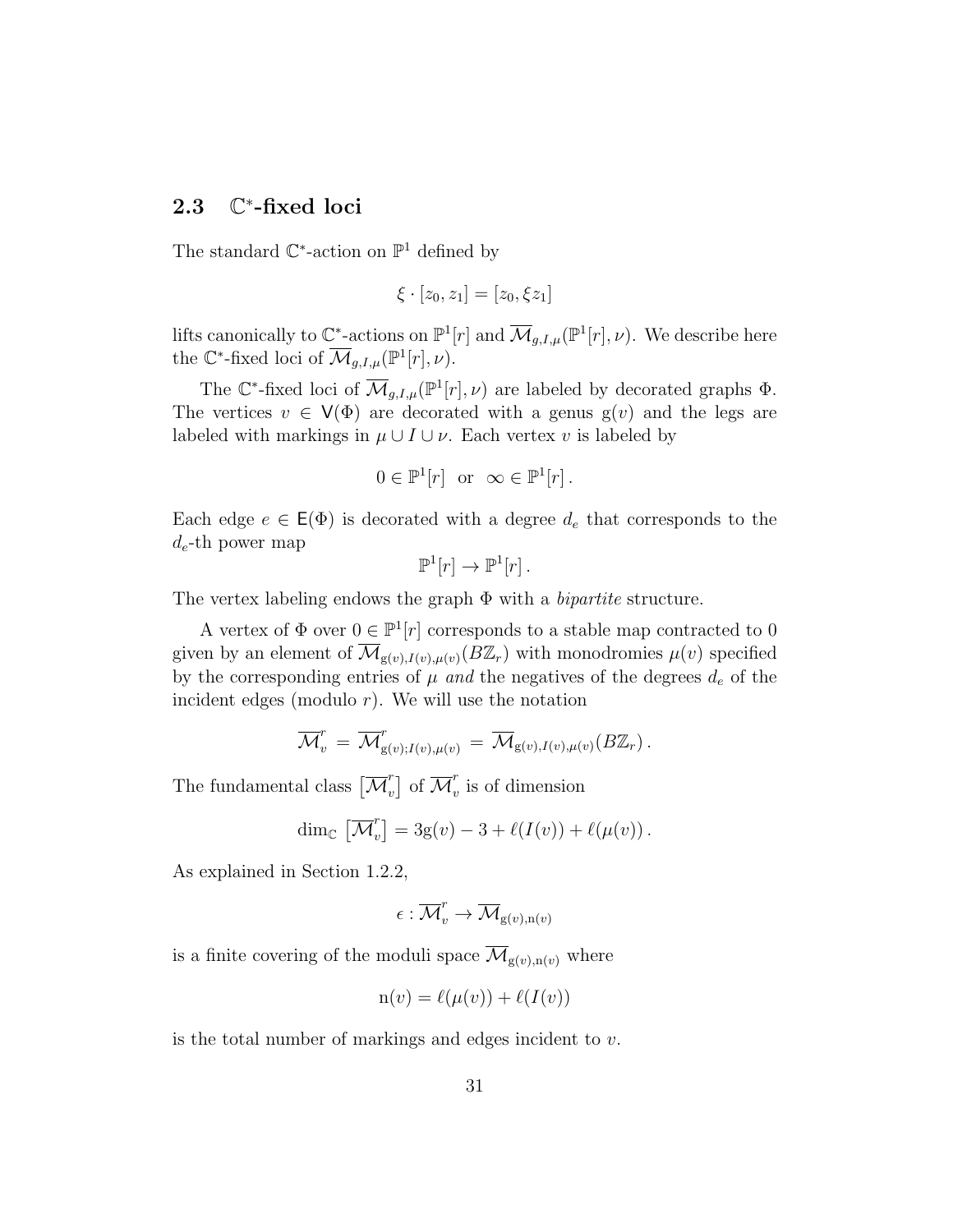#### 2.3 ∗ -fixed loci

The standard  $\mathbb{C}^*$ -action on  $\mathbb{P}^1$  defined by

$$
\xi\cdot [z_0,z_1]=[z_0,\xi z_1]
$$

lifts canonically to  $\mathbb{C}^*$ -actions on  $\mathbb{P}^1[r]$  and  $\overline{\mathcal{M}}_{g,I,\mu}(\mathbb{P}^1[r],\nu)$ . We describe here the  $\mathbb{C}^*$ -fixed loci of  $\overline{\mathcal{M}}_{g,I,\mu}(\mathbb{P}^1[r],\nu)$ .

The C<sup>\*</sup>-fixed loci of  $\overline{\mathcal{M}}_{g,I,\mu}(\mathbb{P}^1[r],\nu)$  are labeled by decorated graphs  $\Phi$ . The vertices  $v \in V(\Phi)$  are decorated with a genus  $g(v)$  and the legs are labeled with markings in  $\mu \cup I \cup \nu$ . Each vertex v is labeled by

$$
0 \in \mathbb{P}^1[r] \text{ or } \infty \in \mathbb{P}^1[r].
$$

Each edge  $e \in \mathsf{E}(\Phi)$  is decorated with a degree  $d_e$  that corresponds to the  $d_e$ -th power map

$$
\mathbb{P}^1[r] \to \mathbb{P}^1[r] .
$$

The vertex labeling endows the graph  $\Phi$  with a *bipartite* structure.

A vertex of  $\Phi$  over  $0 \in \mathbb{P}^1[r]$  corresponds to a stable map contracted to 0 given by an element of  $\overline{\mathcal{M}}_{g(v),I(v),\mu(v)}(B\mathbb{Z}_r)$  with monodromies  $\mu(v)$  specified by the corresponding entries of  $\mu$  and the negatives of the degrees  $d_e$  of the incident edges (modulo  $r$ ). We will use the notation

$$
\overline{\mathcal{M}}_v^r = \overline{\mathcal{M}}_{g(v);I(v),\mu(v)}^r = \overline{\mathcal{M}}_{g(v),I(v),\mu(v)}(B\mathbb{Z}_r).
$$

The fundamental class  $\overline{\mathcal{M}}_v^r$  $\begin{bmatrix} r \\ v \end{bmatrix}$  of  $\overline{\mathcal{M}}_v^r$  $\omega$  is of dimension

$$
\dim_{\mathbb{C}} \left[ \overline{\mathcal{M}}_v^r \right] = 3g(v) - 3 + \ell(I(v)) + \ell(\mu(v)).
$$

As explained in Section 1.2.2,

$$
\epsilon:\overline{\mathcal{M}}_{v}^{r}\to\overline{\mathcal{M}}_{\mathrm{g}(v),\mathrm{n}(v)}
$$

is a finite covering of the moduli space  $\overline{\mathcal{M}}_{g(v),n(v)}$  where

$$
\mathbf{n}(v) = \ell(\mu(v)) + \ell(I(v))
$$

is the total number of markings and edges incident to v.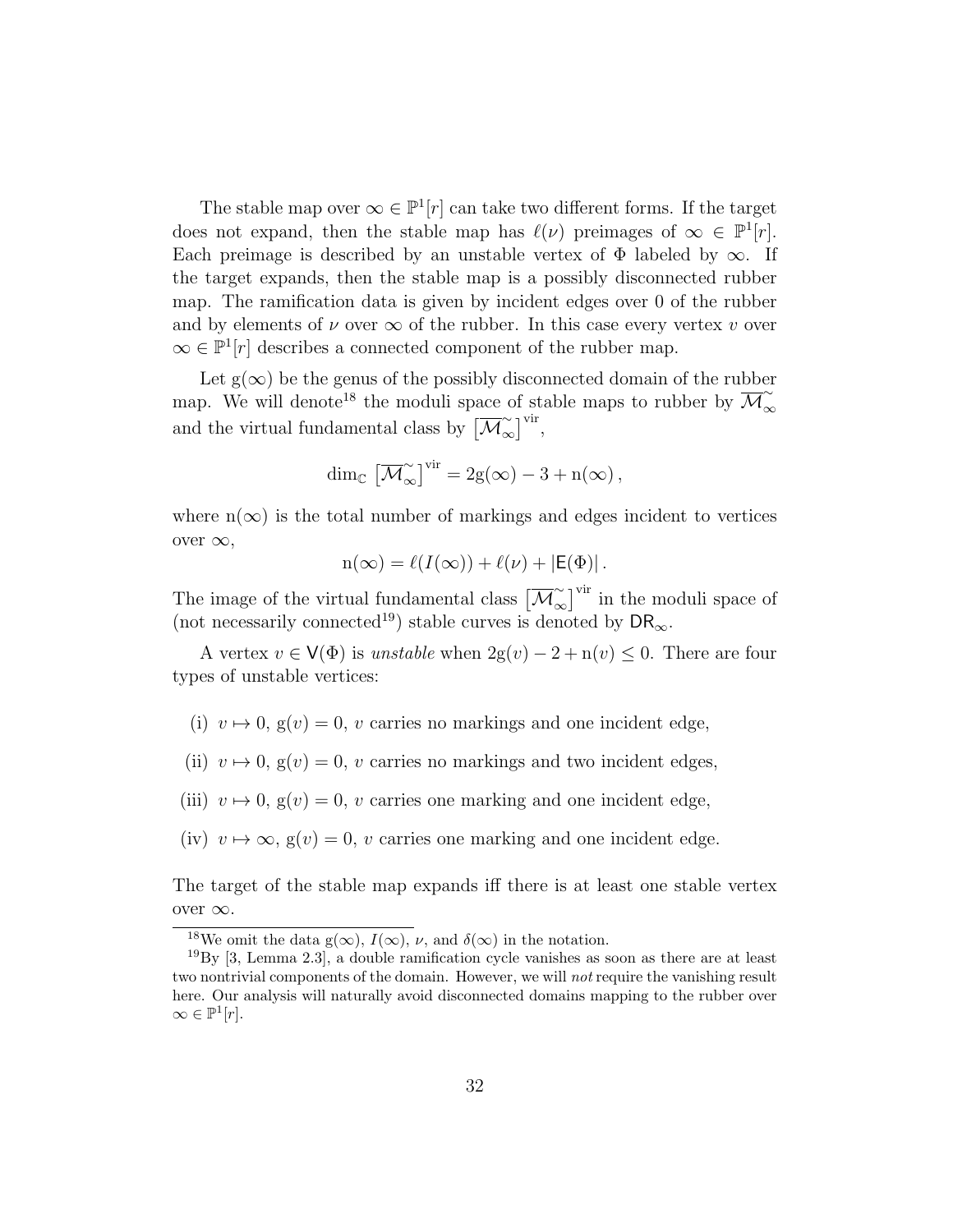The stable map over  $\infty \in \mathbb{P}^1[r]$  can take two different forms. If the target does not expand, then the stable map has  $\ell(\nu)$  preimages of  $\infty \in \mathbb{P}^1[r]$ . Each preimage is described by an unstable vertex of  $\Phi$  labeled by  $\infty$ . If the target expands, then the stable map is a possibly disconnected rubber map. The ramification data is given by incident edges over 0 of the rubber and by elements of  $\nu$  over  $\infty$  of the rubber. In this case every vertex  $\nu$  over  $\infty \in \mathbb{P}^1[r]$  describes a connected component of the rubber map.

Let  $g(\infty)$  be the genus of the possibly disconnected domain of the rubber map. We will denote<sup>18</sup> the moduli space of stable maps to rubber by  $\overline{\mathcal{M}}_{\infty}^{\infty}$ ∞ and the virtual fundamental class by  $\left[\overline{\mathcal{M}}_{\alpha}^{\sim}\right]$  $\left[\infty\right]^{\mathrm{vir}},$ 

$$
\dim_{\mathbb{C}} \left[ \overline{\mathcal{M}}_{\infty}^{\sim} \right]^{\text{vir}} = 2g(\infty) - 3 + n(\infty),
$$

where  $n(\infty)$  is the total number of markings and edges incident to vertices over  $\infty$ ,

$$
n(\infty) = \ell(I(\infty)) + \ell(\nu) + |E(\Phi)|.
$$

The image of the virtual fundamental class  $\left[\overline{\mathcal{M}}_{\alpha}^{\sim}\right]$  $\left[\infty\atop{\infty}\right]$ <sup>vir</sup> in the moduli space of (not necessarily connected<sup>19</sup>) stable curves is denoted by  $\mathsf{DR}_{\infty}$ .

A vertex  $v \in V(\Phi)$  is unstable when  $2g(v) - 2 + n(v) \leq 0$ . There are four types of unstable vertices:

- (i)  $v \mapsto 0$ ,  $g(v) = 0$ , v carries no markings and one incident edge,
- (ii)  $v \mapsto 0$ ,  $g(v) = 0$ , v carries no markings and two incident edges,
- (iii)  $v \mapsto 0$ ,  $g(v) = 0$ , v carries one marking and one incident edge,
- (iv)  $v \mapsto \infty$ ,  $g(v) = 0$ , v carries one marking and one incident edge.

The target of the stable map expands iff there is at least one stable vertex over ∞.

<sup>&</sup>lt;sup>18</sup>We omit the data g( $\infty$ ),  $I(\infty)$ ,  $\nu$ , and  $\delta(\infty)$  in the notation.

 $19\,\text{By}$  [3, Lemma 2.3], a double ramification cycle vanishes as soon as there are at least two nontrivial components of the domain. However, we will not require the vanishing result here. Our analysis will naturally avoid disconnected domains mapping to the rubber over  $\infty \in \mathbb{P}^1[r].$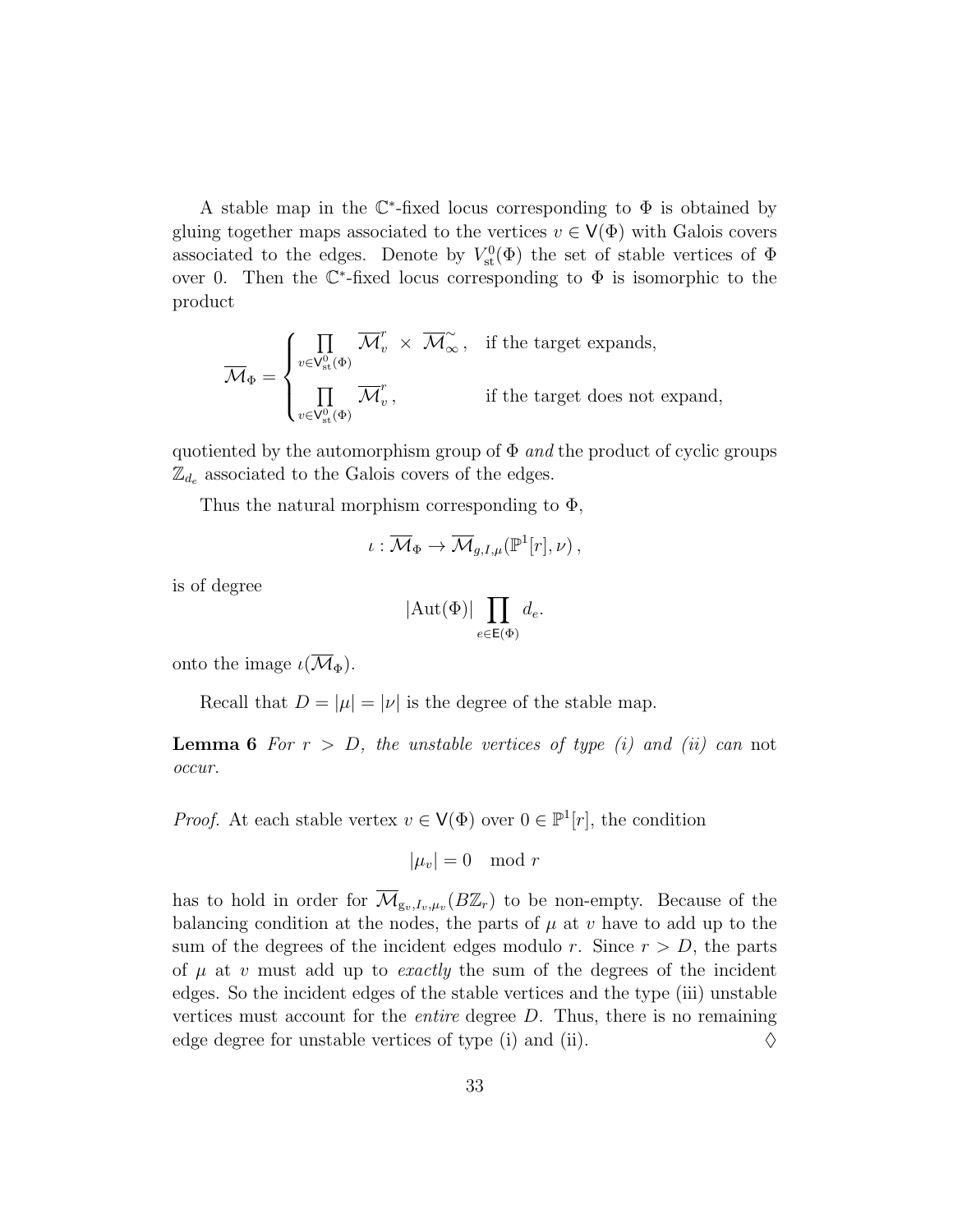A stable map in the  $\mathbb{C}^*$ -fixed locus corresponding to  $\Phi$  is obtained by gluing together maps associated to the vertices  $v \in V(\Phi)$  with Galois covers associated to the edges. Denote by  $V^0_{st}(\Phi)$  the set of stable vertices of  $\Phi$ over 0. Then the  $\mathbb{C}^*$ -fixed locus corresponding to  $\Phi$  is isomorphic to the product

$$
\overline{\mathcal{M}}_{\Phi} = \begin{cases} \prod_{v \in \mathsf{V}_{\mathrm{st}}^{0}(\Phi)} \overline{\mathcal{M}}_{v}^{r} \times \overline{\mathcal{M}}_{\infty}^{\sim}, & \text{if the target expands,} \\ \prod_{v \in \mathsf{V}_{\mathrm{st}}^{0}(\Phi)} \overline{\mathcal{M}}_{v}^{r}, & \text{if the target does not expand,} \end{cases}
$$

quotiented by the automorphism group of  $\Phi$  and the product of cyclic groups  $\mathbb{Z}_{d_e}$  associated to the Galois covers of the edges.

Thus the natural morphism corresponding to  $\Phi$ ,

$$
\iota:\overline{\mathcal{M}}_{\Phi} \to \overline{\mathcal{M}}_{g,I,\mu}(\mathbb{P}^1[r],\nu)\,,
$$

is of degree

$$
|\mathrm{Aut}(\Phi)|\prod_{e\in\mathsf{E}(\Phi)}d_e.
$$

onto the image  $\iota(\overline{\mathcal{M}}_{\Phi}).$ 

Recall that  $D = |\mu| = |\nu|$  is the degree of the stable map.

**Lemma 6** For  $r > D$ , the unstable vertices of type (i) and (ii) can not occur.

*Proof.* At each stable vertex  $v \in V(\Phi)$  over  $0 \in \mathbb{P}^1[r]$ , the condition

$$
|\mu_v|=0 \mod r
$$

has to hold in order for  $\overline{\mathcal{M}}_{g_v,I_v,\mu_v}(B\mathbb{Z}_r)$  to be non-empty. Because of the balancing condition at the nodes, the parts of  $\mu$  at v have to add up to the sum of the degrees of the incident edges modulo r. Since  $r > D$ , the parts of  $\mu$  at v must add up to *exactly* the sum of the degrees of the incident edges. So the incident edges of the stable vertices and the type (iii) unstable vertices must account for the *entire* degree  $D$ . Thus, there is no remaining edge degree for unstable vertices of type (i) and (ii).  $\Diamond$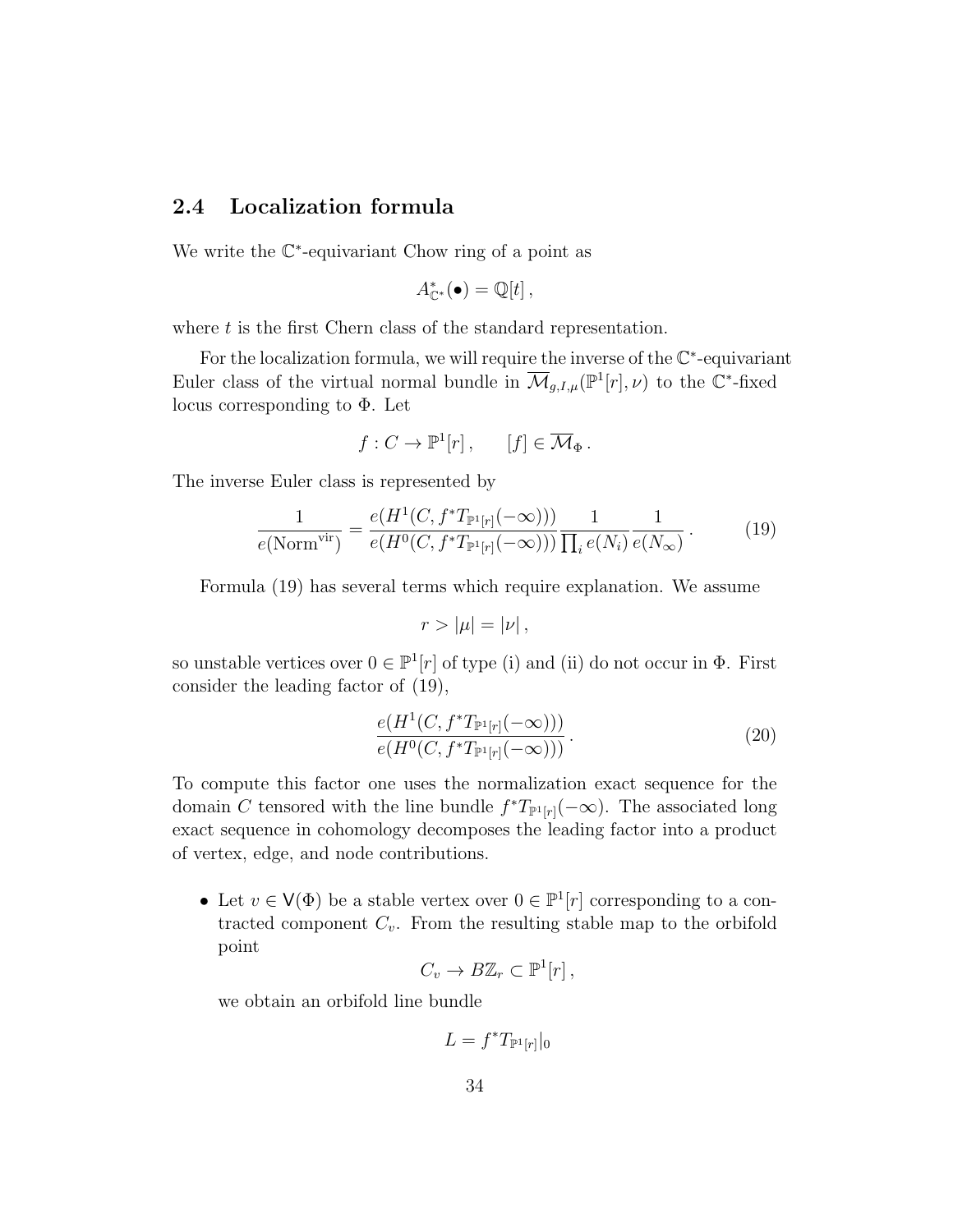## 2.4 Localization formula

We write the  $\mathbb{C}^*$ -equivariant Chow ring of a point as

$$
A_{\mathbb{C}^*}^*(\bullet) = \mathbb{Q}[t],
$$

where  $t$  is the first Chern class of the standard representation.

For the localization formula, we will require the inverse of the  $\mathbb{C}^*$ -equivariant Euler class of the virtual normal bundle in  $\overline{\mathcal{M}}_{g,I,\mu}(\mathbb{P}^1[r],\nu)$  to the  $\mathbb{C}^*$ -fixed locus corresponding to Φ. Let

$$
f: C \to \mathbb{P}^1[r], \quad [f] \in \overline{\mathcal{M}}_{\Phi}.
$$

The inverse Euler class is represented by

$$
\frac{1}{e(\text{Norm}^{\text{vir}})} = \frac{e(H^1(C, f^*T_{\mathbb{P}^1[r]}(-\infty)))}{e(H^0(C, f^*T_{\mathbb{P}^1[r]}(-\infty)))} \frac{1}{\prod_i e(N_i)} \frac{1}{e(N_{\infty})}.
$$
(19)

Formula (19) has several terms which require explanation. We assume

$$
r > |\mu| = |\nu|,
$$

so unstable vertices over  $0 \in \mathbb{P}^1[r]$  of type (i) and (ii) do not occur in  $\Phi$ . First consider the leading factor of (19),

$$
\frac{e(H^1(C, f^*T_{\mathbb{P}^1[r]}(-\infty)))}{e(H^0(C, f^*T_{\mathbb{P}^1[r]}(-\infty)))}.
$$
\n(20)

To compute this factor one uses the normalization exact sequence for the domain C tensored with the line bundle  $f^*T_{\mathbb{P}^1[r]}(-\infty)$ . The associated long exact sequence in cohomology decomposes the leading factor into a product of vertex, edge, and node contributions.

• Let  $v \in V(\Phi)$  be a stable vertex over  $0 \in \mathbb{P}^1[r]$  corresponding to a contracted component  $C_v$ . From the resulting stable map to the orbifold point

$$
C_v \to B\mathbb{Z}_r \subset \mathbb{P}^1[r],
$$

we obtain an orbifold line bundle

$$
L = f^* T_{\mathbb{P}^1[r]}|_0
$$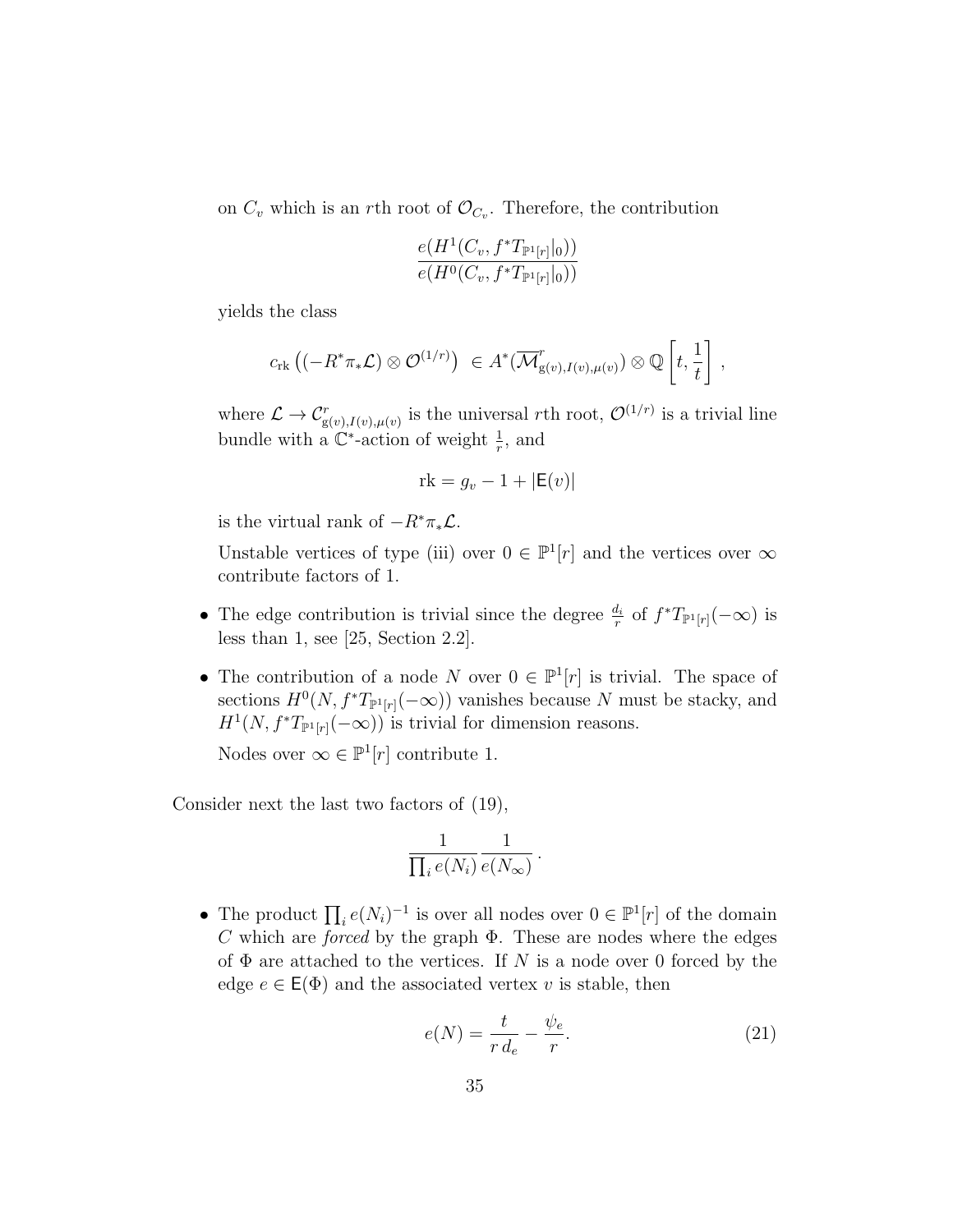on  $C_v$  which is an rth root of  $\mathcal{O}_{C_v}$ . Therefore, the contribution

$$
\frac{e(H^1(C_v, f^*T_{\mathbb{P}^1[r]}|_0))}{e(H^0(C_v, f^*T_{\mathbb{P}^1[r]}|_0))}
$$

yields the class

$$
c_{\rm rk} \left( (-R^* \pi_* \mathcal{L}) \otimes \mathcal{O}^{(1/r)} \right) \ \in A^* (\overline{\mathcal{M}}_{g(v), I(v), \mu(v)}^r) \otimes \mathbb{Q} \left[ t, \frac{1}{t} \right],
$$

where  $\mathcal{L} \to \mathcal{C}^r_{g(v),I(v),\mu(v)}$  is the universal rth root,  $\mathcal{O}^{(1/r)}$  is a trivial line bundle with a  $\mathbb{C}^*$ -action of weight  $\frac{1}{r}$ , and

$$
rk = g_v - 1 + |\mathsf{E}(v)|
$$

is the virtual rank of  $-R^*\pi_*\mathcal{L}$ .

Unstable vertices of type (iii) over  $0 \in \mathbb{P}^1[r]$  and the vertices over  $\infty$ contribute factors of 1.

- The edge contribution is trivial since the degree  $\frac{d_i}{r}$  of  $f^*T_{\mathbb{P}^1[r]}(-\infty)$  is less than 1, see [25, Section 2.2].
- The contribution of a node N over  $0 \in \mathbb{P}^1[r]$  is trivial. The space of sections  $H^0(N, f^*T_{\mathbb{P}^1[r]}(-\infty))$  vanishes because N must be stacky, and  $H^1(N, f^*T_{\mathbb{P}^1[r]}(-\infty))$  is trivial for dimension reasons.

Nodes over  $\infty \in \mathbb{P}^1[r]$  contribute 1.

Consider next the last two factors of (19),

$$
\frac{1}{\prod_i e(N_i)} \frac{1}{e(N_{\infty})}.
$$

• The product  $\prod_i e(N_i)^{-1}$  is over all nodes over  $0 \in \mathbb{P}^1[r]$  of the domain C which are *forced* by the graph  $\Phi$ . These are nodes where the edges of  $\Phi$  are attached to the vertices. If N is a node over 0 forced by the edge  $e \in \mathsf{E}(\Phi)$  and the associated vertex v is stable, then

$$
e(N) = \frac{t}{r d_e} - \frac{\psi_e}{r}.
$$
\n<sup>(21)</sup>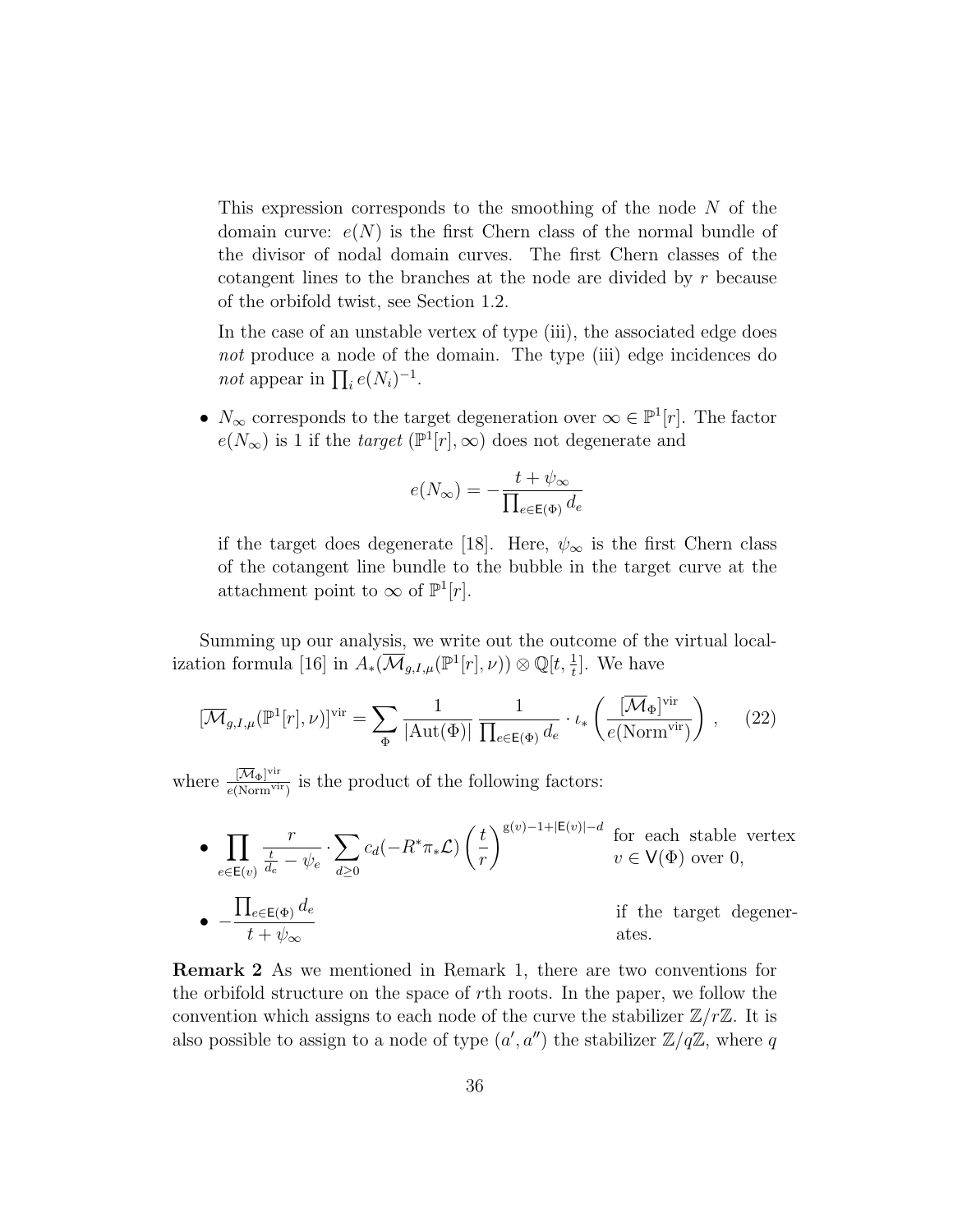This expression corresponds to the smoothing of the node N of the domain curve:  $e(N)$  is the first Chern class of the normal bundle of the divisor of nodal domain curves. The first Chern classes of the cotangent lines to the branches at the node are divided by r because of the orbifold twist, see Section 1.2.

In the case of an unstable vertex of type (iii), the associated edge does not produce a node of the domain. The type (iii) edge incidences do *not* appear in  $\prod_i e(N_i)^{-1}$ .

•  $N_{\infty}$  corresponds to the target degeneration over  $\infty \in \mathbb{P}^1[r]$ . The factor  $e(N_{\infty})$  is 1 if the *target* ( $\mathbb{P}^1[r], \infty$ ) does not degenerate and

$$
e(N_{\infty})=-\frac{t+\psi_{\infty}}{\prod_{e\in\mathsf{E}(\Phi)}d_e}
$$

if the target does degenerate [18]. Here,  $\psi_{\infty}$  is the first Chern class of the cotangent line bundle to the bubble in the target curve at the attachment point to  $\infty$  of  $\mathbb{P}^1[r]$ .

Summing up our analysis, we write out the outcome of the virtual localization formula [16] in  $A_*(\overline{\mathcal{M}}_{g,I,\mu}(\mathbb{P}^1[r], \nu)) \otimes \mathbb{Q}[t, \frac{1}{t}]$ . We have

$$
[\overline{\mathcal{M}}_{g,I,\mu}(\mathbb{P}^1[r],\nu)]^{\text{vir}} = \sum_{\Phi} \frac{1}{|\text{Aut}(\Phi)|} \frac{1}{\prod_{e \in \mathsf{E}(\Phi)} d_e} \cdot \iota_* \left(\frac{[\overline{\mathcal{M}}_{\Phi}]^{\text{vir}}}{e(\text{Norm}^{\text{vir}})}\right), \quad (22)
$$

where  $\frac{[\overline{\mathcal{M}}_{\Phi}]^{\text{vir}}}{e(\text{Norm}^{\text{vir}})}$  $\frac{|\mathcal{M}_{\Phi}|^{V_{\text{th}}}}{e(\text{Norm}^{V_{\text{tr}}})}$  is the product of the following factors:

 $\boldsymbol{\cdot} \ \ \Pi$  $e\in\mathsf{E}(v)$ r t  $\frac{t}{d_e}-\psi_e$  $\cdot \sum$  $d \geq 0$  $c_d(-R^*\pi_*\mathcal{L})\left(\frac{t}{t}\right)$ r  $\sum_{g(v)-1+|E(v)|-d}$  for each stable vertex  $v \in V(\Phi)$  over 0, • −  $\prod_{e\in\mathsf{E}(\Phi)} d_e$  $t + \psi_{\infty}$ if the target degenerates.

Remark 2 As we mentioned in Remark 1, there are two conventions for the orbifold structure on the space of rth roots. In the paper, we follow the convention which assigns to each node of the curve the stabilizer  $\mathbb{Z}/r\mathbb{Z}$ . It is also possible to assign to a node of type  $(a', a'')$  the stabilizer  $\mathbb{Z}/q\mathbb{Z}$ , where q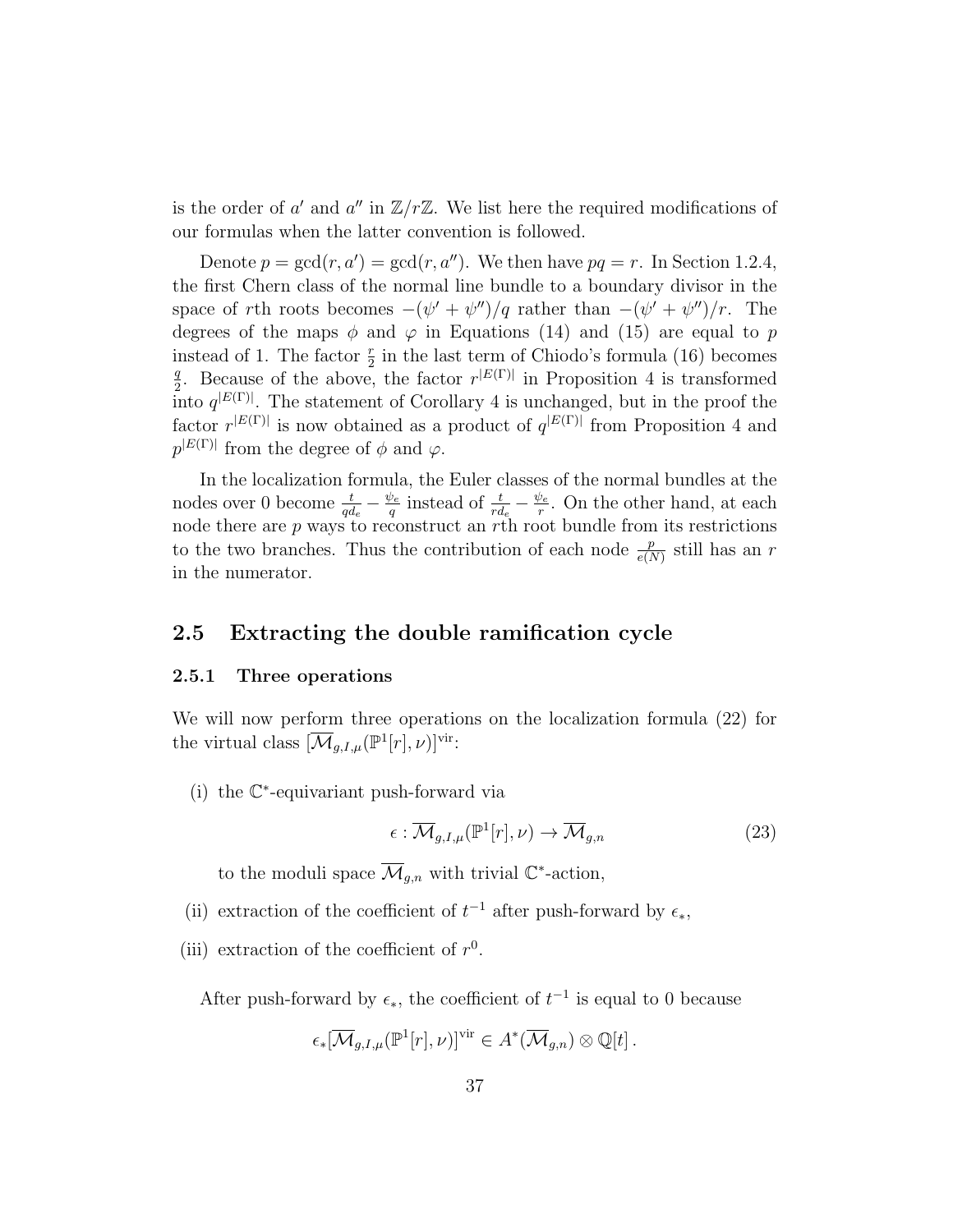is the order of a' and a'' in  $\mathbb{Z}/r\mathbb{Z}$ . We list here the required modifications of our formulas when the latter convention is followed.

Denote  $p = \gcd(r, a') = \gcd(r, a'')$ . We then have  $pq = r$ . In Section 1.2.4, the first Chern class of the normal line bundle to a boundary divisor in the space of rth roots becomes  $-(\psi' + \psi'')/q$  rather than  $-(\psi' + \psi'')/r$ . The degrees of the maps  $\phi$  and  $\varphi$  in Equations (14) and (15) are equal to p instead of 1. The factor  $\frac{r}{2}$  in the last term of Chiodo's formula (16) becomes q <sup>2</sup>/<sub>2</sub>. Because of the above, the factor  $r^{|E(\Gamma)|}$  in Proposition 4 is transformed into  $q^{|E(\Gamma)|}$ . The statement of Corollary 4 is unchanged, but in the proof the factor  $r^{|E(\Gamma)|}$  is now obtained as a product of  $q^{|E(\Gamma)|}$  from Proposition 4 and  $p^{|E(\Gamma)|}$  from the degree of  $\phi$  and  $\varphi$ .

In the localization formula, the Euler classes of the normal bundles at the nodes over 0 become  $\frac{t}{qd_e} - \frac{\psi_e}{q}$  $\frac{\psi_e}{q}$  instead of  $\frac{t}{rd_e} - \frac{\psi_e}{r}$  $\frac{\partial e}{r}$ . On the other hand, at each node there are p ways to reconstruct an rth root bundle from its restrictions to the two branches. Thus the contribution of each node  $\frac{p}{e(N)}$  still has an r in the numerator.

## 2.5 Extracting the double ramification cycle

#### 2.5.1 Three operations

We will now perform three operations on the localization formula (22) for the virtual class  $[\overline{\mathcal{M}}_{g,I,\mu}(\mathbb{P}^1[r], \nu)]^{\text{vir}}$ :

(i) the C ∗ -equivariant push-forward via

$$
\epsilon : \overline{\mathcal{M}}_{g,I,\mu}(\mathbb{P}^1[r],\nu) \to \overline{\mathcal{M}}_{g,n} \tag{23}
$$

to the moduli space  $\overline{\mathcal{M}}_{g,n}$  with trivial  $\mathbb{C}^*$ -action,

- (ii) extraction of the coefficient of  $t^{-1}$  after push-forward by  $\epsilon_*$ ,
- (iii) extraction of the coefficient of  $r^0$ .

After push-forward by  $\epsilon_{*}$ , the coefficient of  $t^{-1}$  is equal to 0 because

$$
\epsilon_*[\overline{\mathcal{M}}_{g,I,\mu}(\mathbb{P}^1[r],\nu)]^{\text{vir}} \in A^*(\overline{\mathcal{M}}_{g,n}) \otimes \mathbb{Q}[t].
$$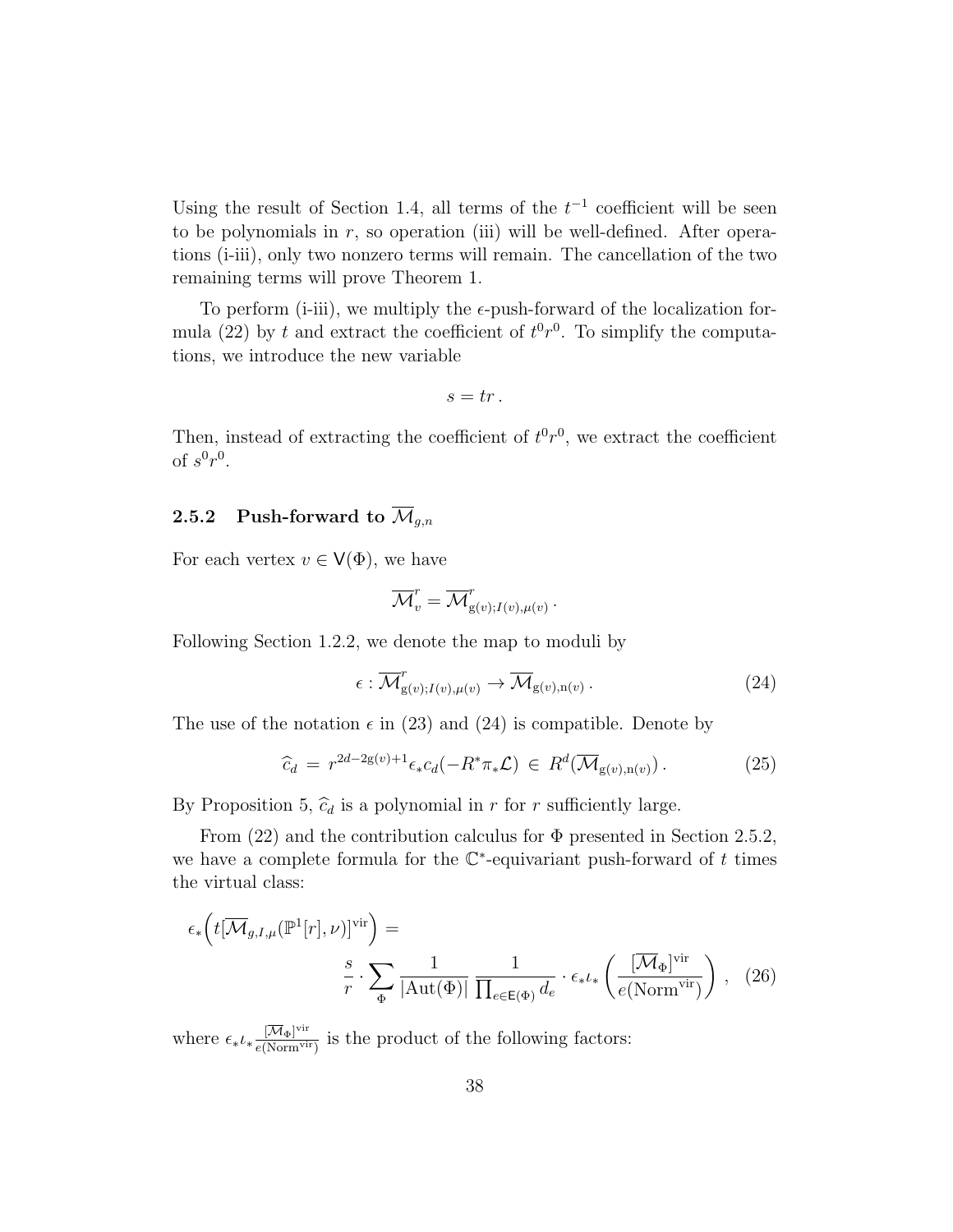Using the result of Section 1.4, all terms of the  $t^{-1}$  coefficient will be seen to be polynomials in  $r$ , so operation (iii) will be well-defined. After operations (i-iii), only two nonzero terms will remain. The cancellation of the two remaining terms will prove Theorem 1.

To perform (i-iii), we multiply the  $\epsilon$ -push-forward of the localization formula (22) by t and extract the coefficient of  $t^0r^0$ . To simplify the computations, we introduce the new variable

 $s = tr$ .

Then, instead of extracting the coefficient of  $t^0r^0$ , we extract the coefficient of  $s^0r^0$ .

## 2.5.2 Push-forward to  $\overline{\mathcal{M}}_{q,n}$

For each vertex  $v \in V(\Phi)$ , we have

$$
\overline{\mathcal{M}}_v^r = \overline{\mathcal{M}}_{g(v);I(v),\mu(v)}^r.
$$

Following Section 1.2.2, we denote the map to moduli by

$$
\epsilon : \overline{\mathcal{M}}_{g(v);I(v),\mu(v)}^r \to \overline{\mathcal{M}}_{g(v),n(v)}.
$$
\n(24)

The use of the notation  $\epsilon$  in (23) and (24) is compatible. Denote by

$$
\widehat{c}_d = r^{2d-2g(v)+1} \epsilon_* c_d(-R^* \pi_* \mathcal{L}) \in R^d(\overline{\mathcal{M}}_{g(v),n(v)}) \,. \tag{25}
$$

By Proposition 5,  $\hat{c}_d$  is a polynomial in r for r sufficiently large.

From  $(22)$  and the contribution calculus for  $\Phi$  presented in Section 2.5.2, we have a complete formula for the  $\mathbb{C}^*$ -equivariant push-forward of t times the virtual class:

$$
\epsilon_{*}\left(t[\overline{\mathcal{M}}_{g,I,\mu}(\mathbb{P}^{1}[r],\nu)]^{\text{vir}}\right) =
$$

$$
\frac{s}{r} \cdot \sum_{\Phi} \frac{1}{|\text{Aut}(\Phi)|} \frac{1}{\prod_{e \in E(\Phi)} d_e} \cdot \epsilon_{*}\iota_{*}\left(\frac{[\overline{\mathcal{M}}_{\Phi}]^{\text{vir}}}{e(\text{Norm}^{\text{vir}})}\right), (26)
$$

where  $\epsilon_* \iota_* \frac{[\overline{\mathcal{M}}_{\Phi}]^{\text{vir}}}{e(\text{Norm}^{\text{vir}})}$  $\frac{|\mathcal{M}_{\Phi}|^{V_{\text{th}}}}{e(\text{Norm}^{V_{\text{tr}}})}$  is the product of the following factors: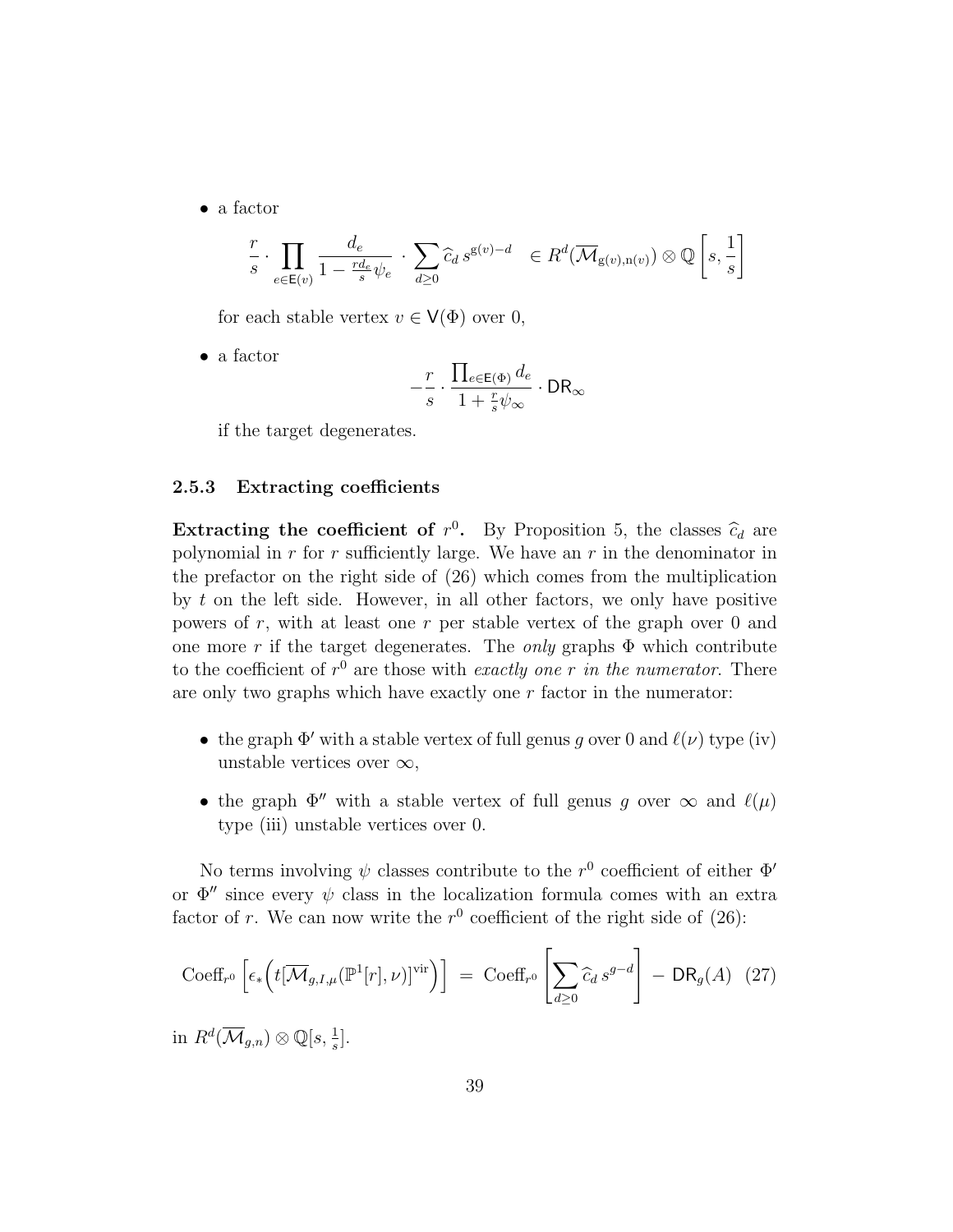• a factor

$$
\frac{r}{s} \cdot \prod_{e \in \mathsf{E}(v)} \frac{d_e}{1 - \frac{r d_e}{s} \psi_e} \cdot \sum_{d \ge 0} \widehat{c}_d \, s^{\mathsf{g}(v) - d} \ \in R^d(\overline{\mathcal{M}}_{\mathsf{g}(v), \mathsf{n}(v)}) \otimes \mathbb{Q} \left[ s, \frac{1}{s} \right]
$$

for each stable vertex  $v \in V(\Phi)$  over 0,

• a factor

$$
-\frac{r}{s}\cdot\frac{\prod_{e\in\mathsf{E}(\Phi)}d_e}{1+\frac{r}{s}\psi_{\infty}}\cdot\mathsf{DR}_{\infty}
$$

if the target degenerates.

#### 2.5.3 Extracting coefficients

**Extracting the coefficient of**  $r^0$ . By Proposition 5, the classes  $\hat{c}_d$  are no prominent in a for a sufficiently large. We have an *n* in the denominator in polynomial in  $r$  for  $r$  sufficiently large. We have an  $r$  in the denominator in the prefactor on the right side of (26) which comes from the multiplication by  $t$  on the left side. However, in all other factors, we only have positive powers of  $r$ , with at least one  $r$  per stable vertex of the graph over  $0$  and one more r if the target degenerates. The *only* graphs  $\Phi$  which contribute to the coefficient of  $r^0$  are those with *exactly one* r in the numerator. There are only two graphs which have exactly one  $r$  factor in the numerator:

- the graph  $\Phi'$  with a stable vertex of full genus g over 0 and  $\ell(\nu)$  type (iv) unstable vertices over  $\infty$ ,
- the graph  $\Phi''$  with a stable vertex of full genus g over  $\infty$  and  $\ell(\mu)$ type (iii) unstable vertices over 0.

No terms involving  $\psi$  classes contribute to the  $r^0$  coefficient of either  $\Phi'$ or  $\Phi''$  since every  $\psi$  class in the localization formula comes with an extra factor of r. We can now write the  $r^0$  coefficient of the right side of (26):

$$
\text{Coeff}_{r^0} \left[ \epsilon_* \left( t[\overline{\mathcal{M}}_{g,I,\mu}(\mathbb{P}^1[r], \nu)]^{\text{vir}} \right) \right] = \text{Coeff}_{r^0} \left[ \sum_{d \ge 0} \widehat{c}_d \, s^{g-d} \right] - \text{DR}_g(A) \tag{27}
$$

in  $R^d(\overline{\mathcal{M}}_{g,n})\otimes \mathbb{Q}[s,\frac{1}{s}].$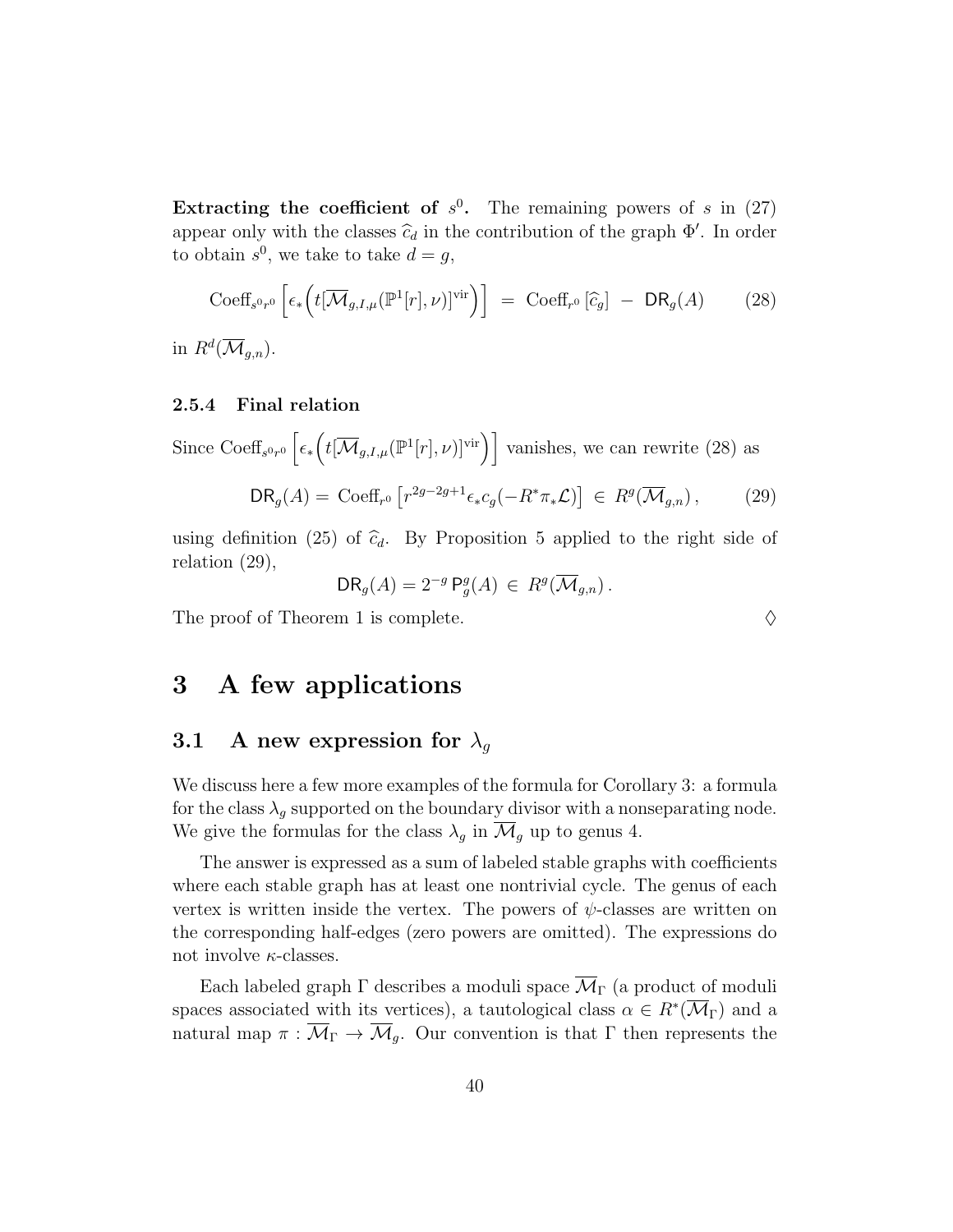Extracting the coefficient of  $s^0$ . The remaining powers of s in (27) appear only with the classes  $\hat{c}_d$  in the contribution of the graph  $\Phi'$ . In order to obtain  $s^0$ , we take to take  $d = g$ ,

$$
\text{Coeff}_{s^0 r^0} \left[ \epsilon_* \left( t[\overline{\mathcal{M}}_{g,I,\mu}(\mathbb{P}^1[r],\nu)]^{\text{vir}} \right) \right] = \text{Coeff}_{r^0} \left[ \widehat{c}_g \right] - \text{DR}_g(A) \tag{28}
$$

in  $R^d(\overline{\mathcal{M}}_{g,n}).$ 

#### 2.5.4 Final relation

Since Coeff<sub>s<sup>0r0</sub></sup>  $\left[\epsilon_*\left(t[\overline{\mathcal{M}}_{g,I,\mu}(\mathbb{P}^1[r],\nu)]^{\text{vir}}\right)\right]$  vanishes, we can rewrite (28) as</sub>

$$
\mathsf{DR}_g(A) = \mathrm{Coeff}_{r^0} \left[ r^{2g-2g+1} \epsilon_* c_g(-R^* \pi_* \mathcal{L}) \right] \in R^g(\overline{\mathcal{M}}_{g,n}), \tag{29}
$$

using definition (25) of  $\hat{c}_d$ . By Proposition 5 applied to the right side of relation (29),

$$
\mathsf{DR}_g(A) = 2^{-g} \, \mathsf{P}^g_g(A) \, \in \, R^g(\overline{\mathcal{M}}_{g,n}) \, .
$$

The proof of Theorem 1 is complete.  $\Diamond$ 

3 A few applications

## 3.1 A new expression for  $\lambda_q$

We discuss here a few more examples of the formula for Corollary 3: a formula for the class  $\lambda_q$  supported on the boundary divisor with a nonseparating node. We give the formulas for the class  $\lambda_g$  in  $\overline{\mathcal{M}}_g$  up to genus 4.

The answer is expressed as a sum of labeled stable graphs with coefficients where each stable graph has at least one nontrivial cycle. The genus of each vertex is written inside the vertex. The powers of  $\psi$ -classes are written on the corresponding half-edges (zero powers are omitted). The expressions do not involve  $\kappa$ -classes.

Each labeled graph  $\Gamma$  describes a moduli space  $\overline{\mathcal{M}}_{\Gamma}$  (a product of moduli spaces associated with its vertices), a tautological class  $\alpha \in R^*(\overline{\mathcal{M}}_{\Gamma})$  and a natural map  $\pi : \overline{\mathcal{M}}_{\Gamma} \to \overline{\mathcal{M}}_{q}$ . Our convention is that  $\Gamma$  then represents the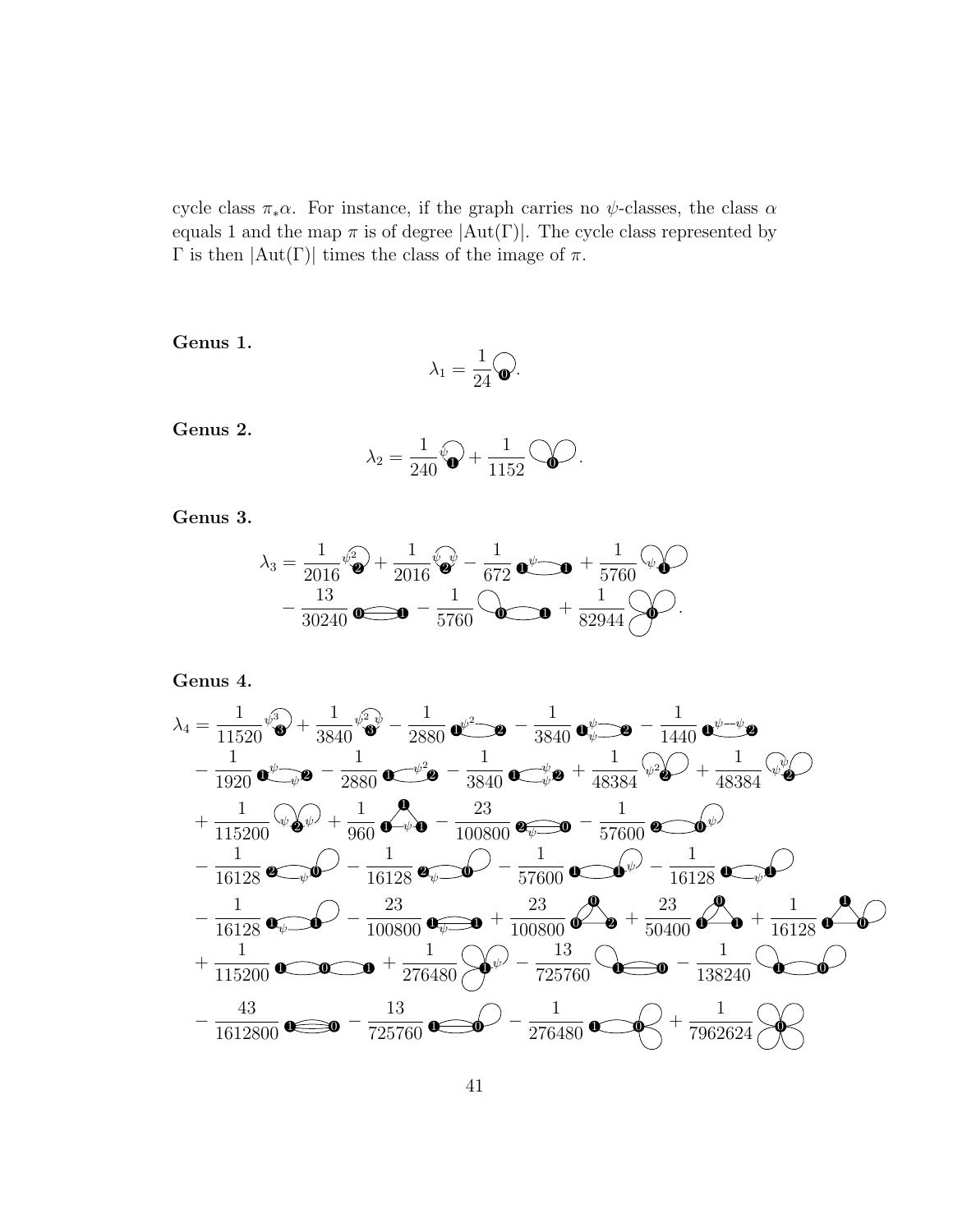cycle class  $\pi_* \alpha$ . For instance, if the graph carries no  $\psi$ -classes, the class  $\alpha$ equals 1 and the map  $\pi$  is of degree  $|Aut(\Gamma)|$ . The cycle class represented by Γ is then  $|Aut(Γ)|$  times the class of the image of π.

Genus 1.

$$
\lambda_1=\frac{1}{24}\widehat{\textbf{Q}}.
$$

Genus 2.

$$
\lambda_2 = \frac{1}{240}\widehat{\mathbf{Q}} + \frac{1}{1152}\widehat{\mathbf{Q}}.
$$

Genus 3.

$$
\lambda_3 = \frac{1}{2016} \sqrt[6]{\bullet} + \frac{1}{2016} \sqrt[6]{\bullet} - \frac{1}{672} \bullet \sqrt[6]{\bullet} + \frac{1}{5760} \sqrt[6]{\bullet} - \frac{13}{30240} \bullet \frac{1}{\bullet} - \frac{1}{5760} \odot \bullet \bullet + \frac{1}{82944} \odot \bullet \bullet
$$

Genus 4.

$$
\lambda_4 = \frac{1}{11520} \sqrt[4]{3} + \frac{1}{3840} \sqrt[4]{3} - \frac{1}{2880} \sqrt[4]{3} - \frac{1}{3840} \sqrt[4]{3} - \frac{1}{3840} \sqrt[4]{3} - \frac{1}{1440} \sqrt[4]{3} - \frac{1}{1440} \sqrt[4]{3} - \frac{1}{1920} \sqrt[4]{3} - \frac{1}{2880} \sqrt[4]{3} - \frac{1}{3840} \sqrt[4]{3} - \frac{1}{3840} \sqrt[4]{3} - \frac{1}{48384} \sqrt[4]{3} - \frac{1}{48384} \sqrt[4]{3} - \frac{1}{48384} \sqrt[4]{3} - \frac{1}{115200} \sqrt[4]{3} - \frac{1}{16128} \sqrt[4]{3} - \frac{1}{16128} \sqrt[4]{3} - \frac{1}{16128} \sqrt[4]{3} - \frac{1}{16128} \sqrt[4]{3} - \frac{1}{16128} \sqrt[4]{3} - \frac{1}{16128} \sqrt[4]{3} - \frac{1}{16128} \sqrt[4]{3} - \frac{1}{16128} \sqrt[4]{3} - \frac{1}{16128} \sqrt[4]{3} - \frac{1}{16128} \sqrt[4]{3} - \frac{1}{16128} \sqrt[4]{3} - \frac{1}{16128} \sqrt[4]{3} - \frac{1}{16128} \sqrt[4]{3} - \frac{1}{16128} \sqrt[4]{3} - \frac{1}{16128} \sqrt[4]{3} - \frac{1}{16128} \sqrt[4]{3} - \frac{1}{16128} \sqrt[4]{3} - \frac{1}{16128} \sqrt[4]{3} - \frac{1}{16128} \sqrt[4]{3} - \frac{1}{276480} \sqrt[4]{3} - \frac{1}{725760} \sqrt[4]{3} - \frac{1}{726480} \sqrt[4]{3} - \frac{1}{726480} \sqrt[4]{3} - \frac{1}{726480} \sqrt[4]{3} - \frac{1}{726480} \sqrt[4]{3
$$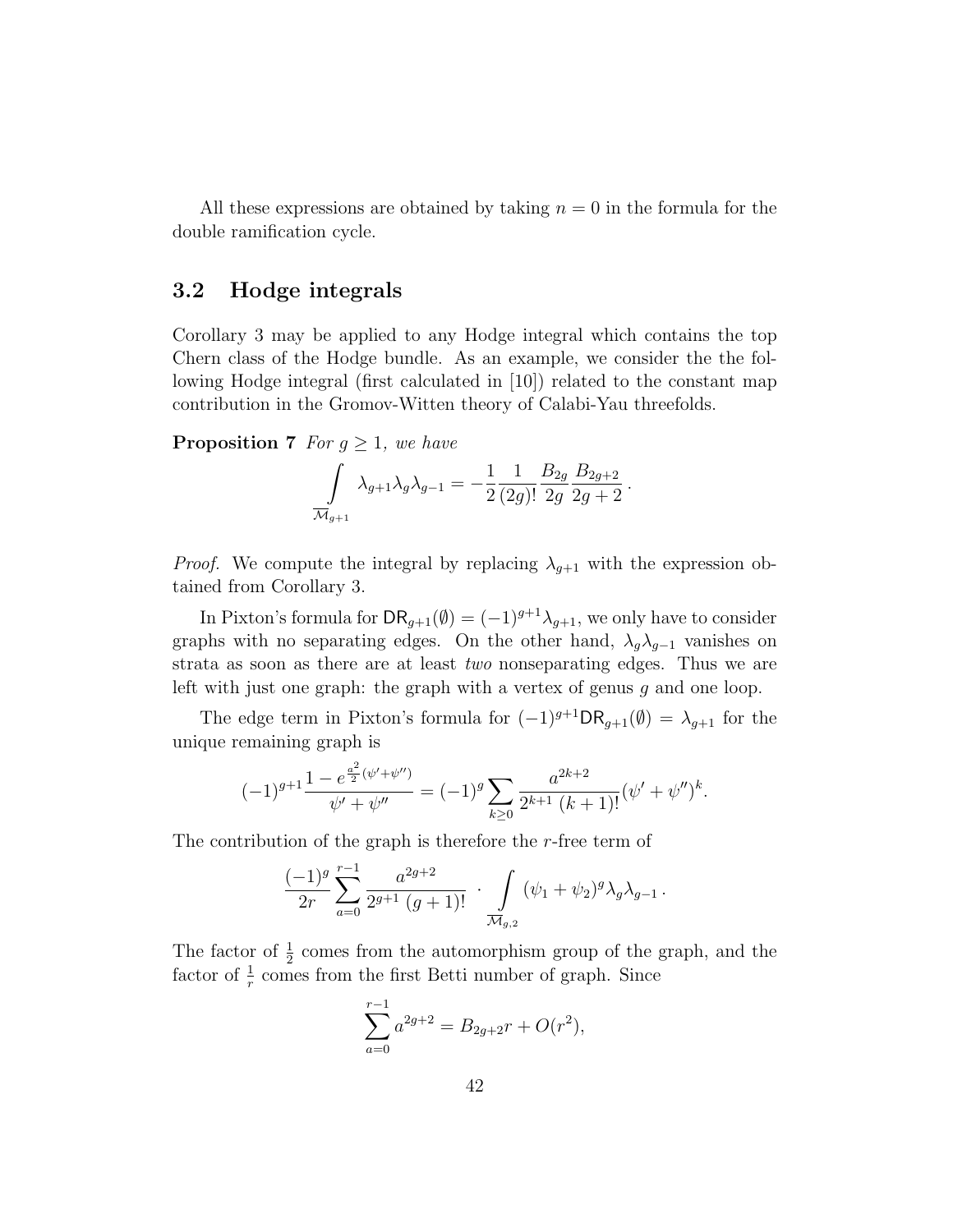All these expressions are obtained by taking  $n = 0$  in the formula for the double ramification cycle.

## 3.2 Hodge integrals

Corollary 3 may be applied to any Hodge integral which contains the top Chern class of the Hodge bundle. As an example, we consider the the following Hodge integral (first calculated in [10]) related to the constant map contribution in the Gromov-Witten theory of Calabi-Yau threefolds.

**Proposition 7** For  $g \geq 1$ , we have

$$
\int\limits_{\overline{\mathcal{M}}_{g+1}} \lambda_{g+1} \lambda_g \lambda_{g-1} = -\frac{1}{2} \frac{1}{(2g)!} \frac{B_{2g}}{2g} \frac{B_{2g+2}}{2g+2}.
$$

*Proof.* We compute the integral by replacing  $\lambda_{q+1}$  with the expression obtained from Corollary 3.

In Pixton's formula for  $\mathsf{DR}_{g+1}(\emptyset) = (-1)^{g+1}\lambda_{g+1}$ , we only have to consider graphs with no separating edges. On the other hand,  $\lambda_q \lambda_{q-1}$  vanishes on strata as soon as there are at least two nonseparating edges. Thus we are left with just one graph: the graph with a vertex of genus g and one loop.

The edge term in Pixton's formula for  $(-1)^{g+1} \mathsf{DR}_{g+1}(\emptyset) = \lambda_{g+1}$  for the unique remaining graph is

$$
(-1)^{g+1} \frac{1 - e^{\frac{a^2}{2}(\psi' + \psi'')}}{\psi' + \psi''} = (-1)^g \sum_{k \ge 0} \frac{a^{2k+2}}{2^{k+1} (k+1)!} (\psi' + \psi'')^k.
$$

The contribution of the graph is therefore the r-free term of

$$
\frac{(-1)^g}{2r} \sum_{a=0}^{r-1} \frac{a^{2g+2}}{2^{g+1} (g+1)!} \cdot \int\limits_{\overline{\mathcal{M}}_{g,2}} (\psi_1 + \psi_2)^g \lambda_g \lambda_{g-1}.
$$

The factor of  $\frac{1}{2}$  comes from the automorphism group of the graph, and the factor of  $\frac{1}{r}$  comes from the first Betti number of graph. Since

$$
\sum_{a=0}^{r-1} a^{2g+2} = B_{2g+2}r + O(r^2),
$$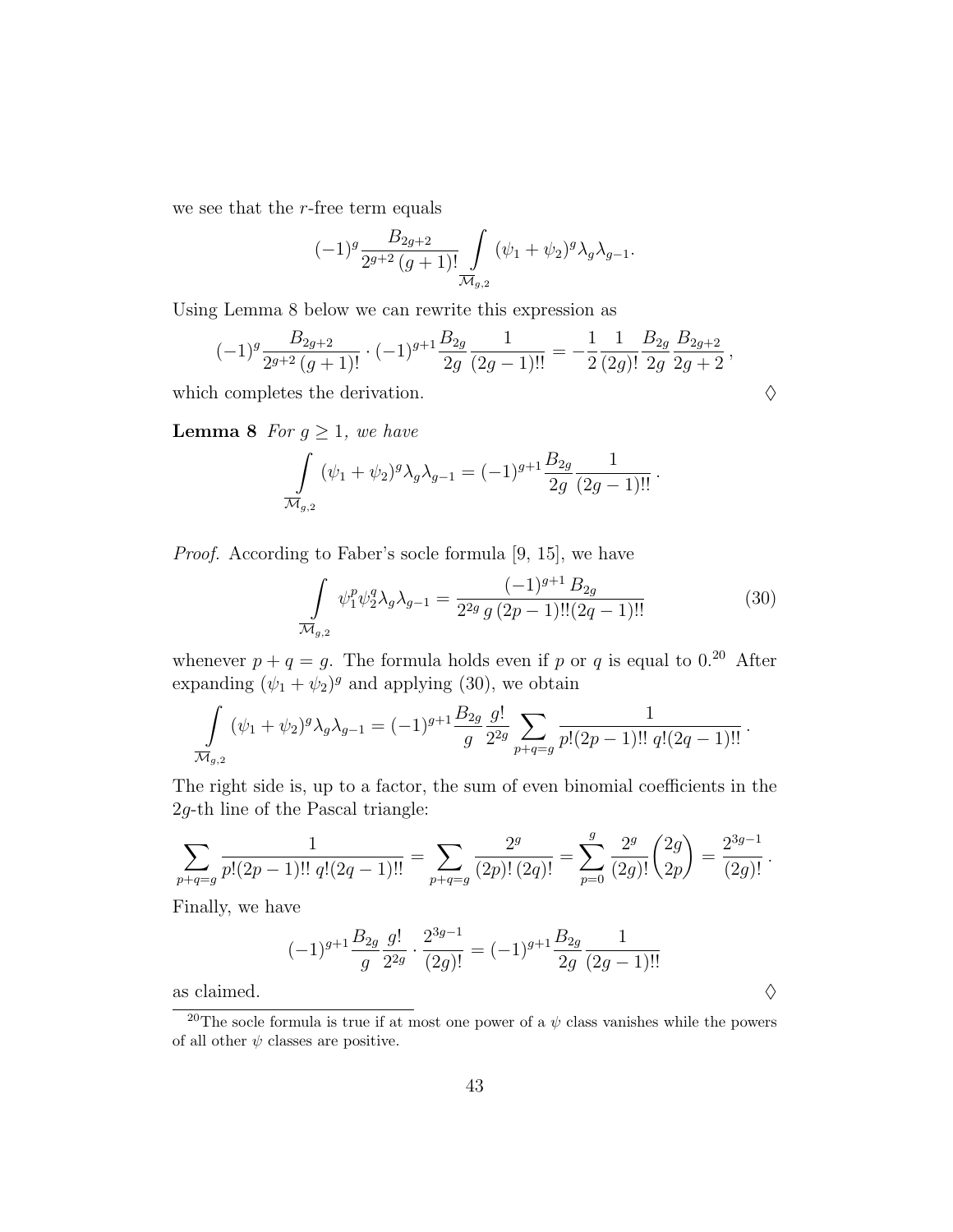we see that the  $r$ -free term equals

$$
(-1)^{g} \frac{B_{2g+2}}{2^{g+2} (g+1)!} \int\limits_{\overline{\mathcal{M}}_{g,2}} (\psi_1 + \psi_2)^{g} \lambda_g \lambda_{g-1}.
$$

Using Lemma 8 below we can rewrite this expression as

$$
(-1)^{g} \frac{B_{2g+2}}{2^{g+2}(g+1)!} \cdot (-1)^{g+1} \frac{B_{2g}}{2g} \frac{1}{(2g-1)!!} = -\frac{1}{2} \frac{1}{(2g)!} \frac{B_{2g}}{2g} \frac{B_{2g+2}}{2g+2},
$$
  
which completes the derivation.

**Lemma 8** For  $g \geq 1$ , we have

$$
\int_{\overline{\mathcal{M}}_{g,2}} (\psi_1 + \psi_2)^g \lambda_g \lambda_{g-1} = (-1)^{g+1} \frac{B_{2g}}{2g} \frac{1}{(2g-1)!!}.
$$

Proof. According to Faber's socle formula [9, 15], we have

$$
\int_{\overline{\mathcal{M}}_{g,2}} \psi_1^p \psi_2^q \lambda_g \lambda_{g-1} = \frac{(-1)^{g+1} B_{2g}}{2^{2g} g (2p-1)!! (2q-1)!!}
$$
(30)

whenever  $p + q = g$ . The formula holds even if p or q is equal to 0.<sup>20</sup> After expanding  $(\psi_1 + \psi_2)^g$  and applying (30), we obtain

$$
\int_{\overline{\mathcal{M}}_{g,2}} (\psi_1 + \psi_2)^g \lambda_g \lambda_{g-1} = (-1)^{g+1} \frac{B_{2g}}{g} \frac{g!}{2^{2g}} \sum_{p+q=g} \frac{1}{p!(2p-1)!! \ q!(2q-1)!!}.
$$

The right side is, up to a factor, the sum of even binomial coefficients in the 2g-th line of the Pascal triangle:

$$
\sum_{p+q=g} \frac{1}{p!(2p-1)!!\ q!(2q-1)!!} = \sum_{p+q=g} \frac{2^g}{(2p)!(2q)!} = \sum_{p=0}^g \frac{2^g}{(2g)!} {2g \choose 2p} = \frac{2^{3g-1}}{(2g)!}.
$$

Finally, we have

$$
(-1)^{g+1}\frac{B_{2g}}{g}\frac{g!}{2^{2g}}\cdot\frac{2^{3g-1}}{(2g)!}=(-1)^{g+1}\frac{B_{2g}}{2g}\frac{1}{(2g-1)!!}
$$
 as claimed.

<sup>&</sup>lt;sup>20</sup>The socle formula is true if at most one power of a  $\psi$  class vanishes while the powers of all other  $\psi$  classes are positive.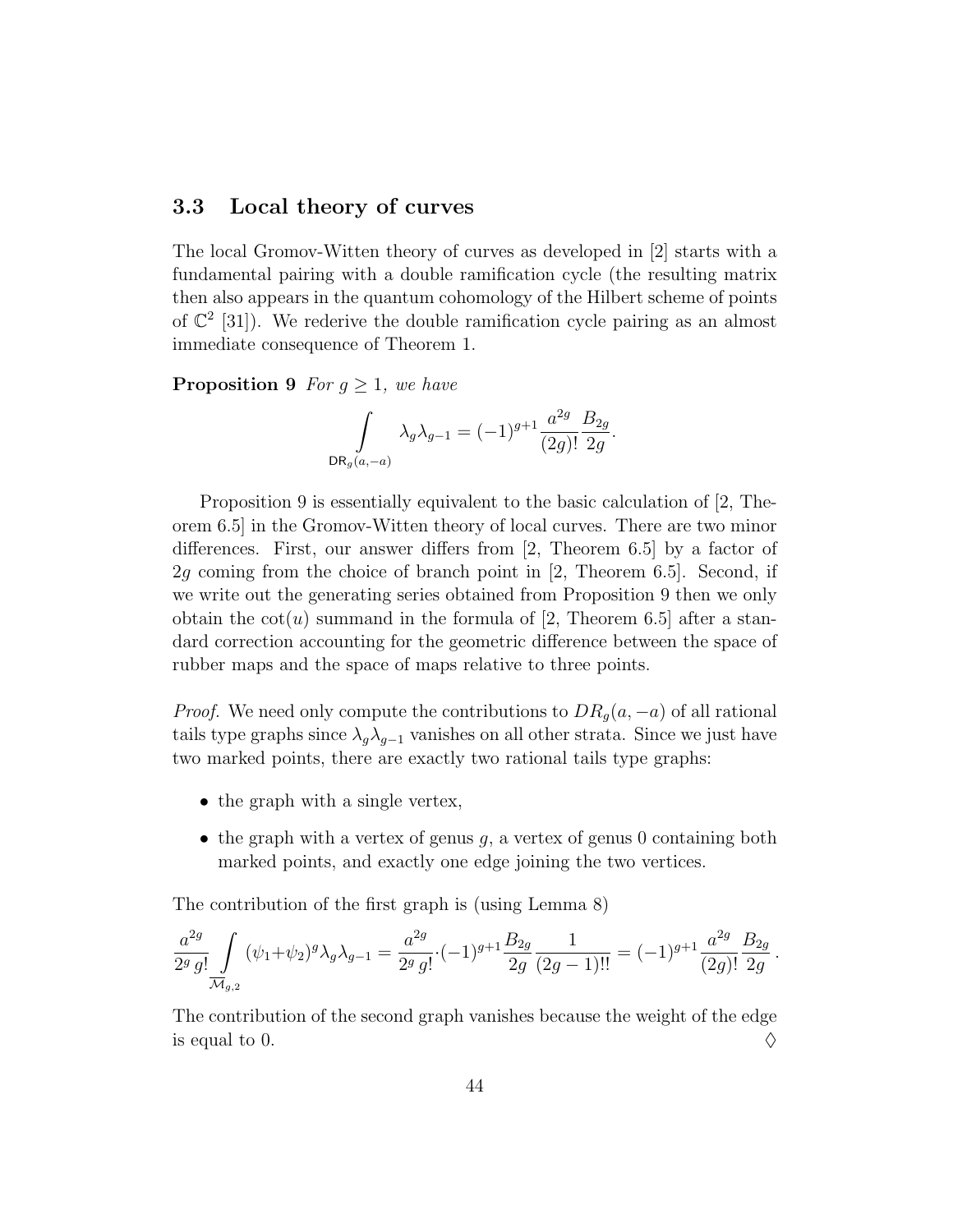## 3.3 Local theory of curves

The local Gromov-Witten theory of curves as developed in [2] starts with a fundamental pairing with a double ramification cycle (the resulting matrix then also appears in the quantum cohomology of the Hilbert scheme of points of  $\mathbb{C}^2$  [31]). We rederive the double ramification cycle pairing as an almost immediate consequence of Theorem 1.

**Proposition 9** For  $g \geq 1$ , we have

$$
\int\limits_{{\rm DR}_g(a,-a)} \lambda_g \lambda_{g-1} = (-1)^{g+1} \frac{a^{2g}}{(2g)!} \frac{B_{2g}}{2g}
$$

.

Proposition 9 is essentially equivalent to the basic calculation of [2, Theorem 6.5] in the Gromov-Witten theory of local curves. There are two minor differences. First, our answer differs from [2, Theorem 6.5] by a factor of 2g coming from the choice of branch point in [2, Theorem 6.5]. Second, if we write out the generating series obtained from Proposition 9 then we only obtain the  $cot(u)$  summand in the formula of [2, Theorem 6.5] after a standard correction accounting for the geometric difference between the space of rubber maps and the space of maps relative to three points.

*Proof.* We need only compute the contributions to  $DR_q(a, -a)$  of all rational tails type graphs since  $\lambda_q \lambda_{q-1}$  vanishes on all other strata. Since we just have two marked points, there are exactly two rational tails type graphs:

- the graph with a single vertex,
- the graph with a vertex of genus  $g$ , a vertex of genus 0 containing both marked points, and exactly one edge joining the two vertices.

The contribution of the first graph is (using Lemma 8)

$$
\frac{a^{2g}}{2^g g!} \int\limits_{\overline{\mathcal{M}}_{g,2}} (\psi_1 + \psi_2)^g \lambda_g \lambda_{g-1} = \frac{a^{2g}}{2^g g!} \cdot (-1)^{g+1} \frac{B_{2g}}{2g} \frac{1}{(2g-1)!!} = (-1)^{g+1} \frac{a^{2g}}{(2g)!} \frac{B_{2g}}{2g}.
$$

The contribution of the second graph vanishes because the weight of the edge is equal to 0.  $\Diamond$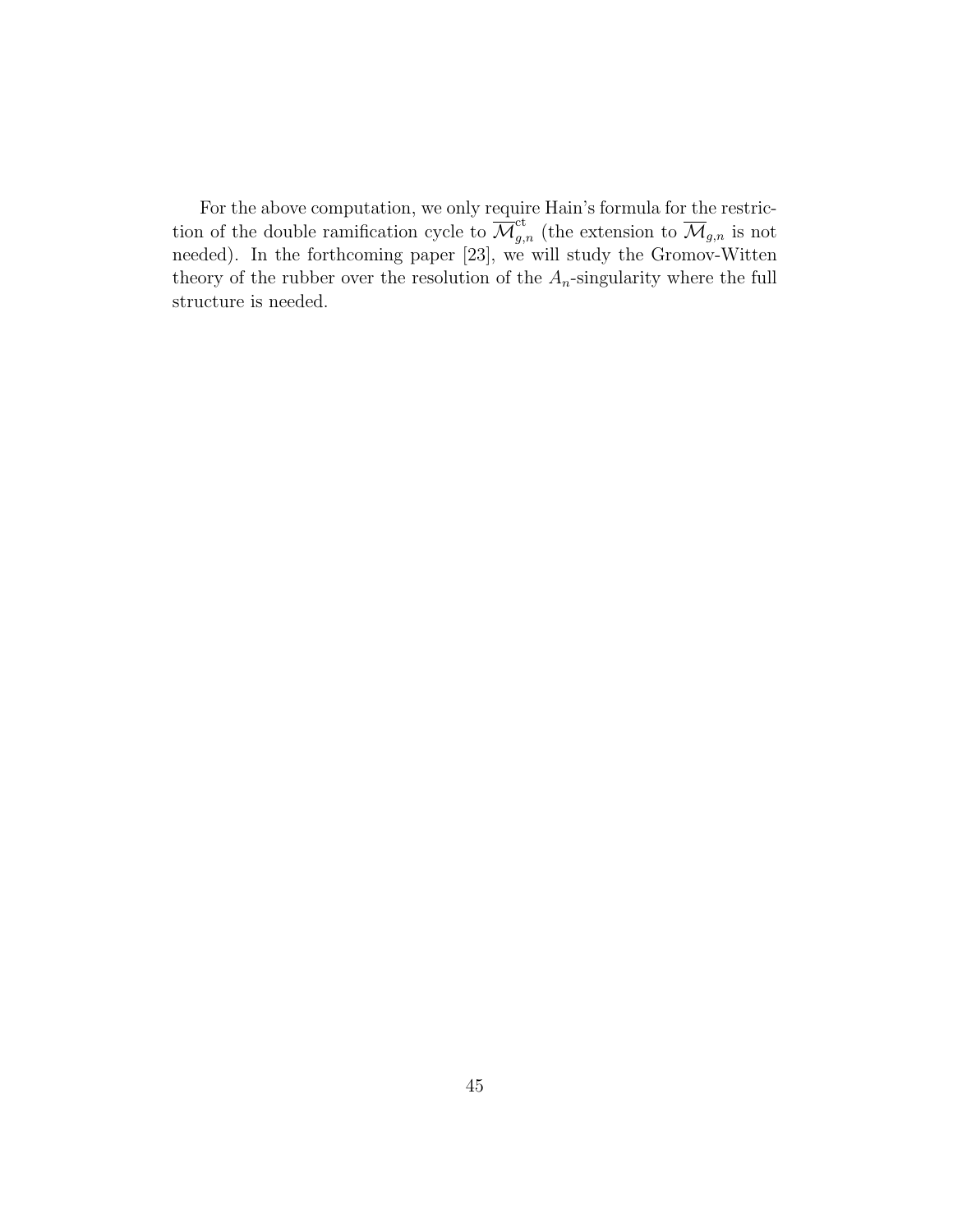For the above computation, we only require Hain's formula for the restriction of the double ramification cycle to  $\overline{\mathcal{M}}_{g,n}^{\text{ct}}$  (the extension to  $\overline{\mathcal{M}}_{g,n}$  is not needed). In the forthcoming paper [23], we will study the Gromov-Witten theory of the rubber over the resolution of the  $A_n$ -singularity where the full structure is needed.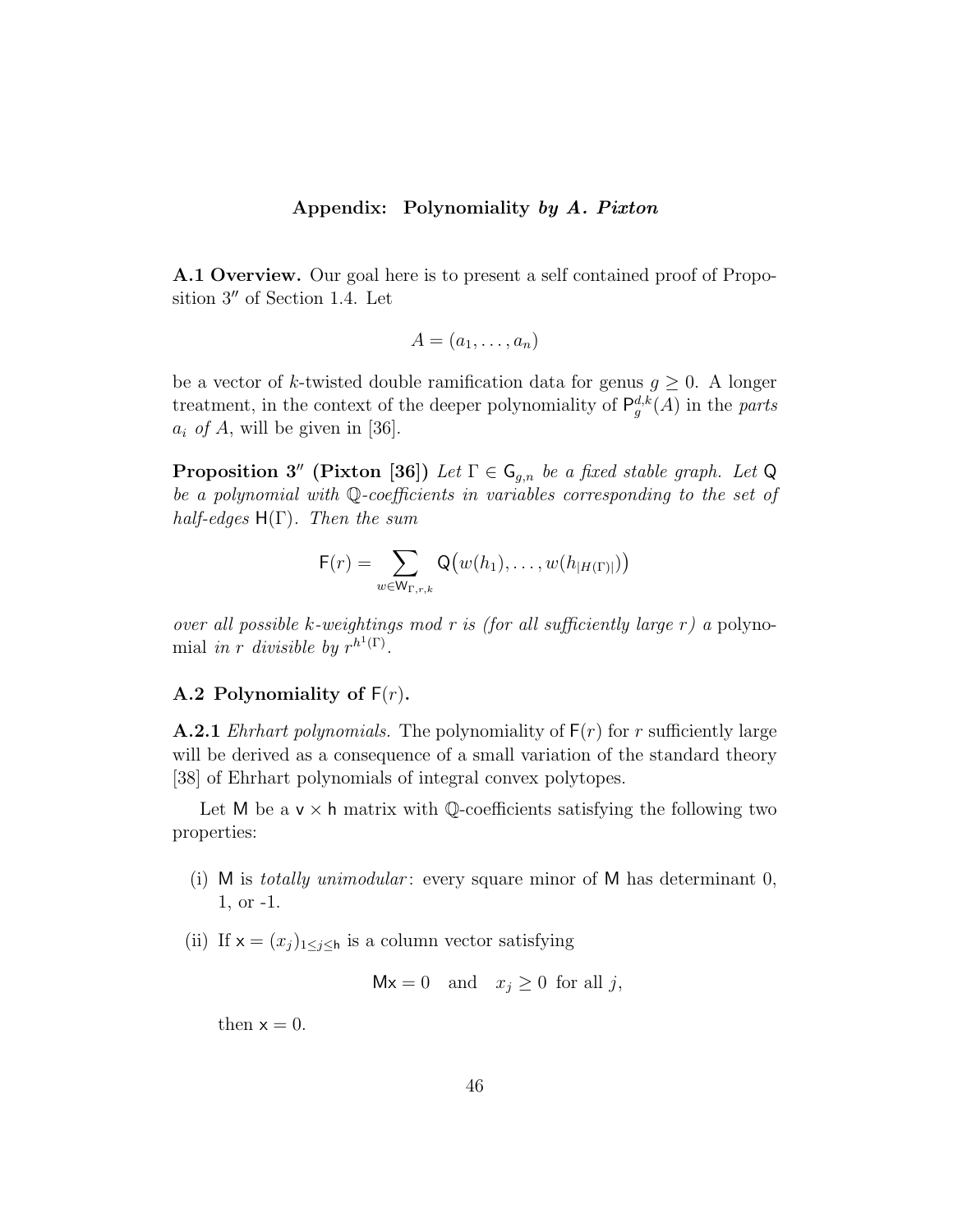#### Appendix: Polynomiality by A. Pixton

A.1 Overview. Our goal here is to present a self contained proof of Proposition  $3''$  of Section 1.4. Let

$$
A=(a_1,\ldots,a_n)
$$

be a vector of k-twisted double ramification data for genus  $g \geq 0$ . A longer treatment, in the context of the deeper polynomiality of  $\mathsf{P}_{g}^{d,k}(A)$  in the parts  $a_i$  of A, will be given in [36].

**Proposition 3''** (Pixton [36]) Let  $\Gamma \in \mathsf{G}_{q,n}$  be a fixed stable graph. Let Q be a polynomial with Q-coefficients in variables corresponding to the set of half-edges  $H(\Gamma)$ . Then the sum

$$
F(r) = \sum_{w \in W_{\Gamma,r,k}} Q(w(h_1), \ldots, w(h_{|H(\Gamma)|}))
$$

over all possible k-weightings mod r is (for all sufficiently large  $r$ ) a polynomial in r divisible by  $r^{h^1(\Gamma)}$ .

#### A.2 Polynomiality of  $F(r)$ .

**A.2.1** *Ehrhart polynomials.* The polynomiality of  $F(r)$  for r sufficiently large will be derived as a consequence of a small variation of the standard theory [38] of Ehrhart polynomials of integral convex polytopes.

Let M be a  $v \times h$  matrix with Q-coefficients satisfying the following two properties:

- (i) M is *totally unimodular*: every square minor of M has determinant  $0$ , 1, or -1.
- (ii) If  $x = (x_j)_{1 \leq j \leq h}$  is a column vector satisfying

$$
Mx = 0 \quad \text{and} \quad x_j \ge 0 \text{ for all } j,
$$

then  $x = 0$ .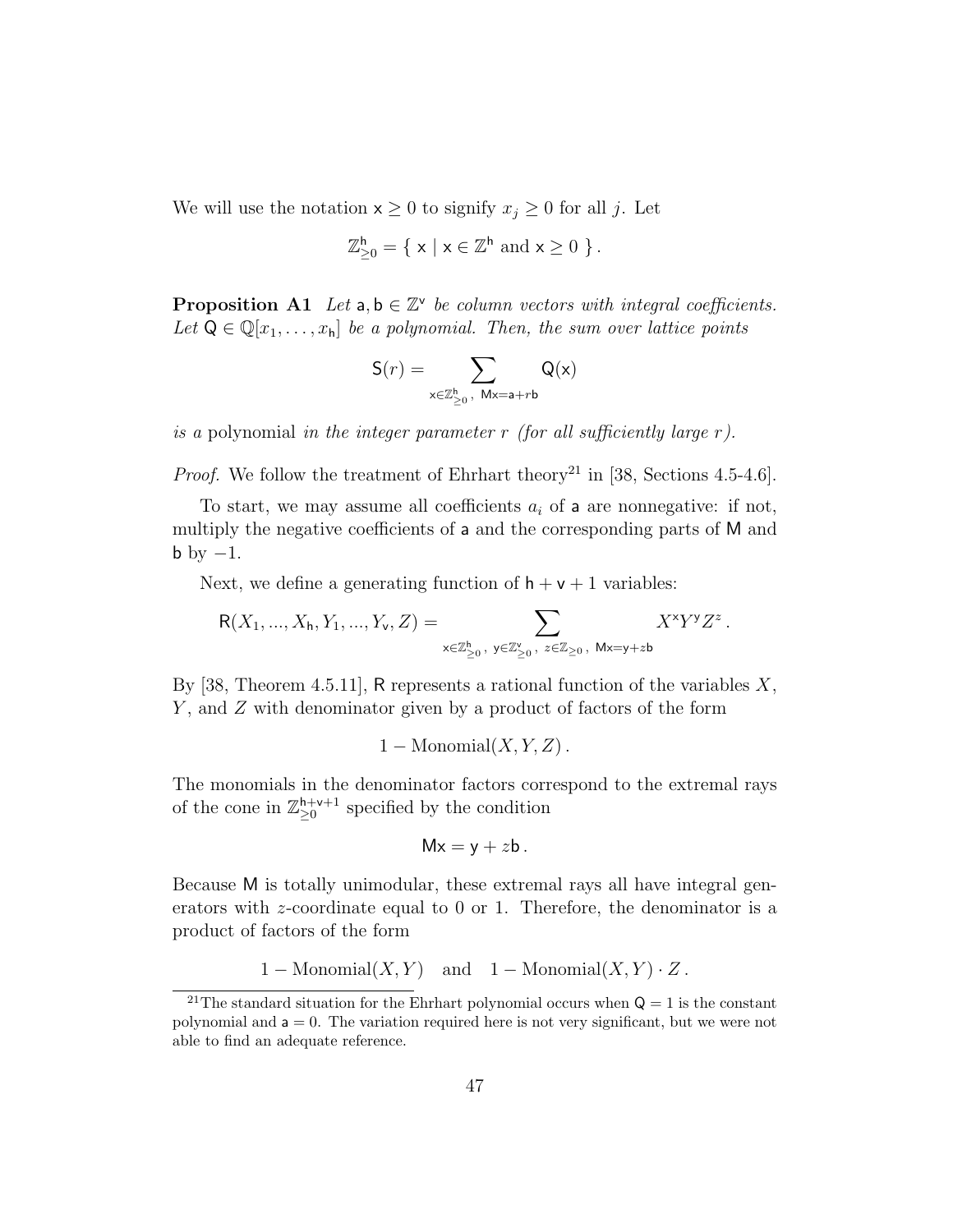We will use the notation  $x \geq 0$  to signify  $x_j \geq 0$  for all j. Let

$$
\mathbb{Z}_{\geq 0}^{\mathsf{h}}=\{\ \mathsf{x}\ |\ \mathsf{x}\in\mathbb{Z}^{\mathsf{h}}\ \mathrm{and}\ \mathsf{x}\geq 0\ \}\,.
$$

**Proposition A1** Let  $a, b \in \mathbb{Z}^{\vee}$  be column vectors with integral coefficients. Let  $Q \in \mathbb{Q}[x_1, \ldots, x_h]$  be a polynomial. Then, the sum over lattice points

$$
\mathsf{S}(r)=\sum_{\mathsf{x}\in\mathbb{Z}_{\geq 0}^\mathsf{h},\ \mathsf{M}\mathsf{x}=\mathsf{a}+r\mathsf{b}}\mathsf{Q}(\mathsf{x})
$$

is a polynomial in the integer parameter r (for all sufficiently large  $r$ ).

*Proof.* We follow the treatment of Ehrhart theory<sup>21</sup> in [38, Sections 4.5-4.6].

To start, we may assume all coefficients  $a_i$  of a are nonnegative: if not, multiply the negative coefficients of a and the corresponding parts of M and  $b \text{ by } -1$ .

Next, we define a generating function of  $h + v + 1$  variables:

$$
{\sf R}(X_1,...,X_{\sf h},Y_1,...,Y_{\sf v},Z)=\sum_{{\sf x}\in\mathbb{Z}_{\ge0}^{\sf h},\ {\sf y}\in\mathbb{Z}_{\ge0}^{\sf v},\ {\sf z}\in\mathbb{Z}_{\ge0},\ {\sf M}{\sf x}={\sf y}+z{\sf b}}X^{\sf x}Y^{\sf y}Z^z
$$

.

By [38, Theorem 4.5.11], R represents a rational function of the variables  $X$ , Y, and Z with denominator given by a product of factors of the form

$$
1 - \text{Monomial}(X, Y, Z)
$$
.

The monomials in the denominator factors correspond to the extremal rays of the cone in  $\mathbb{Z}_{\geq 0}^{h+v+1}$  specified by the condition

$$
Mx=y+zb.
$$

Because M is totally unimodular, these extremal rays all have integral generators with z-coordinate equal to 0 or 1. Therefore, the denominator is a product of factors of the form

$$
1 - \text{Monomial}(X, Y)
$$
 and  $1 - \text{Monomial}(X, Y) \cdot Z$ .

<sup>&</sup>lt;sup>21</sup>The standard situation for the Ehrhart polynomial occurs when  $Q = 1$  is the constant polynomial and  $a = 0$ . The variation required here is not very significant, but we were not able to find an adequate reference.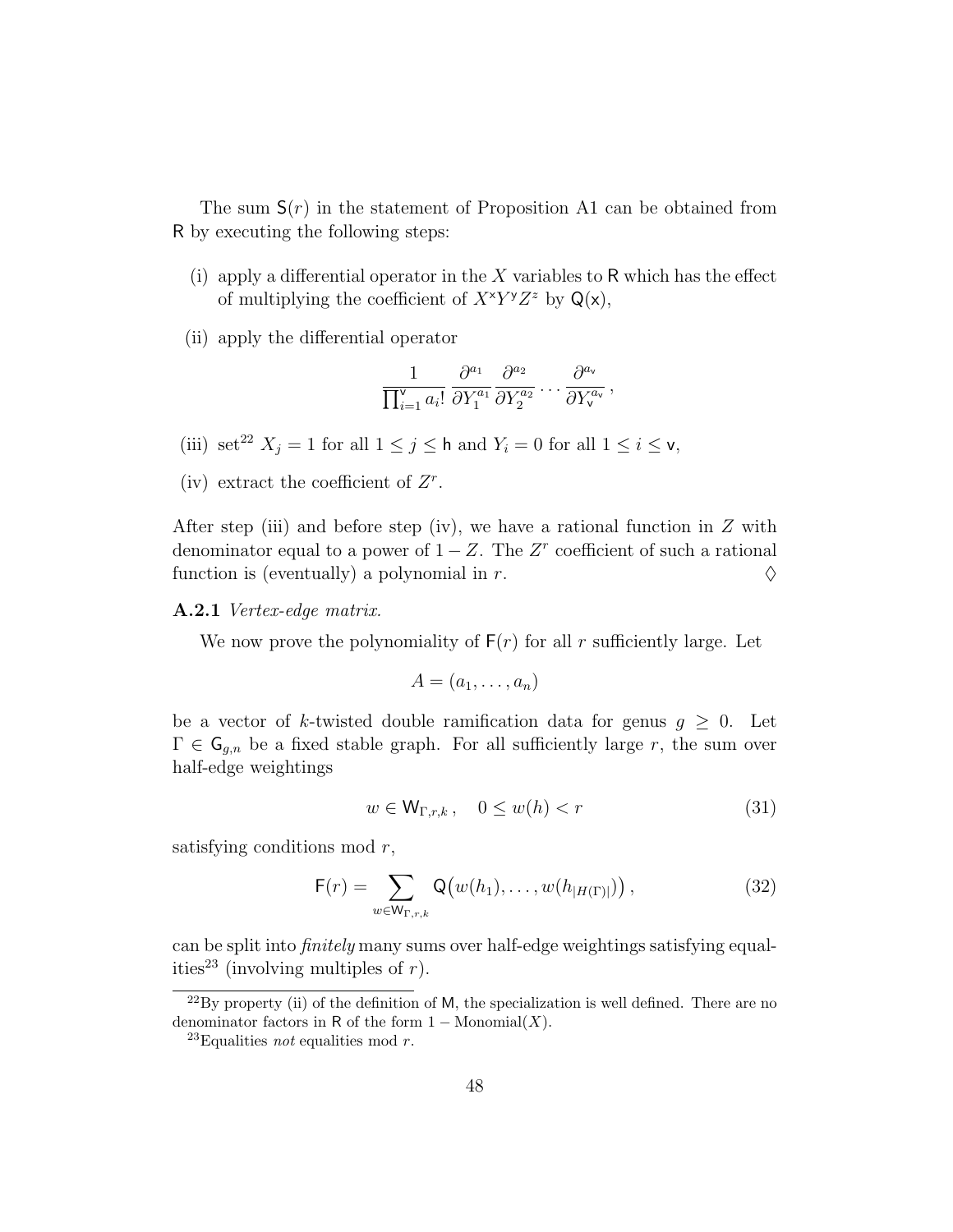The sum  $S(r)$  in the statement of Proposition A1 can be obtained from R by executing the following steps:

- (i) apply a differential operator in the  $X$  variables to R which has the effect of multiplying the coefficient of  $X^{\times}Y^{\gamma}Z^z$  by  $\mathsf{Q}(\mathsf{x})$ ,
- (ii) apply the differential operator

$$
\frac{1}{\prod_{i=1}^{\mathsf{v}}a_i!}\,\frac{\partial^{a_1}}{\partial Y_1^{a_1}}\frac{\partial^{a_2}}{\partial Y_2^{a_2}}\ldots\frac{\partial^{a_{\mathsf{v}}}}{\partial Y_{\mathsf{v}}^{a_{\mathsf{v}}}}\,,
$$

- (iii) set<sup>22</sup>  $X_j = 1$  for all  $1 \le j \le \mathsf{h}$  and  $Y_i = 0$  for all  $1 \le i \le \mathsf{v}$ ,
- (iv) extract the coefficient of  $Z<sup>r</sup>$ .

After step (iii) and before step (iv), we have a rational function in  $Z$  with denominator equal to a power of  $1 - Z$ . The  $Z<sup>r</sup>$  coefficient of such a rational function is (eventually) a polynomial in r.  $\Diamond$ 

#### A.2.1 Vertex-edge matrix.

We now prove the polynomiality of  $F(r)$  for all r sufficiently large. Let

$$
A=(a_1,\ldots,a_n)
$$

be a vector of k-twisted double ramification data for genus  $g \geq 0$ . Let  $\Gamma \in \mathsf{G}_{g,n}$  be a fixed stable graph. For all sufficiently large r, the sum over half-edge weightings

$$
w \in \mathsf{W}_{\Gamma,r,k}, \quad 0 \le w(h) < r \tag{31}
$$

satisfying conditions mod  $r$ ,

$$
\mathsf{F}(r) = \sum_{w \in \mathsf{W}_{\Gamma,r,k}} \mathsf{Q}\big(w(h_1), \dots, w(h_{|H(\Gamma)|})\big) \,,\tag{32}
$$

can be split into finitely many sums over half-edge weightings satisfying equalities<sup>23</sup> (involving multiples of r).

 $^{22}$ By property (ii) of the definition of M, the specialization is well defined. There are no denominator factors in R of the form  $1 - \text{Monomial}(X)$ .

<sup>&</sup>lt;sup>23</sup>Equalities *not* equalities mod *r*.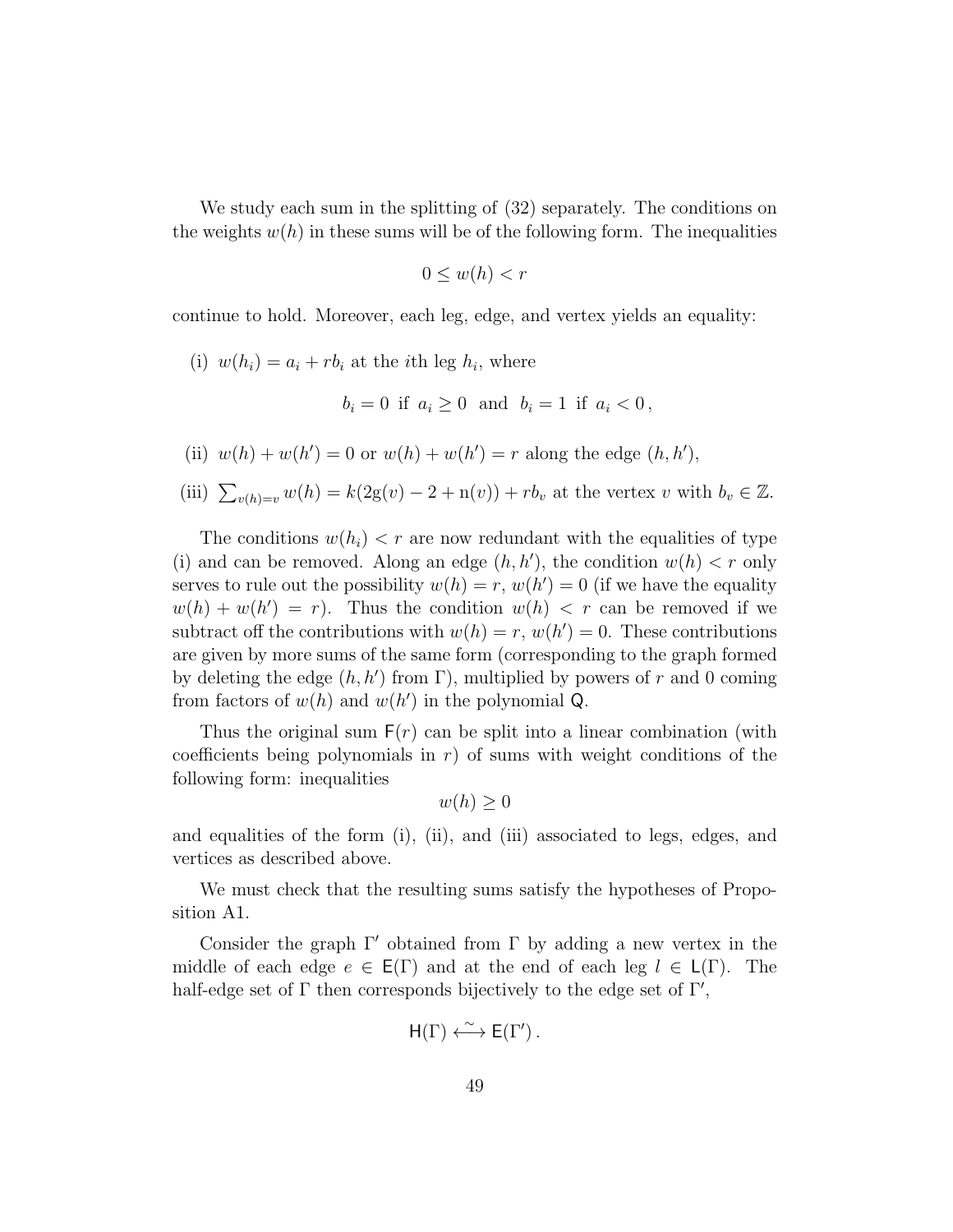We study each sum in the splitting of (32) separately. The conditions on the weights  $w(h)$  in these sums will be of the following form. The inequalities

$$
0 \le w(h) < r
$$

continue to hold. Moreover, each leg, edge, and vertex yields an equality:

(i)  $w(h_i) = a_i + rb_i$  at the *i*th leg  $h_i$ , where

$$
b_i = 0
$$
 if  $a_i \ge 0$  and  $b_i = 1$  if  $a_i < 0$ ,

- (ii)  $w(h) + w(h') = 0$  or  $w(h) + w(h') = r$  along the edge  $(h, h')$ ,
- (iii)  $\sum_{v(h)=v} w(h) = k(2g(v) 2 + n(v)) + rb_v$  at the vertex v with  $b_v \in \mathbb{Z}$ .

The conditions  $w(h_i) < r$  are now redundant with the equalities of type (i) and can be removed. Along an edge  $(h, h')$ , the condition  $w(h) < r$  only serves to rule out the possibility  $w(h) = r$ ,  $w(h') = 0$  (if we have the equality  $w(h) + w(h') = r$ . Thus the condition  $w(h) < r$  can be removed if we subtract off the contributions with  $w(h) = r$ ,  $w(h') = 0$ . These contributions are given by more sums of the same form (corresponding to the graph formed by deleting the edge  $(h, h')$  from  $\Gamma$ ), multiplied by powers of r and 0 coming from factors of  $w(h)$  and  $w(h')$  in the polynomial Q.

Thus the original sum  $F(r)$  can be split into a linear combination (with coefficients being polynomials in  $r$ ) of sums with weight conditions of the following form: inequalities

$$
w(h) \ge 0
$$

and equalities of the form (i), (ii), and (iii) associated to legs, edges, and vertices as described above.

We must check that the resulting sums satisfy the hypotheses of Proposition A1.

Consider the graph  $\Gamma'$  obtained from  $\Gamma$  by adding a new vertex in the middle of each edge  $e \in E(\Gamma)$  and at the end of each leg  $l \in L(\Gamma)$ . The half-edge set of  $\Gamma$  then corresponds bijectively to the edge set of  $\Gamma'$ ,

$$
H(\Gamma) \xleftarrow{\sim} E(\Gamma').
$$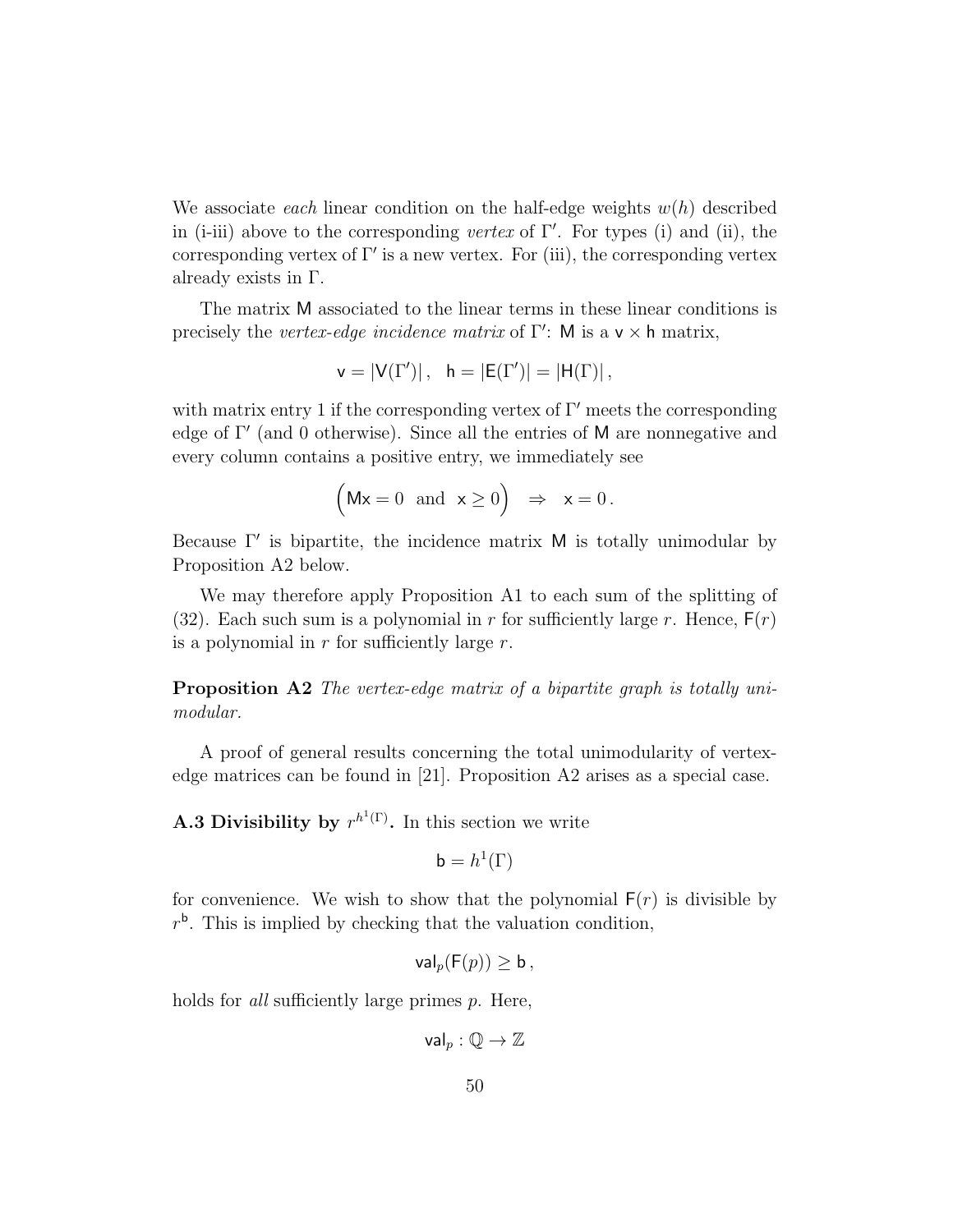We associate each linear condition on the half-edge weights  $w(h)$  described in (i-iii) above to the corresponding vertex of  $\Gamma'$ . For types (i) and (ii), the corresponding vertex of  $\Gamma'$  is a new vertex. For (iii), the corresponding vertex already exists in Γ.

The matrix M associated to the linear terms in these linear conditions is precisely the vertex-edge incidence matrix of  $\Gamma'$ : M is a v  $\times$  h matrix,

$$
v=|V(\Gamma')|\,,\ \ h=|E(\Gamma')|=|H(\Gamma)|\,,
$$

with matrix entry 1 if the corresponding vertex of  $\Gamma'$  meets the corresponding edge of  $\Gamma'$  (and 0 otherwise). Since all the entries of M are nonnegative and every column contains a positive entry, we immediately see

$$
(\mathsf{Mx} = 0 \text{ and } \mathsf{x} \ge 0) \Rightarrow \mathsf{x} = 0.
$$

Because  $\Gamma'$  is bipartite, the incidence matrix M is totally unimodular by Proposition A2 below.

We may therefore apply Proposition A1 to each sum of the splitting of (32). Each such sum is a polynomial in r for sufficiently large r. Hence,  $F(r)$ is a polynomial in  $r$  for sufficiently large  $r$ .

**Proposition A2** The vertex-edge matrix of a bipartite graph is totally unimodular.

A proof of general results concerning the total unimodularity of vertexedge matrices can be found in [21]. Proposition A2 arises as a special case.

**A.3 Divisibility by**  $r^{h^1(\Gamma)}$ . In this section we write

$$
\mathsf{b}=h^1(\Gamma)
$$

for convenience. We wish to show that the polynomial  $F(r)$  is divisible by  $r<sup>b</sup>$ . This is implied by checking that the valuation condition,

$$
\mathsf{val}_p(\mathsf{F}(p)) \geq \mathsf{b}\,,
$$

holds for *all* sufficiently large primes p. Here,

 $val_n : \mathbb{Q} \to \mathbb{Z}$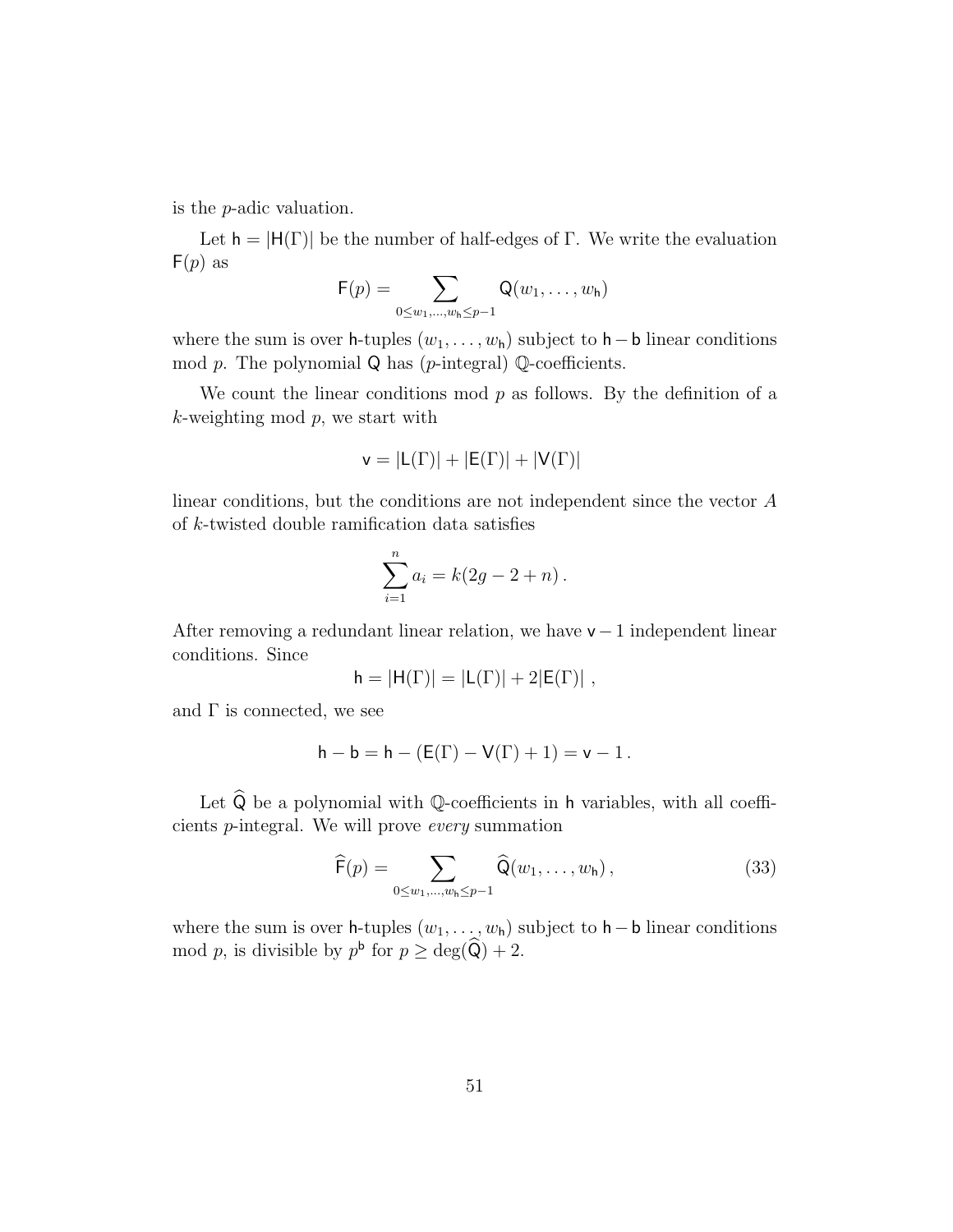is the p-adic valuation.

Let  $h = |H(\Gamma)|$  be the number of half-edges of  $\Gamma$ . We write the evaluation  $F(p)$  as

$$
F(p) = \sum_{0 \leq w_1, \dots, w_h \leq p-1} Q(w_1, \dots, w_h)
$$

where the sum is over h-tuples  $(w_1, \ldots, w_h)$  subject to  $h - b$  linear conditions mod  $p$ . The polynomial  $Q$  has ( $p$ -integral)  $Q$ -coefficients.

We count the linear conditions mod  $p$  as follows. By the definition of a  $k$ -weighting mod  $p$ , we start with

$$
v=|L(\Gamma)|+|E(\Gamma)|+|V(\Gamma)|
$$

linear conditions, but the conditions are not independent since the vector A of k-twisted double ramification data satisfies

$$
\sum_{i=1}^{n} a_i = k(2g - 2 + n).
$$

After removing a redundant linear relation, we have  $v - 1$  independent linear conditions. Since

$$
h = |H(\Gamma)| = |L(\Gamma)| + 2|E(\Gamma)|,
$$

and  $\Gamma$  is connected, we see

$$
h - b = h - (E(\Gamma) - V(\Gamma) + 1) = v - 1.
$$

Let  $\widehat{\mathsf{Q}}$  be a polynomial with  $\mathbb{Q}\text{-coefficients}$  in  $\mathsf{h}$  variables, with all coefficients p-integral. We will prove every summation

$$
\widehat{\mathsf{F}}(p) = \sum_{0 \le w_1, \dots, w_h \le p-1} \widehat{\mathsf{Q}}(w_1, \dots, w_h), \tag{33}
$$

where the sum is over h-tuples  $(w_1, \ldots, w_h)$  subject to h – b linear conditions mod p, is divisible by  $p^{\mathsf{b}}$  for  $p \ge \deg(\widehat{\mathsf{Q}}) + 2$ .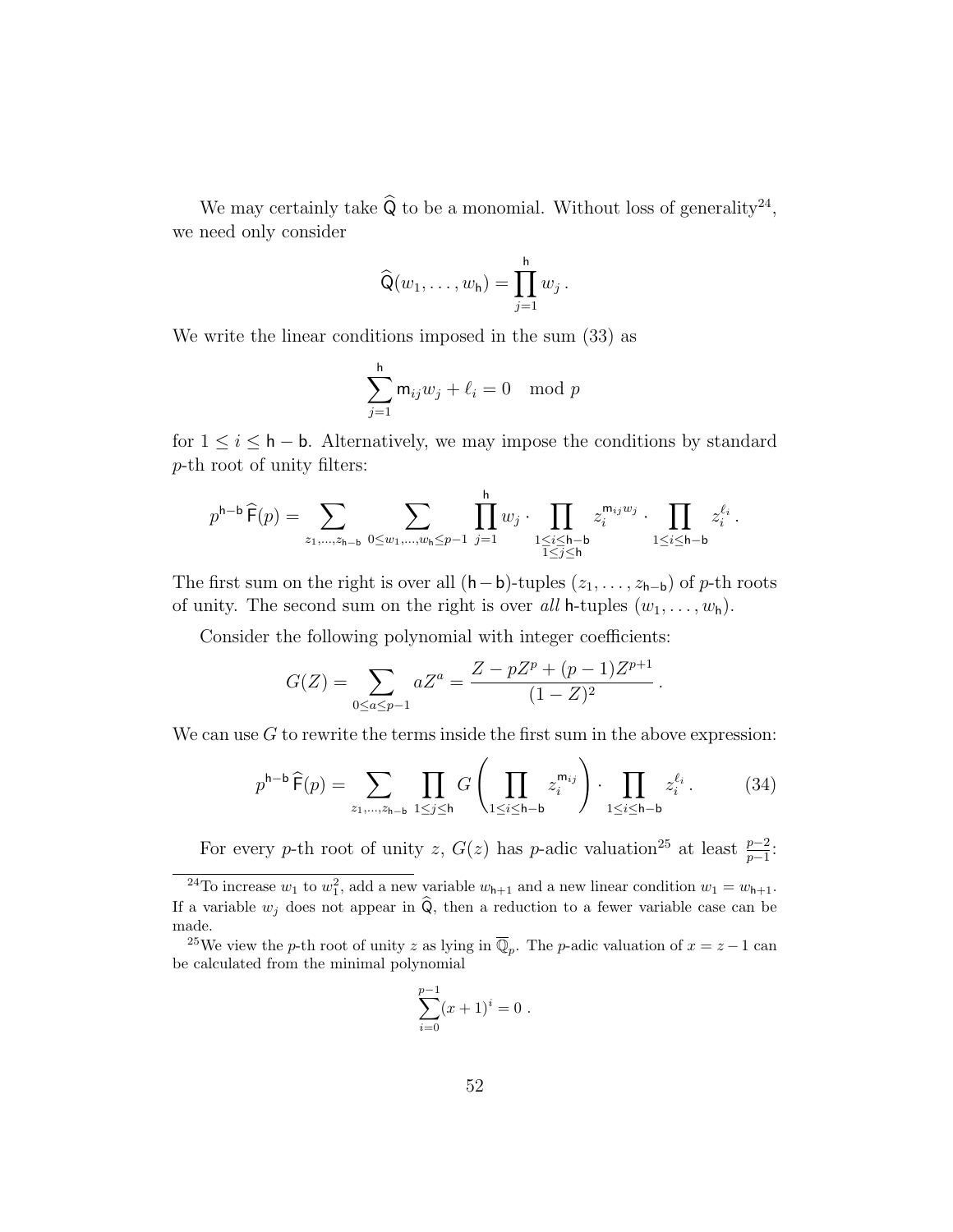We may certainly take  $\widehat{Q}$  to be a monomial. Without loss of generality<sup>24</sup>, we need only consider

$$
\widehat{\mathsf{Q}}(w_1,\ldots,w_{\mathsf{h}})=\prod_{j=1}^{\mathsf{h}}w_j.
$$

We write the linear conditions imposed in the sum (33) as

$$
\sum_{j=1}^{h} \mathsf{m}_{ij} w_j + \ell_i = 0 \mod p
$$

for  $1 \leq i \leq \mathsf{h} - \mathsf{b}$ . Alternatively, we may impose the conditions by standard p-th root of unity filters:

$$
p^{\mathsf{h}-\mathsf{b}}\,\widehat{\mathsf{F}}(p) = \sum_{z_1,\ldots,z_{\mathsf{h}-\mathsf{b}}}\,\sum_{0\leq w_1,\ldots,w_{\mathsf{h}}\leq p-1}\,\prod_{j=1}^{\mathsf{h}} w_j\cdot\prod_{\substack{1\leq i\leq \mathsf{h}-\mathsf{b}\\1\leq j\leq \mathsf{h}}}z_i^{\mathsf{m}_{ij}w_j}\cdot\prod_{1\leq i\leq \mathsf{h}-\mathsf{b}}z_i^{\ell_i}\,.
$$

The first sum on the right is over all  $(h - b)$ -tuples  $(z_1, \ldots, z_{h-b})$  of p-th roots of unity. The second sum on the right is over all h-tuples  $(w_1, \ldots, w_h)$ .

Consider the following polynomial with integer coefficients:

$$
G(Z) = \sum_{0 \le a \le p-1} aZ^{a} = \frac{Z - pZ^{p} + (p-1)Z^{p+1}}{(1-Z)^{2}}.
$$

We can use  $G$  to rewrite the terms inside the first sum in the above expression:

$$
p^{h-b}\,\widehat{F}(p) = \sum_{z_1,\dots,z_{h-b}} \prod_{1 \le j \le h} G\left(\prod_{1 \le i \le h-b} z_i^{m_{ij}}\right) \cdot \prod_{1 \le i \le h-b} z_i^{\ell_i} \,. \tag{34}
$$

For every p-th root of unity z,  $G(z)$  has p-adic valuation<sup>25</sup> at least  $\frac{p-2}{p-1}$ .

<sup>25</sup>We view the *p*-th root of unity z as lying in  $\overline{\mathbb{Q}}_p$ . The *p*-adic valuation of  $x = z - 1$  can be calculated from the minimal polynomial

$$
\sum_{i=0}^{p-1} (x+1)^i = 0.
$$

<sup>&</sup>lt;sup>24</sup>To increase  $w_1$  to  $w_1^2$ , add a new variable  $w_{h+1}$  and a new linear condition  $w_1 = w_{h+1}$ . If a variable  $w_i$  does not appear in  $\widehat{Q}$ , then a reduction to a fewer variable case can be made.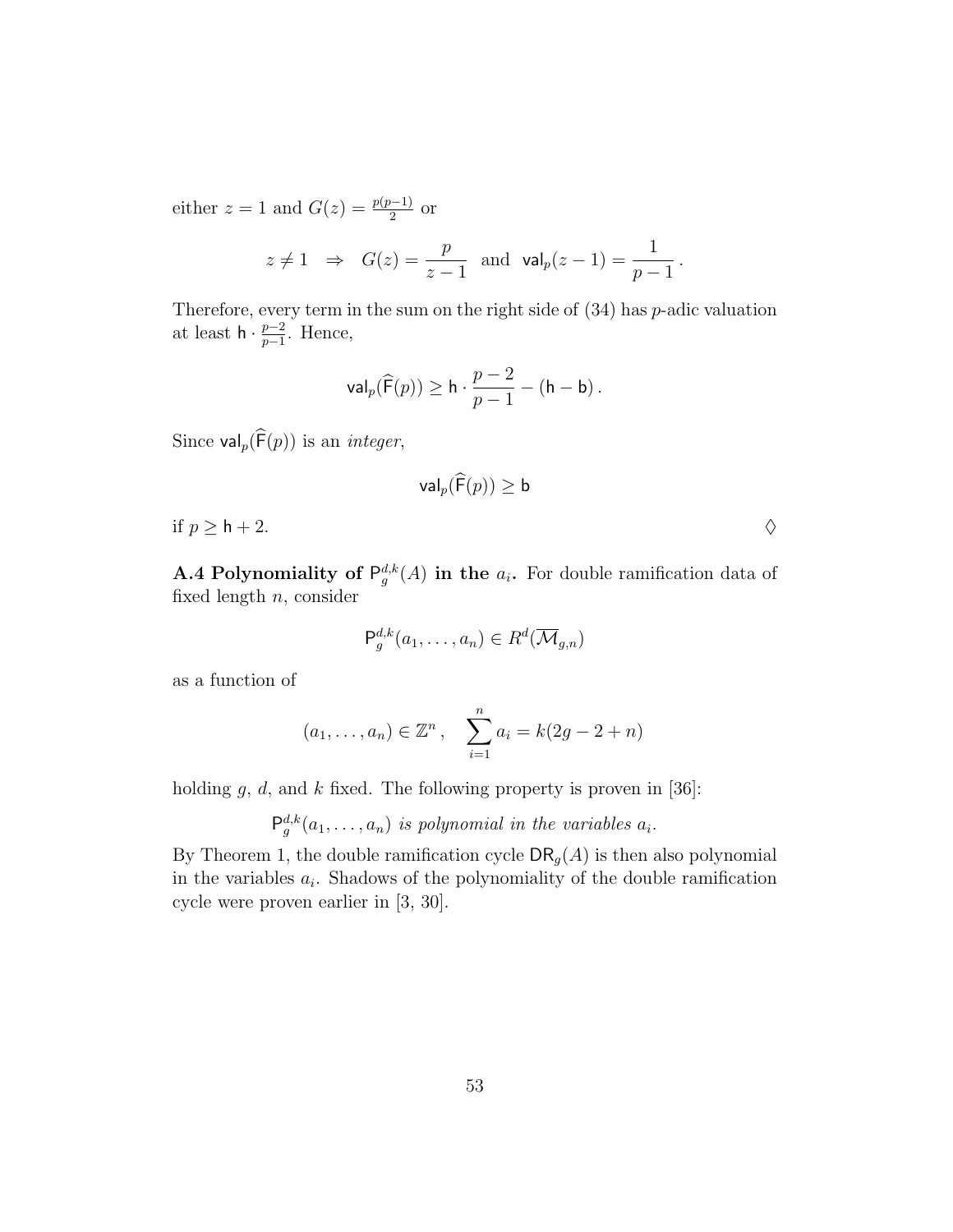either  $z = 1$  and  $G(z) = \frac{p(p-1)}{2}$  or

$$
z \neq 1 \Rightarrow G(z) = \frac{p}{z-1}
$$
 and  $\text{val}_p(z-1) = \frac{1}{p-1}$ .

Therefore, every term in the sum on the right side of  $(34)$  has p-adic valuation at least  $h \cdot \frac{p-2}{p-1}$  $\frac{p-2}{p-1}$ . Hence,

$$
\mathsf{val}_p(\widehat{\mathsf{F}}(p)) \geq \mathsf{h} \cdot \frac{p-2}{p-1} - (\mathsf{h}-\mathsf{b})\,.
$$

Since  $\mathsf{val}_p(\widehat{\mathsf{F}}(p))$  is an *integer*,

$$
\mathsf{val}_p(\widehat{\mathsf{F}}(p)) \geq \mathsf{b}
$$

if  $p \geq h + 2$ .

**A.4 Polynomiality of**  $P_g^{d,k}(A)$  in the  $a_i$ . For double ramification data of fixed length  $n$ , consider

$$
\mathsf{P}_g^{d,k}(a_1,\ldots,a_n) \in R^d(\overline{\mathcal{M}}_{g,n})
$$

as a function of

$$
(a_1,..., a_n) \in \mathbb{Z}^n
$$
,  $\sum_{i=1}^n a_i = k(2g - 2 + n)$ 

holding  $g, d$ , and  $k$  fixed. The following property is proven in [36]:

 $\mathsf{P}_g^{d,k}(a_1,\ldots,a_n)$  is polynomial in the variables  $a_i$ .

By Theorem 1, the double ramification cycle  $\mathsf{DR}_g(A)$  is then also polynomial in the variables  $a_i$ . Shadows of the polynomiality of the double ramification cycle were proven earlier in [3, 30].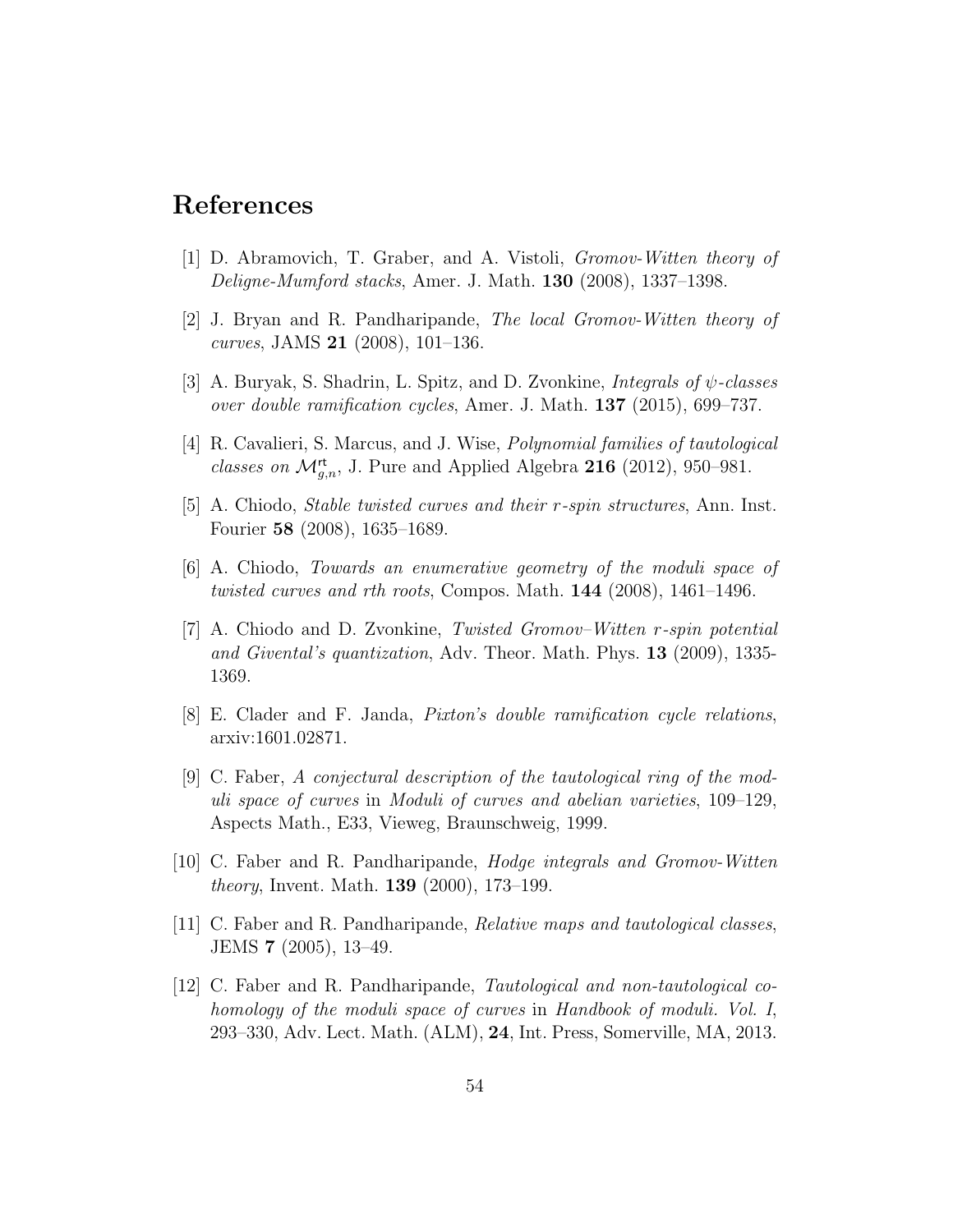## References

- [1] D. Abramovich, T. Graber, and A. Vistoli, Gromov-Witten theory of Deligne-Mumford stacks, Amer. J. Math. 130 (2008), 1337–1398.
- [2] J. Bryan and R. Pandharipande, The local Gromov-Witten theory of curves, JAMS 21 (2008), 101–136.
- [3] A. Buryak, S. Shadrin, L. Spitz, and D. Zvonkine, *Integrals of*  $\psi$ -classes over double ramification cycles, Amer. J. Math. 137 (2015), 699–737.
- [4] R. Cavalieri, S. Marcus, and J. Wise, Polynomial families of tautological classes on  $\mathcal{M}_{g,n}^{\mathsf{rt}}$ , J. Pure and Applied Algebra 216 (2012), 950–981.
- [5] A. Chiodo, Stable twisted curves and their r-spin structures, Ann. Inst. Fourier 58 (2008), 1635–1689.
- [6] A. Chiodo, Towards an enumerative geometry of the moduli space of twisted curves and rth roots, Compos. Math. 144 (2008), 1461–1496.
- [7] A. Chiodo and D. Zvonkine, Twisted Gromov–Witten r-spin potential and Givental's quantization, Adv. Theor. Math. Phys. 13 (2009), 1335- 1369.
- [8] E. Clader and F. Janda, Pixton's double ramification cycle relations, arxiv:1601.02871.
- [9] C. Faber, A conjectural description of the tautological ring of the moduli space of curves in Moduli of curves and abelian varieties, 109–129, Aspects Math., E33, Vieweg, Braunschweig, 1999.
- [10] C. Faber and R. Pandharipande, Hodge integrals and Gromov-Witten theory, Invent. Math. 139 (2000), 173–199.
- [11] C. Faber and R. Pandharipande, Relative maps and tautological classes, JEMS 7 (2005), 13–49.
- [12] C. Faber and R. Pandharipande, Tautological and non-tautological cohomology of the moduli space of curves in Handbook of moduli. Vol. I, 293–330, Adv. Lect. Math. (ALM), 24, Int. Press, Somerville, MA, 2013.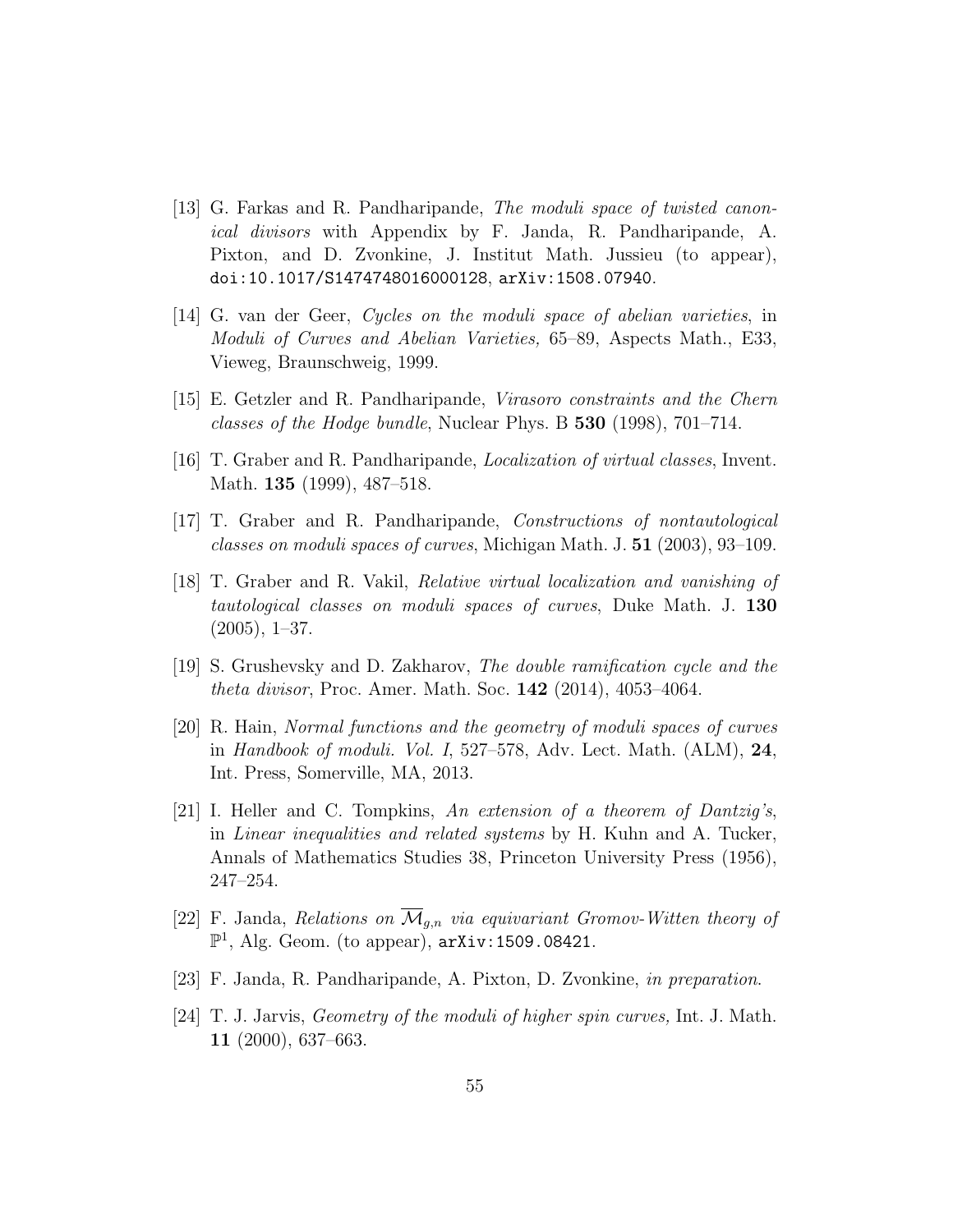- [13] G. Farkas and R. Pandharipande, The moduli space of twisted canonical divisors with Appendix by F. Janda, R. Pandharipande, A. Pixton, and D. Zvonkine, J. Institut Math. Jussieu (to appear), doi:10.1017/S1474748016000128, arXiv:1508.07940.
- [14] G. van der Geer, Cycles on the moduli space of abelian varieties, in Moduli of Curves and Abelian Varieties, 65–89, Aspects Math., E33, Vieweg, Braunschweig, 1999.
- [15] E. Getzler and R. Pandharipande, Virasoro constraints and the Chern classes of the Hodge bundle, Nuclear Phys. B 530 (1998), 701–714.
- [16] T. Graber and R. Pandharipande, Localization of virtual classes, Invent. Math. 135 (1999), 487–518.
- [17] T. Graber and R. Pandharipande, Constructions of nontautological classes on moduli spaces of curves, Michigan Math. J. 51 (2003), 93–109.
- [18] T. Graber and R. Vakil, Relative virtual localization and vanishing of tautological classes on moduli spaces of curves, Duke Math. J. 130  $(2005), 1-37.$
- [19] S. Grushevsky and D. Zakharov, The double ramification cycle and the theta divisor, Proc. Amer. Math. Soc. 142 (2014), 4053–4064.
- [20] R. Hain, Normal functions and the geometry of moduli spaces of curves in Handbook of moduli. Vol. I, 527–578, Adv. Lect. Math. (ALM), 24, Int. Press, Somerville, MA, 2013.
- [21] I. Heller and C. Tompkins, An extension of a theorem of Dantzig's, in Linear inequalities and related systems by H. Kuhn and A. Tucker, Annals of Mathematics Studies 38, Princeton University Press (1956), 247–254.
- [22] F. Janda, Relations on  $\overline{\mathcal{M}}_{g,n}$  via equivariant Gromov-Witten theory of  $\mathbb{P}^1$ , Alg. Geom. (to appear),  $arXiv:1509.08421$ .
- [23] F. Janda, R. Pandharipande, A. Pixton, D. Zvonkine, in preparation.
- [24] T. J. Jarvis, Geometry of the moduli of higher spin curves, Int. J. Math. 11 (2000), 637–663.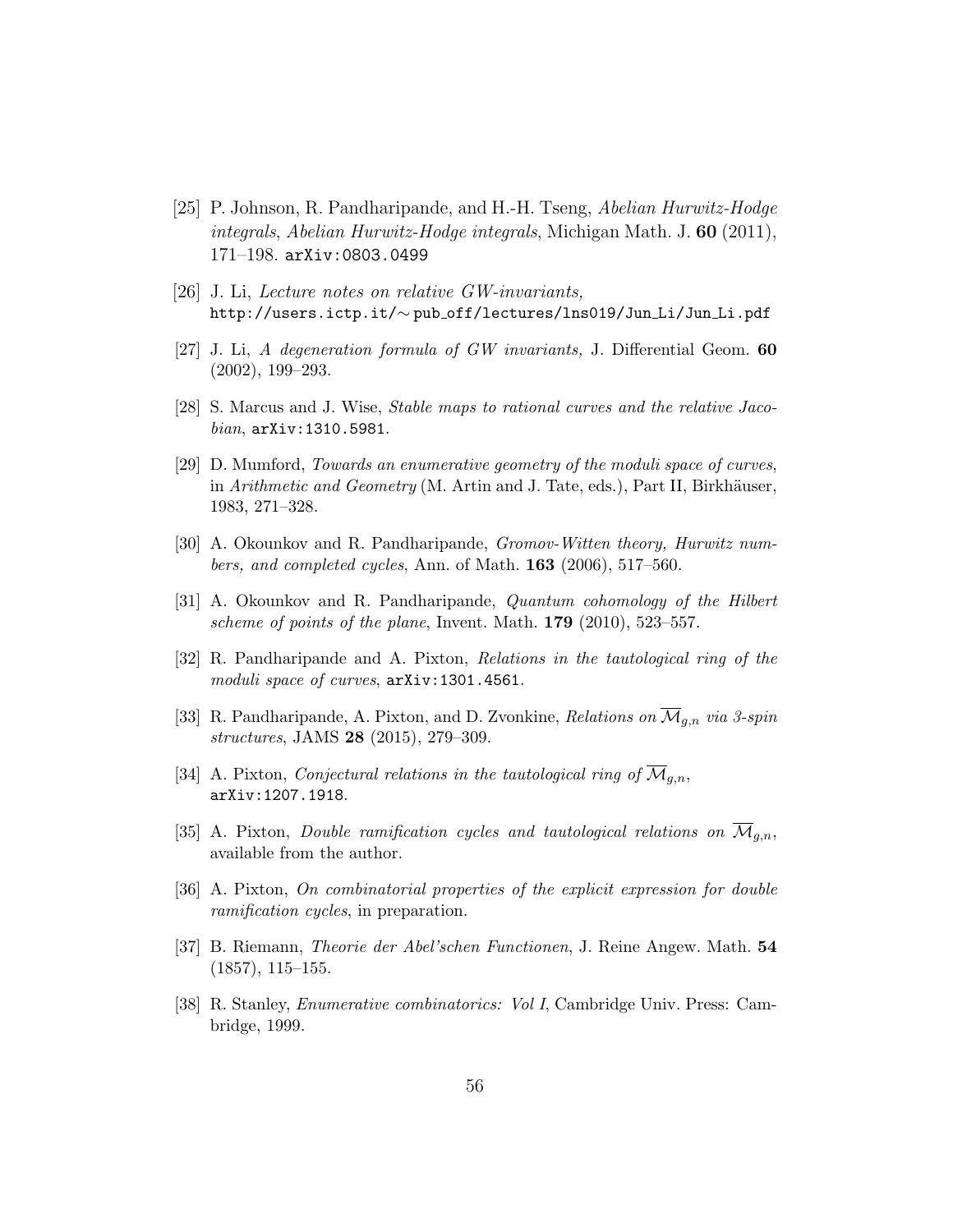- [25] P. Johnson, R. Pandharipande, and H.-H. Tseng, Abelian Hurwitz-Hodge integrals, Abelian Hurwitz-Hodge integrals, Michigan Math. J.  $60$  (2011), 171–198. arXiv:0803.0499
- [26] J. Li, Lecture notes on relative GW-invariants, http://users.ictp.it/∼ pub off/lectures/lns019/Jun Li/Jun Li.pdf
- [27] J. Li, A degeneration formula of GW invariants, J. Differential Geom. 60 (2002), 199–293.
- [28] S. Marcus and J. Wise, Stable maps to rational curves and the relative Jacobian, arXiv:1310.5981.
- [29] D. Mumford, Towards an enumerative geometry of the moduli space of curves, in Arithmetic and Geometry (M. Artin and J. Tate, eds.), Part II, Birkhäuser, 1983, 271–328.
- [30] A. Okounkov and R. Pandharipande, Gromov-Witten theory, Hurwitz num*bers, and completed cycles, Ann.* of Math.  $163$  (2006), 517–560.
- [31] A. Okounkov and R. Pandharipande, Quantum cohomology of the Hilbert scheme of points of the plane, Invent. Math. 179 (2010), 523–557.
- [32] R. Pandharipande and A. Pixton, Relations in the tautological ring of the moduli space of curves,  $arXiv:1301.4561$ .
- [33] R. Pandharipande, A. Pixton, and D. Zvonkine, Relations on  $\overline{\mathcal{M}}_{g,n}$  via 3-spin structures, JAMS 28 (2015), 279–309.
- [34] A. Pixton, *Conjectural relations in the tautological ring of*  $\overline{\mathcal{M}}_{q,n}$ , arXiv:1207.1918.
- [35] A. Pixton, *Double ramification cycles and tautological relations on*  $\mathcal{M}_{q,n}$ , available from the author.
- [36] A. Pixton, On combinatorial properties of the explicit expression for double ramification cycles, in preparation.
- [37] B. Riemann, Theorie der Abel'schen Functionen, J. Reine Angew. Math. 54 (1857), 115–155.
- [38] R. Stanley, Enumerative combinatorics: Vol I, Cambridge Univ. Press: Cambridge, 1999.